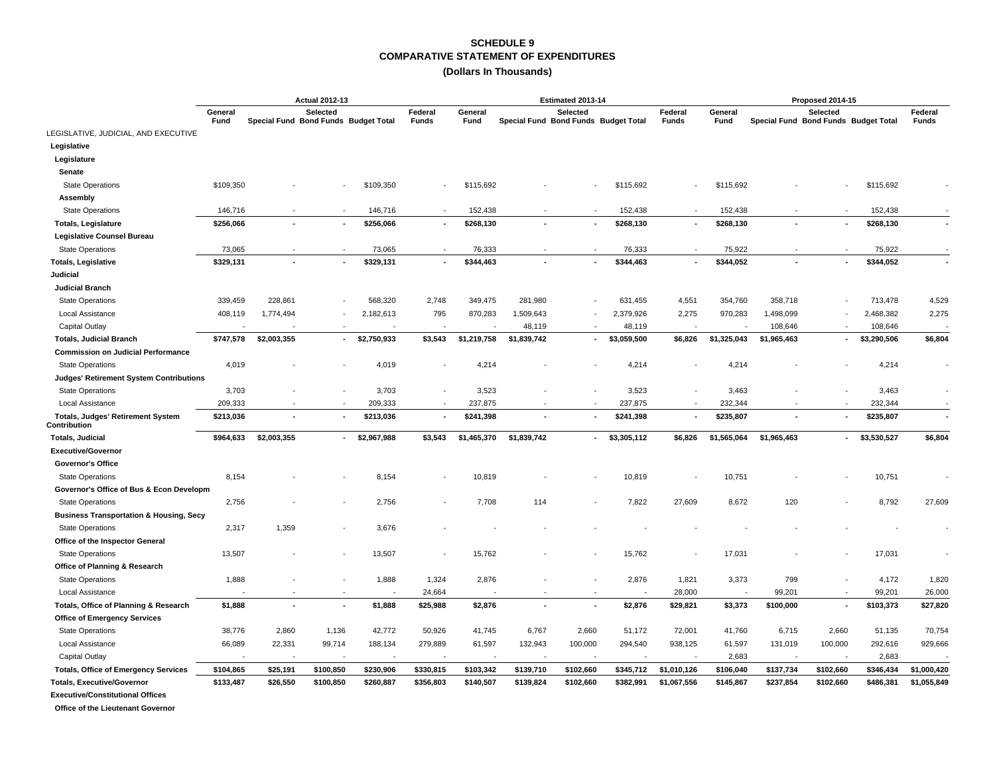### **COMPARATIVE STATEMENT OF EXPENDITURES SCHEDULE 9**

#### **(Dollars In Thousands)**

|                                                          |                 | <b>Actual 2012-13</b>                |                          |                |                          |                 |                                      | Estimated 2013-14 |             |                  |                 |                                      | Proposed 2014-15 |             |                         |
|----------------------------------------------------------|-----------------|--------------------------------------|--------------------------|----------------|--------------------------|-----------------|--------------------------------------|-------------------|-------------|------------------|-----------------|--------------------------------------|------------------|-------------|-------------------------|
|                                                          | General<br>Fund | Special Fund Bond Funds Budget Total | Selected                 |                | Federal<br><b>Funds</b>  | General<br>Fund | Special Fund Bond Funds Budget Total | Selected          |             | Federal<br>Funds | General<br>Fund | Special Fund Bond Funds Budget Total | Selected         |             | Federal<br><b>Funds</b> |
| LEGISLATIVE, JUDICIAL, AND EXECUTIVE                     |                 |                                      |                          |                |                          |                 |                                      |                   |             |                  |                 |                                      |                  |             |                         |
| Legislative                                              |                 |                                      |                          |                |                          |                 |                                      |                   |             |                  |                 |                                      |                  |             |                         |
| Legislature                                              |                 |                                      |                          |                |                          |                 |                                      |                   |             |                  |                 |                                      |                  |             |                         |
| Senate                                                   |                 |                                      |                          |                |                          |                 |                                      |                   |             |                  |                 |                                      |                  |             |                         |
| <b>State Operations</b>                                  | \$109,350       |                                      |                          | \$109,350      |                          | \$115,692       |                                      |                   | \$115,692   |                  | \$115,692       |                                      |                  | \$115,692   |                         |
| Assembly                                                 |                 |                                      |                          |                |                          |                 |                                      |                   |             |                  |                 |                                      |                  |             |                         |
| <b>State Operations</b>                                  | 146,716         |                                      |                          | 146,716        |                          | 152,438         |                                      |                   | 152,438     |                  | 152,438         |                                      |                  | 152,438     |                         |
| <b>Totals, Legislature</b>                               | \$256,066       |                                      |                          | \$256,066      |                          | \$268,130       |                                      |                   | \$268,130   |                  | \$268,130       |                                      |                  | \$268,130   |                         |
| Legislative Counsel Bureau                               |                 |                                      |                          |                |                          |                 |                                      |                   |             |                  |                 |                                      |                  |             |                         |
| <b>State Operations</b>                                  | 73,065          |                                      |                          | 73,065         |                          | 76,333          |                                      |                   | 76,333      |                  | 75,922          |                                      |                  | 75,922      |                         |
| <b>Totals, Legislative</b>                               | \$329,131       |                                      | $\blacksquare$           | \$329,131      | $\overline{\phantom{a}}$ | \$344,463       |                                      |                   | \$344,463   |                  | \$344,052       |                                      | $\sim$           | \$344,052   |                         |
| Judicial                                                 |                 |                                      |                          |                |                          |                 |                                      |                   |             |                  |                 |                                      |                  |             |                         |
| <b>Judicial Branch</b>                                   |                 |                                      |                          |                |                          |                 |                                      |                   |             |                  |                 |                                      |                  |             |                         |
| <b>State Operations</b>                                  | 339,459         | 228,861                              |                          | 568,320        | 2,748                    | 349,475         | 281,980                              |                   | 631,455     | 4,551            | 354,760         | 358,718                              |                  | 713,478     | 4,529                   |
| Local Assistance                                         | 408,119         | 1,774,494                            |                          | 2,182,613      | 795                      | 870,283         | 1,509,643                            |                   | 2,379,926   | 2,275            | 970,283         | 1,498,099                            |                  | 2,468,382   | 2,275                   |
| Capital Outlay                                           |                 |                                      |                          |                |                          |                 | 48,119                               |                   | 48,119      |                  |                 | 108,646                              |                  | 108,646     |                         |
| <b>Totals, Judicial Branch</b>                           | \$747,578       | \$2,003,355                          | $\overline{\phantom{a}}$ | \$2,750,933    | \$3,543                  | \$1,219,758     | \$1,839,742                          |                   | \$3,059,500 | \$6,826          | \$1,325,043     | \$1,965,463                          | $\sim$           | \$3,290,506 | \$6,804                 |
| <b>Commission on Judicial Performance</b>                |                 |                                      |                          |                |                          |                 |                                      |                   |             |                  |                 |                                      |                  |             |                         |
| <b>State Operations</b>                                  | 4,019           |                                      |                          | 4,019          |                          | 4,214           |                                      |                   | 4,214       |                  | 4,214           |                                      |                  | 4,214       |                         |
| <b>Judges' Retirement System Contributions</b>           |                 |                                      |                          |                |                          |                 |                                      |                   |             |                  |                 |                                      |                  |             |                         |
| <b>State Operations</b>                                  | 3,703           |                                      |                          | 3,703          |                          | 3,523           |                                      |                   | 3,523       |                  | 3,463           |                                      |                  | 3,463       |                         |
| Local Assistance                                         | 209,333         |                                      |                          | 209,333        |                          | 237,875         |                                      |                   | 237,875     |                  | 232,344         |                                      |                  | 232,344     |                         |
| <b>Totals, Judges' Retirement System</b><br>Contribution | \$213,036       |                                      | $\blacksquare$           | \$213,036      |                          | \$241,398       |                                      |                   | \$241,398   |                  | \$235,807       |                                      |                  | \$235,807   |                         |
| <b>Totals, Judicial</b>                                  | \$964,633       | \$2,003,355                          | $\blacksquare$           | \$2,967,988    | \$3,543                  | \$1,465,370     | \$1,839,742                          | $\blacksquare$    | \$3,305,112 | \$6,826          | \$1,565,064     | \$1,965,463                          | $\sim$           | \$3,530,527 | \$6,804                 |
| <b>Executive/Governor</b>                                |                 |                                      |                          |                |                          |                 |                                      |                   |             |                  |                 |                                      |                  |             |                         |
| <b>Governor's Office</b>                                 |                 |                                      |                          |                |                          |                 |                                      |                   |             |                  |                 |                                      |                  |             |                         |
| <b>State Operations</b>                                  | 8,154           |                                      |                          | 8,154          |                          | 10,819          |                                      |                   | 10,819      |                  | 10,751          |                                      |                  | 10,751      |                         |
| Governor's Office of Bus & Econ Developm                 |                 |                                      |                          |                |                          |                 |                                      |                   |             |                  |                 |                                      |                  |             |                         |
| <b>State Operations</b>                                  | 2,756           |                                      |                          | 2,756          |                          | 7,708           | 114                                  |                   | 7,822       | 27,609           | 8,672           | 120                                  |                  | 8,792       | 27,609                  |
| <b>Business Transportation &amp; Housing, Secy</b>       |                 |                                      |                          |                |                          |                 |                                      |                   |             |                  |                 |                                      |                  |             |                         |
| <b>State Operations</b>                                  | 2,317           | 1,359                                |                          | 3,676          |                          |                 |                                      |                   |             |                  |                 |                                      |                  |             |                         |
| Office of the Inspector General                          |                 |                                      |                          |                |                          |                 |                                      |                   |             |                  |                 |                                      |                  |             |                         |
| <b>State Operations</b>                                  | 13,507          |                                      |                          | 13,507         |                          | 15,762          |                                      |                   | 15,762      |                  | 17,031          |                                      |                  | 17,031      |                         |
| Office of Planning & Research                            |                 |                                      |                          |                |                          |                 |                                      |                   |             |                  |                 |                                      |                  |             |                         |
| <b>State Operations</b>                                  | 1,888           |                                      |                          | 1,888          | 1,324                    | 2,876           |                                      |                   | 2,876       | 1,821            | 3,373           | 799                                  |                  | 4,172       | 1,820                   |
| Local Assistance                                         |                 |                                      |                          |                | 24,664                   |                 |                                      |                   |             | 28,000           |                 | 99,201                               |                  | 99,201      | 26,000                  |
| Totals, Office of Planning & Research                    | \$1,888         | $\sim$                               | $\overline{\phantom{a}}$ | \$1,888        | \$25,988                 | \$2,876         |                                      |                   | \$2,876     | \$29,821         | \$3,373         | \$100,000                            | $\sim$           | \$103,373   | \$27,820                |
| <b>Office of Emergency Services</b>                      |                 |                                      |                          |                |                          |                 |                                      |                   |             |                  |                 |                                      |                  |             |                         |
| <b>State Operations</b>                                  | 38,776          | 2,860                                | 1,136                    | 42,772         | 50,926                   | 41,745          | 6,767                                | 2,660             | 51,172      | 72,001           | 41,760          | 6,715                                | 2,660            | 51,135      | 70,754                  |
| Local Assistance                                         | 66,089          | 22,331                               | 99,714                   | 188,134        | 279,889                  | 61,597          | 132,943                              | 100,000           | 294,540     | 938,125          | 61,597          | 131,019                              | 100,000          | 292,616     | 929,666                 |
| Capital Outlay                                           | ÷,              |                                      | $\overline{\phantom{a}}$ | $\overline{a}$ |                          |                 | $\overline{\phantom{a}}$             |                   |             |                  | 2,683           |                                      |                  | 2,683       |                         |
| <b>Totals, Office of Emergency Services</b>              | \$104,865       | \$25,191                             | \$100,850                | \$230,906      | \$330,815                | \$103,342       | \$139,710                            | \$102,660         | \$345,712   | \$1,010,126      | \$106,040       | \$137,734                            | \$102,660        | \$346,434   | \$1,000,420             |
| <b>Totals, Executive/Governor</b>                        | \$133,487       | \$26,550                             | \$100,850                | \$260,887      | \$356,803                | \$140,507       | \$139,824                            | \$102,660         | \$382,991   | \$1,067,556      | \$145,867       | \$237,854                            | \$102,660        | \$486,381   | \$1,055,849             |
| <b>Executive/Constitutional Offices</b>                  |                 |                                      |                          |                |                          |                 |                                      |                   |             |                  |                 |                                      |                  |             |                         |

 **Office of the Lieutenant Governor**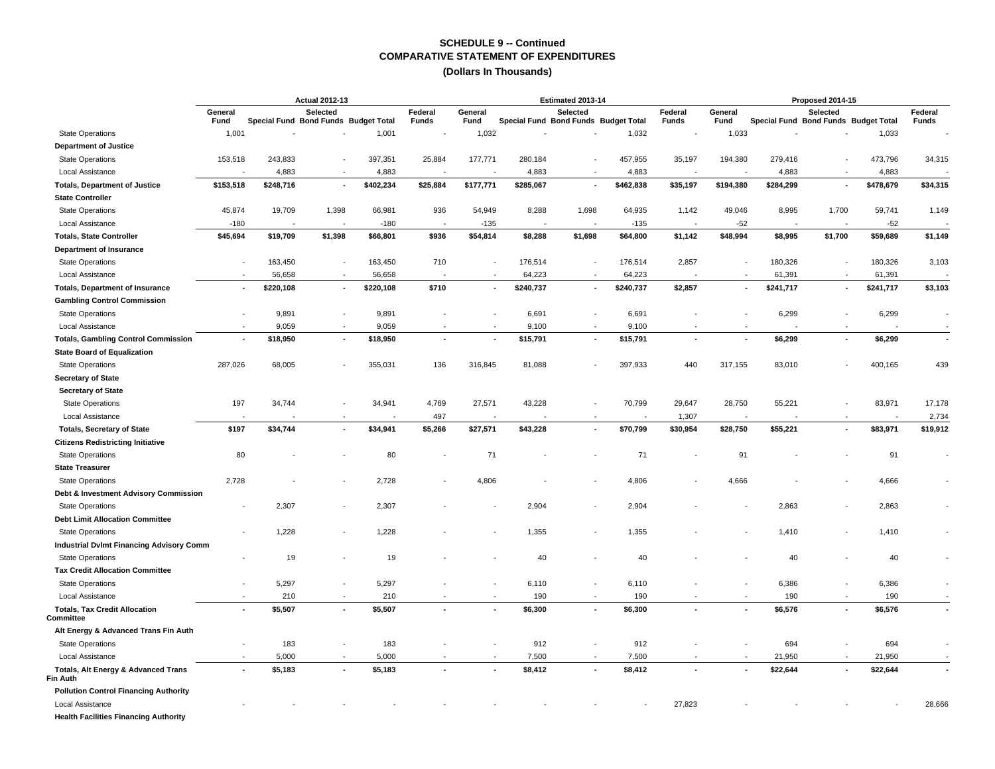#### **(Dollars In Thousands)**

|                                                                   | <b>Actual 2012-13</b>                                               |                          |                          |                 |          |                                                  |           | Estimated 2013-14 |                 |                          |                                                  |                          | Proposed 2014-15         |           |                          |
|-------------------------------------------------------------------|---------------------------------------------------------------------|--------------------------|--------------------------|-----------------|----------|--------------------------------------------------|-----------|-------------------|-----------------|--------------------------|--------------------------------------------------|--------------------------|--------------------------|-----------|--------------------------|
|                                                                   | Selected<br>General<br>Fund<br>Special Fund Bond Funds Budget Total |                          | Federal<br><b>Funds</b>  | General<br>Fund |          | Selected<br>Special Fund Bond Funds Budget Total |           | Federal<br>Funds  | General<br>Fund |                          | Selected<br>Special Fund Bond Funds Budget Total |                          | Federal<br><b>Funds</b>  |           |                          |
| <b>State Operations</b>                                           | 1,001                                                               |                          |                          | 1,001           |          | 1,032                                            |           |                   | 1,032           |                          | 1,033                                            |                          |                          | 1,033     |                          |
| <b>Department of Justice</b>                                      |                                                                     |                          |                          |                 |          |                                                  |           |                   |                 |                          |                                                  |                          |                          |           |                          |
| <b>State Operations</b>                                           | 153,518                                                             | 243,833                  |                          | 397,351         | 25,884   | 177,771                                          | 280,184   |                   | 457,955         | 35,197                   | 194,380                                          | 279,416                  |                          | 473,796   | 34,315                   |
| Local Assistance                                                  |                                                                     | 4,883                    | $\overline{\phantom{a}}$ | 4,883           |          |                                                  | 4,883     |                   | 4,883           |                          |                                                  | 4,883                    | ÷,                       | 4,883     |                          |
| <b>Totals, Department of Justice</b>                              | \$153,518                                                           | \$248,716                | $\blacksquare$           | \$402,234       | \$25,884 | \$177,771                                        | \$285,067 |                   | \$462,838       | \$35,197                 | \$194,380                                        | \$284,299                | ٠                        | \$478,679 | \$34,315                 |
| <b>State Controller</b>                                           |                                                                     |                          |                          |                 |          |                                                  |           |                   |                 |                          |                                                  |                          |                          |           |                          |
| <b>State Operations</b>                                           | 45,874                                                              | 19,709                   | 1,398                    | 66,981          | 936      | 54,949                                           | 8,288     | 1,698             | 64,935          | 1,142                    | 49,046                                           | 8,995                    | 1,700                    | 59,741    | 1,149                    |
| Local Assistance                                                  | $-180$                                                              | $\overline{\phantom{a}}$ | ÷,                       | $-180$          |          | $-135$                                           |           | ÷,                | $-135$          | ÷,                       | $-52$                                            | $\overline{\phantom{a}}$ | $\sim$                   | $-52$     |                          |
| <b>Totals, State Controller</b>                                   | \$45,694                                                            | \$19,709                 | \$1,398                  | \$66,801        | \$936    | \$54,814                                         | \$8,288   | \$1,698           | \$64,800        | \$1,142                  | \$48,994                                         | \$8,995                  | \$1,700                  | \$59,689  | \$1,149                  |
| Department of Insurance                                           |                                                                     |                          |                          |                 |          |                                                  |           |                   |                 |                          |                                                  |                          |                          |           |                          |
| <b>State Operations</b>                                           | ÷,                                                                  | 163,450                  |                          | 163,450         | 710      |                                                  | 176,514   |                   | 176,514         | 2,857                    |                                                  | 180,326                  | $\overline{\phantom{a}}$ | 180,326   | 3,103                    |
| <b>Local Assistance</b>                                           |                                                                     | 56,658                   |                          | 56,658          |          |                                                  | 64,223    |                   | 64,223          |                          |                                                  | 61,391                   |                          | 61,391    |                          |
| <b>Totals, Department of Insurance</b>                            | $\blacksquare$                                                      | \$220,108                | ٠                        | \$220,108       | \$710    | ٠                                                | \$240,737 | $\blacksquare$    | \$240,737       | \$2,857                  |                                                  | \$241,717                | ٠                        | \$241,717 | \$3,103                  |
| <b>Gambling Control Commission</b>                                |                                                                     |                          |                          |                 |          |                                                  |           |                   |                 |                          |                                                  |                          |                          |           |                          |
| <b>State Operations</b>                                           | $\overline{\phantom{a}}$                                            | 9,891                    | $\overline{\phantom{a}}$ | 9,891           |          |                                                  | 6,691     |                   | 6,691           |                          |                                                  | 6,299                    | $\blacksquare$           | 6,299     |                          |
| Local Assistance                                                  |                                                                     | 9,059                    |                          | 9,059           |          |                                                  | 9,100     |                   | 9,100           |                          |                                                  |                          |                          |           |                          |
| <b>Totals, Gambling Control Commission</b>                        | ä,                                                                  | \$18,950                 | $\blacksquare$           | \$18,950        |          |                                                  | \$15,791  | ä,                | \$15,791        |                          |                                                  | \$6,299                  | $\blacksquare$           | \$6,299   | $\overline{\phantom{a}}$ |
| <b>State Board of Equalization</b>                                |                                                                     |                          |                          |                 |          |                                                  |           |                   |                 |                          |                                                  |                          |                          |           |                          |
| <b>State Operations</b>                                           | 287,026                                                             | 68,005                   | $\blacksquare$           | 355,031         | 136      | 316,845                                          | 81,088    |                   | 397,933         | 440                      | 317,155                                          | 83,010                   |                          | 400,165   | 439                      |
| <b>Secretary of State</b>                                         |                                                                     |                          |                          |                 |          |                                                  |           |                   |                 |                          |                                                  |                          |                          |           |                          |
| <b>Secretary of State</b>                                         |                                                                     |                          |                          |                 |          |                                                  |           |                   |                 |                          |                                                  |                          |                          |           |                          |
| <b>State Operations</b>                                           | 197                                                                 | 34,744                   |                          | 34,941          | 4,769    | 27,571                                           | 43,228    |                   | 70,799          | 29,647                   | 28,750                                           | 55,221                   |                          | 83,971    | 17,178                   |
| Local Assistance                                                  |                                                                     |                          |                          |                 | 497      |                                                  |           |                   |                 | 1,307                    |                                                  |                          |                          |           | 2,734                    |
| <b>Totals, Secretary of State</b>                                 | \$197                                                               | \$34,744                 | $\blacksquare$           | \$34,941        | \$5,266  | \$27,571                                         | \$43,228  | $\blacksquare$    | \$70,799        | \$30,954                 | \$28,750                                         | \$55,221                 | $\blacksquare$           | \$83,971  | \$19,912                 |
| <b>Citizens Redistricting Initiative</b>                          |                                                                     |                          |                          |                 |          |                                                  |           |                   |                 |                          |                                                  |                          |                          |           |                          |
| <b>State Operations</b>                                           | 80                                                                  |                          |                          | 80              |          | 71                                               |           |                   | 71              |                          | 91                                               |                          |                          | 91        |                          |
| <b>State Treasurer</b>                                            |                                                                     |                          |                          |                 |          |                                                  |           |                   |                 |                          |                                                  |                          |                          |           |                          |
| <b>State Operations</b>                                           | 2,728                                                               |                          |                          | 2,728           |          | 4,806                                            |           |                   | 4,806           |                          | 4,666                                            |                          |                          | 4,666     |                          |
| Debt & Investment Advisory Commission                             |                                                                     |                          |                          |                 |          |                                                  |           |                   |                 |                          |                                                  |                          |                          |           |                          |
| <b>State Operations</b>                                           | $\overline{\phantom{a}}$                                            | 2,307                    | $\overline{\phantom{a}}$ | 2,307           |          |                                                  | 2,904     |                   | 2,904           |                          |                                                  | 2,863                    |                          | 2,863     |                          |
| <b>Debt Limit Allocation Committee</b>                            |                                                                     |                          |                          |                 |          |                                                  |           |                   |                 |                          |                                                  |                          |                          |           |                          |
| <b>State Operations</b>                                           |                                                                     | 1.228                    |                          | 1.228           |          |                                                  | 1,355     |                   | 1,355           |                          |                                                  | 1,410                    |                          | 1,410     |                          |
| <b>Industrial DvImt Financing Advisory Comm</b>                   |                                                                     |                          |                          |                 |          |                                                  |           |                   |                 |                          |                                                  |                          |                          |           |                          |
| <b>State Operations</b>                                           |                                                                     | 19                       |                          | 19              |          |                                                  | 40        |                   | 40              |                          |                                                  | 40                       |                          | 40        |                          |
| <b>Tax Credit Allocation Committee</b>                            |                                                                     |                          |                          |                 |          |                                                  |           |                   |                 |                          |                                                  |                          |                          |           |                          |
| <b>State Operations</b>                                           | $\overline{\phantom{a}}$                                            | 5,297                    | ÷,                       | 5,297           |          |                                                  | 6,110     |                   | 6,110           |                          |                                                  | 6,386                    |                          | 6,386     |                          |
| Local Assistance                                                  |                                                                     | 210                      | $\sim$                   | 210             |          |                                                  | 190       |                   | 190             |                          |                                                  | 190                      | $\sim$                   | 190       |                          |
| <b>Totals, Tax Credit Allocation</b><br>Committee                 | $\blacksquare$                                                      | \$5,507                  | ٠                        | \$5,507         |          | ٠                                                | \$6,300   | ä,                | \$6,300         | $\overline{\phantom{a}}$ |                                                  | \$6,576                  | $\blacksquare$           | \$6,576   | ٠                        |
| Alt Energy & Advanced Trans Fin Auth                              |                                                                     |                          |                          |                 |          |                                                  |           |                   |                 |                          |                                                  |                          |                          |           |                          |
| <b>State Operations</b>                                           | $\overline{\phantom{a}}$                                            | 183                      | $\blacksquare$           | 183             |          |                                                  | 912       |                   | 912             |                          |                                                  | 694                      | $\overline{a}$           | 694       |                          |
| Local Assistance                                                  | $\overline{a}$                                                      | 5,000                    | $\sim$                   | 5,000           |          |                                                  | 7,500     | ÷,                | 7,500           |                          |                                                  | 21,950                   | $\sim$                   | 21,950    |                          |
| <b>Totals, Alt Energy &amp; Advanced Trans</b><br><b>Fin Auth</b> | ×,                                                                  | \$5,183                  | $\overline{\phantom{a}}$ | \$5,183         |          |                                                  | \$8,412   | $\blacksquare$    | \$8,412         |                          |                                                  | \$22,644                 |                          | \$22,644  |                          |
| <b>Pollution Control Financing Authority</b>                      |                                                                     |                          |                          |                 |          |                                                  |           |                   |                 |                          |                                                  |                          |                          |           |                          |
| Local Assistance                                                  |                                                                     |                          |                          |                 |          |                                                  |           |                   |                 | 27,823                   |                                                  |                          |                          |           | 28,666                   |

 **Health Facilities Financing Authority**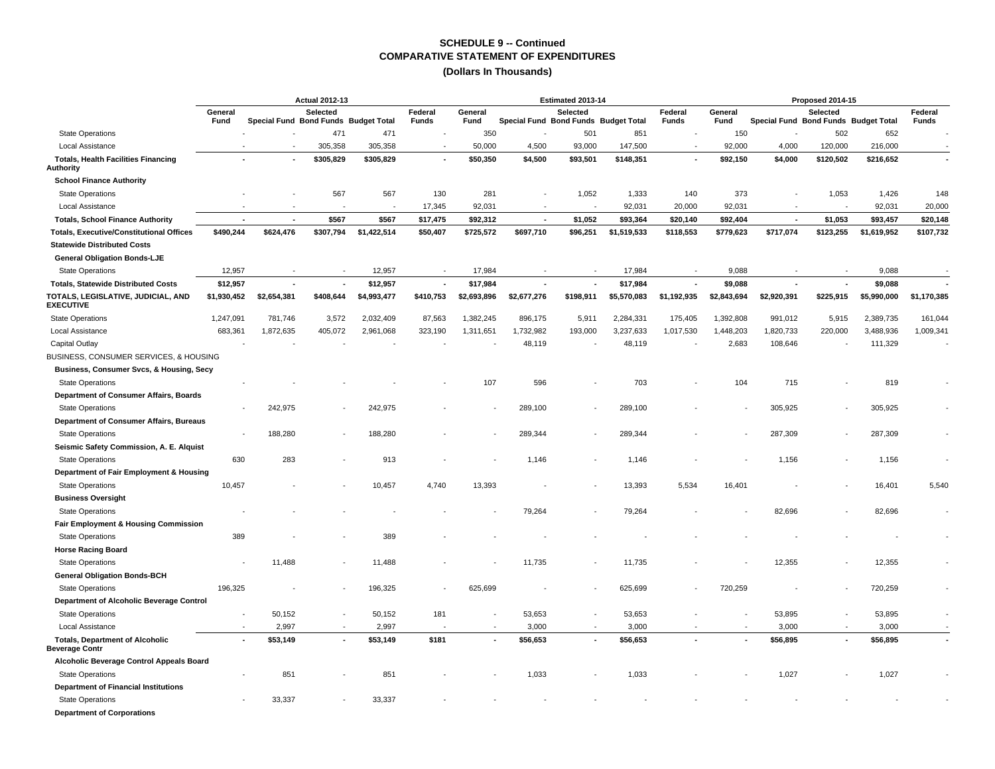|                                                                 |                          |                                      | <b>Actual 2012-13</b>    |             |                         |                 |                                      | Estimated 2013-14 |             |                         |                 |                          | Proposed 2014-15                                 |             |                         |
|-----------------------------------------------------------------|--------------------------|--------------------------------------|--------------------------|-------------|-------------------------|-----------------|--------------------------------------|-------------------|-------------|-------------------------|-----------------|--------------------------|--------------------------------------------------|-------------|-------------------------|
|                                                                 | General<br>Fund          | Special Fund Bond Funds Budget Total | Selected                 |             | Federal<br><b>Funds</b> | General<br>Fund | Special Fund Bond Funds Budget Total | Selected          |             | Federal<br><b>Funds</b> | General<br>Fund |                          | Selected<br>Special Fund Bond Funds Budget Total |             | Federal<br><b>Funds</b> |
| <b>State Operations</b>                                         |                          |                                      | 471                      | 471         |                         | 350             |                                      | 501               | 851         |                         | 150             |                          | 502                                              | 652         |                         |
| Local Assistance                                                |                          | $\blacksquare$                       | 305,358                  | 305,358     | $\overline{a}$          | 50,000          | 4,500                                | 93,000            | 147,500     |                         | 92,000          | 4,000                    | 120,000                                          | 216,000     |                         |
| <b>Totals, Health Facilities Financing</b><br>Authority         |                          |                                      | \$305,829                | \$305,829   | $\blacksquare$          | \$50,350        | \$4,500                              | \$93,501          | \$148,351   |                         | \$92,150        | \$4,000                  | \$120,502                                        | \$216,652   |                         |
| <b>School Finance Authority</b>                                 |                          |                                      |                          |             |                         |                 |                                      |                   |             |                         |                 |                          |                                                  |             |                         |
| <b>State Operations</b>                                         |                          |                                      | 567                      | 567         | 130                     | 281             |                                      | 1,052             | 1,333       | 140                     | 373             |                          | 1,053                                            | 1,426       | 148                     |
| Local Assistance                                                |                          | $\sim$                               | $\overline{\phantom{a}}$ |             | 17,345                  | 92,031          | $\overline{\phantom{a}}$             | $\sim$            | 92,031      | 20,000                  | 92,031          | $\sim$                   | $\overline{a}$                                   | 92,031      | 20,000                  |
| <b>Totals, School Finance Authority</b>                         | $\overline{\phantom{a}}$ | $\overline{\phantom{a}}$             | \$567                    | \$567       | \$17,475                | \$92,312        | $\overline{\phantom{a}}$             | \$1,052           | \$93,364    | \$20,140                | \$92,404        | $\overline{\phantom{a}}$ | \$1,053                                          | \$93,457    | \$20,148                |
| <b>Totals, Executive/Constitutional Offices</b>                 | \$490,244                | \$624,476                            | \$307,794                | \$1,422,514 | \$50,407                | \$725,572       | \$697,710                            | \$96,251          | \$1,519,533 | \$118,553               | \$779,623       | \$717,074                | \$123,255                                        | \$1,619,952 | \$107,732               |
| <b>Statewide Distributed Costs</b>                              |                          |                                      |                          |             |                         |                 |                                      |                   |             |                         |                 |                          |                                                  |             |                         |
| <b>General Obligation Bonds-LJE</b>                             |                          |                                      |                          |             |                         |                 |                                      |                   |             |                         |                 |                          |                                                  |             |                         |
| <b>State Operations</b>                                         | 12,957                   |                                      |                          | 12,957      |                         | 17,984          |                                      |                   | 17,984      |                         | 9,088           |                          |                                                  | 9,088       |                         |
| <b>Totals, Statewide Distributed Costs</b>                      | \$12,957                 |                                      | ٠                        | \$12,957    | $\ddot{\phantom{a}}$    | \$17,984        |                                      |                   | \$17,984    |                         | \$9,088         |                          |                                                  | \$9,088     |                         |
| TOTALS, LEGISLATIVE, JUDICIAL, AND<br><b>EXECUTIVE</b>          | \$1,930,452              | \$2,654,381                          | \$408,644                | \$4,993,477 | \$410,753               | \$2,693,896     | \$2,677,276                          | \$198,911         | \$5,570,083 | \$1,192,935             | \$2,843,694     | \$2,920,391              | \$225,915                                        | \$5,990,000 | \$1,170,385             |
| <b>State Operations</b>                                         | 1,247,091                | 781,746                              | 3,572                    | 2,032,409   | 87,563                  | 1,382,245       | 896,175                              | 5,911             | 2,284,331   | 175,405                 | 1,392,808       | 991,012                  | 5,915                                            | 2,389,735   | 161,044                 |
| Local Assistance                                                | 683,361                  | 1,872,635                            | 405,072                  | 2,961,068   | 323,190                 | 1,311,651       | 1,732,982                            | 193,000           | 3,237,633   | 1,017,530               | 1,448,203       | 1,820,733                | 220,000                                          | 3,488,936   | 1,009,341               |
| Capital Outlay                                                  |                          |                                      |                          |             |                         |                 | 48,119                               |                   | 48,119      |                         | 2,683           | 108,646                  |                                                  | 111,329     |                         |
| BUSINESS, CONSUMER SERVICES, & HOUSING                          |                          |                                      |                          |             |                         |                 |                                      |                   |             |                         |                 |                          |                                                  |             |                         |
| Business, Consumer Svcs, & Housing, Secy                        |                          |                                      |                          |             |                         |                 |                                      |                   |             |                         |                 |                          |                                                  |             |                         |
| <b>State Operations</b>                                         |                          |                                      |                          |             |                         | 107             | 596                                  |                   | 703         |                         | 104             | 715                      |                                                  | 819         |                         |
| Department of Consumer Affairs, Boards                          |                          |                                      |                          |             |                         |                 |                                      |                   |             |                         |                 |                          |                                                  |             |                         |
| <b>State Operations</b>                                         |                          | 242,975                              |                          | 242,975     |                         |                 | 289,100                              |                   | 289,100     |                         |                 | 305,925                  |                                                  | 305,925     |                         |
| Department of Consumer Affairs, Bureaus                         |                          |                                      |                          |             |                         |                 |                                      |                   |             |                         |                 |                          |                                                  |             |                         |
| <b>State Operations</b>                                         |                          | 188,280                              |                          | 188.280     |                         |                 | 289.344                              |                   | 289,344     |                         |                 | 287,309                  |                                                  | 287,309     |                         |
| Seismic Safety Commission, A. E. Alquist                        |                          |                                      |                          |             |                         |                 |                                      |                   |             |                         |                 |                          |                                                  |             |                         |
| <b>State Operations</b>                                         | 630                      | 283                                  |                          | 913         |                         |                 | 1,146                                |                   | 1,146       |                         |                 | 1,156                    |                                                  | 1,156       |                         |
| Department of Fair Employment & Housing                         |                          |                                      |                          |             |                         |                 |                                      |                   |             |                         |                 |                          |                                                  |             |                         |
| <b>State Operations</b>                                         | 10,457                   |                                      |                          | 10,457      | 4,740                   | 13,393          |                                      |                   | 13,393      | 5,534                   | 16,401          |                          |                                                  | 16,401      | 5,540                   |
| <b>Business Oversight</b>                                       |                          |                                      |                          |             |                         |                 |                                      |                   |             |                         |                 |                          |                                                  |             |                         |
| <b>State Operations</b>                                         |                          |                                      |                          |             |                         |                 | 79,264                               |                   | 79,264      |                         |                 | 82,696                   |                                                  | 82,696      |                         |
| Fair Employment & Housing Commission                            |                          |                                      |                          |             |                         |                 |                                      |                   |             |                         |                 |                          |                                                  |             |                         |
| <b>State Operations</b>                                         | 389                      |                                      |                          | 389         |                         |                 |                                      |                   |             |                         |                 |                          |                                                  |             |                         |
| <b>Horse Racing Board</b>                                       |                          |                                      |                          |             |                         |                 |                                      |                   |             |                         |                 |                          |                                                  |             |                         |
| <b>State Operations</b>                                         |                          | 11,488                               |                          | 11,488      |                         |                 | 11,735                               |                   | 11,735      |                         |                 | 12,355                   |                                                  | 12,355      |                         |
| <b>General Obligation Bonds-BCH</b>                             |                          |                                      |                          |             |                         |                 |                                      |                   |             |                         |                 |                          |                                                  |             |                         |
| <b>State Operations</b>                                         | 196,325                  |                                      |                          | 196,325     |                         | 625,699         |                                      |                   | 625,699     |                         | 720,259         |                          |                                                  | 720,259     |                         |
| Department of Alcoholic Beverage Control                        |                          |                                      |                          |             |                         |                 |                                      |                   |             |                         |                 |                          |                                                  |             |                         |
| <b>State Operations</b>                                         |                          | 50,152                               |                          | 50,152      | 181                     |                 | 53,653                               |                   | 53,653      |                         |                 | 53,895                   |                                                  | 53,895      |                         |
| Local Assistance                                                |                          | 2,997                                | $\overline{a}$           | 2,997       |                         |                 | 3,000                                |                   | 3,000       |                         |                 | 3,000                    | $\sim$                                           | 3,000       |                         |
| <b>Totals, Department of Alcoholic</b><br><b>Beverage Contr</b> | $\overline{\phantom{a}}$ | \$53,149                             |                          | \$53,149    | \$181                   |                 | \$56,653                             |                   | \$56,653    |                         |                 | \$56,895                 |                                                  | \$56,895    |                         |
| Alcoholic Beverage Control Appeals Board                        |                          |                                      |                          |             |                         |                 |                                      |                   |             |                         |                 |                          |                                                  |             |                         |
| <b>State Operations</b>                                         |                          | 851                                  |                          | 851         |                         |                 | 1,033                                |                   | 1,033       |                         |                 | 1,027                    |                                                  | 1,027       |                         |
| <b>Department of Financial Institutions</b>                     |                          |                                      |                          |             |                         |                 |                                      |                   |             |                         |                 |                          |                                                  |             |                         |
| <b>State Operations</b>                                         |                          | 33,337                               |                          | 33,337      |                         |                 |                                      |                   |             |                         |                 |                          |                                                  |             |                         |
| <b>Department of Corporations</b>                               |                          |                                      |                          |             |                         |                 |                                      |                   |             |                         |                 |                          |                                                  |             |                         |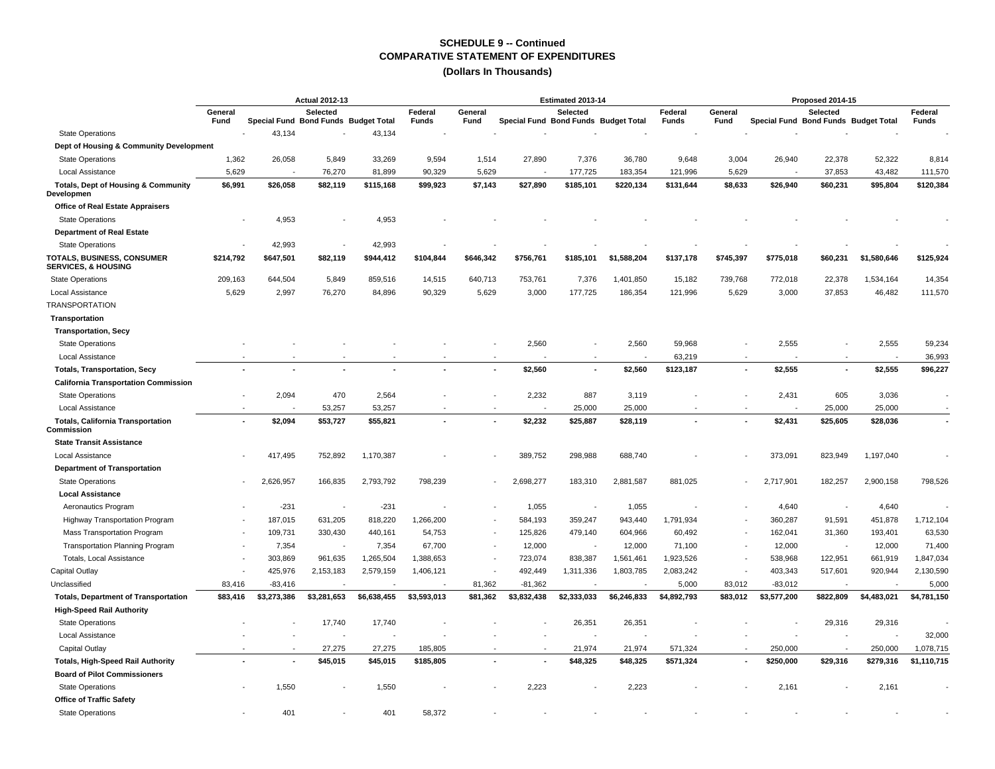|                                                              | <b>Actual 2012-13</b> |                                      |                          |             |                  |                 |                                      | Estimated 2013-14        |             |                         |                 |                                      | Proposed 2014-15         |                          |                         |
|--------------------------------------------------------------|-----------------------|--------------------------------------|--------------------------|-------------|------------------|-----------------|--------------------------------------|--------------------------|-------------|-------------------------|-----------------|--------------------------------------|--------------------------|--------------------------|-------------------------|
|                                                              | General<br>Fund       | Special Fund Bond Funds Budget Total | <b>Selected</b>          |             | Federal<br>Funds | General<br>Fund | Special Fund Bond Funds Budget Total | Selected                 |             | Federal<br><b>Funds</b> | General<br>Fund | Special Fund Bond Funds Budget Total | Selected                 |                          | Federal<br><b>Funds</b> |
| <b>State Operations</b>                                      | $\overline{a}$        | 43,134                               |                          | 43,134      |                  |                 |                                      |                          |             |                         |                 |                                      |                          |                          |                         |
| Dept of Housing & Community Development                      |                       |                                      |                          |             |                  |                 |                                      |                          |             |                         |                 |                                      |                          |                          |                         |
| <b>State Operations</b>                                      | 1,362                 | 26,058                               | 5,849                    | 33,269      | 9,594            | 1,514           | 27,890                               | 7,376                    | 36,780      | 9,648                   | 3,004           | 26,940                               | 22,378                   | 52,322                   | 8,814                   |
| Local Assistance                                             | 5,629                 |                                      | 76,270                   | 81,899      | 90,329           | 5,629           |                                      | 177,725                  | 183,354     | 121,996                 | 5,629           |                                      | 37,853                   | 43,482                   | 111,570                 |
| <b>Totals, Dept of Housing &amp; Community</b><br>Developmen | \$6,991               | \$26.058                             | \$82.119                 | \$115.168   | \$99,923         | \$7.143         | \$27.890                             | \$185,101                | \$220.134   | \$131,644               | \$8.633         | \$26.940                             | \$60,231                 | \$95.804                 | \$120,384               |
| <b>Office of Real Estate Appraisers</b>                      |                       |                                      |                          |             |                  |                 |                                      |                          |             |                         |                 |                                      |                          |                          |                         |
| <b>State Operations</b>                                      |                       | 4,953                                |                          | 4,953       |                  |                 |                                      |                          |             |                         |                 |                                      |                          |                          |                         |
| <b>Department of Real Estate</b>                             |                       |                                      |                          |             |                  |                 |                                      |                          |             |                         |                 |                                      |                          |                          |                         |
| <b>State Operations</b>                                      |                       | 42,993                               | $\overline{\phantom{a}}$ | 42,993      |                  |                 |                                      |                          |             |                         |                 |                                      |                          |                          |                         |
| TOTALS, BUSINESS, CONSUMER<br><b>SERVICES, &amp; HOUSING</b> | \$214,792             | \$647,501                            | \$82,119                 | \$944,412   | \$104,844        | \$646,342       | \$756,761                            | \$185,101                | \$1,588,204 | \$137,178               | \$745,397       | \$775,018                            | \$60,231                 | \$1,580,646              | \$125,924               |
| <b>State Operations</b>                                      | 209,163               | 644,504                              | 5,849                    | 859,516     | 14,515           | 640,713         | 753,761                              | 7,376                    | 1,401,850   | 15,182                  | 739,768         | 772,018                              | 22,378                   | 1,534,164                | 14,354                  |
| Local Assistance                                             | 5,629                 | 2,997                                | 76,270                   | 84,896      | 90,329           | 5,629           | 3,000                                | 177,725                  | 186,354     | 121,996                 | 5,629           | 3,000                                | 37,853                   | 46,482                   | 111,570                 |
| <b>TRANSPORTATION</b>                                        |                       |                                      |                          |             |                  |                 |                                      |                          |             |                         |                 |                                      |                          |                          |                         |
| Transportation                                               |                       |                                      |                          |             |                  |                 |                                      |                          |             |                         |                 |                                      |                          |                          |                         |
| <b>Transportation, Secy</b><br><b>State Operations</b>       |                       |                                      |                          |             |                  |                 | 2,560                                |                          | 2,560       | 59,968                  |                 | 2,555                                |                          | 2,555                    | 59,234                  |
| Local Assistance                                             |                       |                                      |                          |             |                  |                 |                                      |                          |             | 63,219                  |                 |                                      |                          | $\overline{\phantom{a}}$ | 36,993                  |
| <b>Totals, Transportation, Secy</b>                          |                       |                                      |                          |             |                  |                 | \$2,560                              |                          | \$2,560     | \$123,187               |                 | \$2,555                              | $\overline{\phantom{a}}$ | \$2,555                  | \$96,227                |
| <b>California Transportation Commission</b>                  |                       |                                      |                          |             |                  |                 |                                      |                          |             |                         |                 |                                      |                          |                          |                         |
| <b>State Operations</b>                                      |                       | 2,094                                | 470                      | 2,564       |                  |                 | 2,232                                | 887                      | 3,119       |                         |                 | 2,431                                | 605                      | 3,036                    |                         |
| Local Assistance                                             |                       |                                      | 53,257                   | 53,257      |                  |                 |                                      | 25,000                   | 25,000      |                         |                 |                                      | 25,000                   | 25,000                   |                         |
| <b>Totals, California Transportation</b><br>Commission       |                       | \$2,094                              | \$53,727                 | \$55,821    |                  |                 | \$2,232                              | \$25,887                 | \$28,119    |                         |                 | \$2,431                              | \$25,605                 | \$28,036                 |                         |
| <b>State Transit Assistance</b>                              |                       |                                      |                          |             |                  |                 |                                      |                          |             |                         |                 |                                      |                          |                          |                         |
| Local Assistance                                             |                       | 417,495                              | 752,892                  | 1,170,387   |                  |                 | 389,752                              | 298,988                  | 688,740     |                         |                 | 373,091                              | 823,949                  | 1,197,040                |                         |
| <b>Department of Transportation</b>                          |                       |                                      |                          |             |                  |                 |                                      |                          |             |                         |                 |                                      |                          |                          |                         |
| <b>State Operations</b>                                      |                       | 2,626,957                            | 166,835                  | 2,793,792   | 798,239          |                 | 2,698,277                            | 183,310                  | 2,881,587   | 881,025                 |                 | 2,717,901                            | 182,257                  | 2,900,158                | 798,526                 |
| <b>Local Assistance</b>                                      |                       |                                      |                          |             |                  |                 |                                      |                          |             |                         |                 |                                      |                          |                          |                         |
| Aeronautics Program                                          |                       | $-231$                               | $\overline{\phantom{a}}$ | $-231$      |                  |                 | 1,055                                | $\overline{\phantom{a}}$ | 1,055       |                         |                 | 4,640                                |                          | 4,640                    |                         |
| <b>Highway Transportation Program</b>                        |                       | 187,015                              | 631,205                  | 818,220     | 1,266,200        |                 | 584,193                              | 359,247                  | 943,440     | 1,791,934               |                 | 360,287                              | 91,591                   | 451,878                  | 1,712,104               |
| Mass Transportation Program                                  |                       | 109,731                              | 330,430                  | 440,161     | 54,753           |                 | 125,826                              | 479,140                  | 604,966     | 60,492                  |                 | 162,041                              | 31,360                   | 193,401                  | 63,530                  |
| <b>Transportation Planning Program</b>                       |                       | 7,354                                | $\overline{\phantom{a}}$ | 7,354       | 67,700           |                 | 12,000                               |                          | 12,000      | 71,100                  |                 | 12,000                               |                          | 12,000                   | 71,400                  |
| Totals, Local Assistance                                     |                       | 303,869                              | 961,635                  | 1,265,504   | 1,388,653        |                 | 723,074                              | 838,387                  | 1,561,461   | 1,923,526               |                 | 538,968                              | 122,951                  | 661,919                  | 1,847,034               |
| <b>Capital Outlay</b>                                        |                       | 425,976                              | 2,153,183                | 2,579,159   | 1,406,121        |                 | 492,449                              | 1,311,336                | 1,803,785   | 2,083,242               |                 | 403,343                              | 517,601                  | 920,944                  | 2,130,590               |
| Unclassified                                                 | 83,416                | $-83,416$                            |                          |             |                  | 81,362          | $-81,362$                            |                          |             | 5,000                   | 83,012          | $-83,012$                            |                          |                          | 5,000                   |
| <b>Totals, Department of Transportation</b>                  | \$83,416              | \$3,273,386                          | \$3,281,653              | \$6,638,455 | \$3,593,013      | \$81,362        | \$3,832,438                          | \$2,333,033              | \$6,246,833 | \$4,892,793             | \$83,012        | \$3,577,200                          | \$822,809                | \$4,483,021              | \$4,781,150             |
| <b>High-Speed Rail Authority</b>                             |                       |                                      |                          |             |                  |                 |                                      |                          |             |                         |                 |                                      |                          |                          |                         |
| <b>State Operations</b>                                      |                       |                                      | 17,740                   | 17,740      |                  |                 |                                      | 26,351                   | 26,351      |                         |                 |                                      | 29,316                   | 29,316                   |                         |
| Local Assistance                                             |                       |                                      |                          |             |                  |                 |                                      |                          |             |                         |                 |                                      |                          |                          | 32,000                  |
| Capital Outlay                                               |                       |                                      | 27,275                   | 27,275      | 185,805          |                 |                                      | 21,974                   | 21,974      | 571,324                 |                 | 250,000                              |                          | 250,000                  | 1,078,715               |
| <b>Totals, High-Speed Rail Authority</b>                     |                       |                                      | \$45,015                 | \$45,015    | \$185,805        |                 |                                      | \$48,325                 | \$48,325    | \$571,324               |                 | \$250,000                            | \$29,316                 | \$279,316                | \$1,110,715             |
| <b>Board of Pilot Commissioners</b>                          |                       |                                      |                          |             |                  |                 |                                      |                          |             |                         |                 |                                      |                          |                          |                         |
| <b>State Operations</b>                                      |                       | 1,550                                |                          | 1,550       |                  |                 | 2,223                                |                          | 2,223       |                         |                 | 2,161                                |                          | 2,161                    |                         |
| <b>Office of Traffic Safety</b>                              |                       |                                      |                          |             |                  |                 |                                      |                          |             |                         |                 |                                      |                          |                          |                         |
| <b>State Operations</b>                                      |                       | 401                                  |                          | 401         | 58,372           |                 |                                      |                          |             |                         |                 |                                      |                          |                          |                         |
|                                                              |                       |                                      |                          |             |                  |                 |                                      |                          |             |                         |                 |                                      |                          |                          |                         |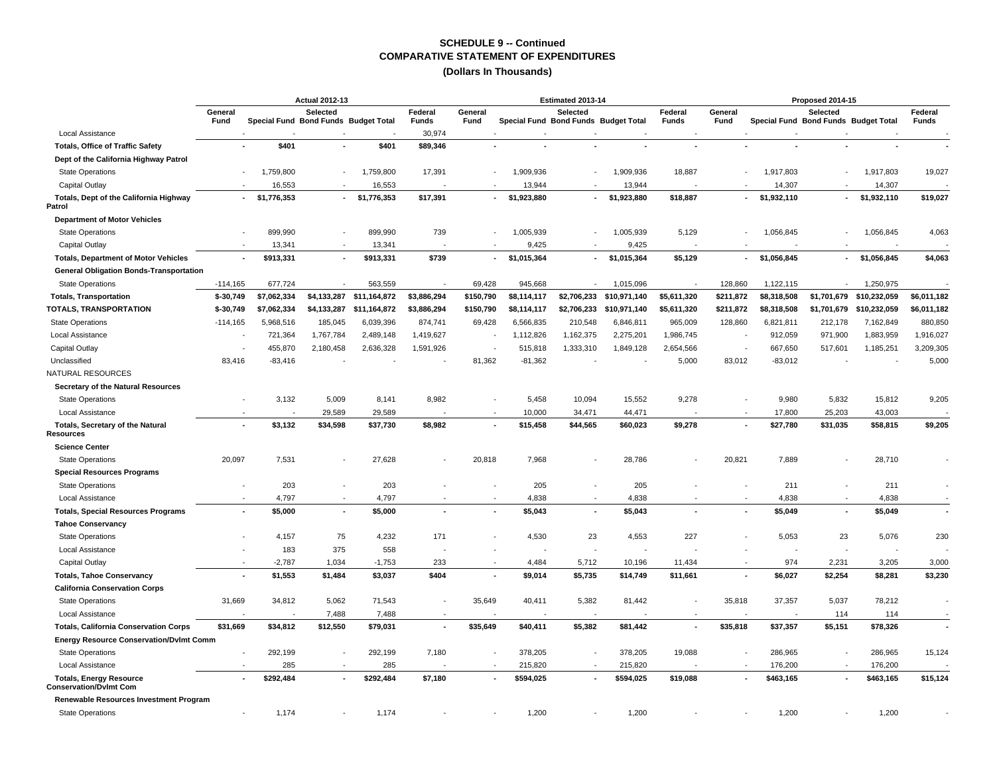|                                                                 | <b>Actual 2012-13</b> |                                      |                          |                          |                  |                 |                                      | Estimated 2013-14 |              |                         |                 |                                      | Proposed 2014-15 |              |                         |
|-----------------------------------------------------------------|-----------------------|--------------------------------------|--------------------------|--------------------------|------------------|-----------------|--------------------------------------|-------------------|--------------|-------------------------|-----------------|--------------------------------------|------------------|--------------|-------------------------|
|                                                                 | General<br>Fund       | Special Fund Bond Funds Budget Total | <b>Selected</b>          |                          | Federal<br>Funds | General<br>Fund | Special Fund Bond Funds Budget Total | <b>Selected</b>   |              | Federal<br><b>Funds</b> | General<br>Fund | Special Fund Bond Funds Budget Total | Selected         |              | Federal<br><b>Funds</b> |
| Local Assistance                                                |                       |                                      |                          |                          | 30,974           |                 |                                      |                   |              |                         |                 |                                      |                  |              |                         |
| <b>Totals, Office of Traffic Safety</b>                         |                       | \$401                                |                          | \$401                    | \$89,346         |                 |                                      |                   |              |                         |                 |                                      |                  |              |                         |
| Dept of the California Highway Patrol                           |                       |                                      |                          |                          |                  |                 |                                      |                   |              |                         |                 |                                      |                  |              |                         |
| <b>State Operations</b>                                         |                       | 1,759,800                            | $\blacksquare$           | 1,759,800                | 17,391           |                 | 1,909,936                            |                   | 1,909,936    | 18,887                  |                 | 1,917,803                            |                  | 1,917,803    | 19,027                  |
| Capital Outlay                                                  |                       | 16,553                               |                          | 16,553                   |                  |                 | 13,944                               |                   | 13,944       |                         |                 | 14,307                               |                  | 14,307       |                         |
| Totals, Dept of the California Highway<br>Patrol                | $\sim$                | \$1,776,353                          | $\overline{\phantom{a}}$ | \$1,776,353              | \$17,391         |                 | \$1,923,880                          |                   | \$1,923,880  | \$18,887                |                 | \$1,932,110                          | $\sim$           | \$1,932,110  | \$19,027                |
| <b>Department of Motor Vehicles</b>                             |                       |                                      |                          |                          |                  |                 |                                      |                   |              |                         |                 |                                      |                  |              |                         |
| <b>State Operations</b>                                         |                       | 899,990                              |                          | 899,990                  | 739              |                 | 1,005,939                            |                   | 1,005,939    | 5,129                   |                 | 1,056,845                            |                  | 1,056,845    | 4,063                   |
| Capital Outlay                                                  |                       | 13,341                               |                          | 13,341                   |                  |                 | 9,425                                |                   | 9,425        |                         |                 |                                      |                  |              |                         |
| <b>Totals, Department of Motor Vehicles</b>                     |                       | \$913,331                            | ٠                        | \$913,331                | \$739            | $\sim$          | \$1,015,364                          | ٠                 | \$1,015,364  | \$5,129                 |                 | \$1,056,845                          | $\sim$           | \$1,056,845  | \$4,063                 |
| <b>General Obligation Bonds-Transportation</b>                  |                       |                                      |                          |                          |                  |                 |                                      |                   |              |                         |                 |                                      |                  |              |                         |
| <b>State Operations</b>                                         | $-114,165$            | 677,724                              |                          | 563,559                  |                  | 69,428          | 945,668                              |                   | 1,015,096    |                         | 128,860         | 1,122,115                            |                  | 1,250,975    |                         |
| <b>Totals, Transportation</b>                                   | $$-30,749$            | \$7,062,334                          |                          | \$4,133,287 \$11,164,872 | \$3,886,294      | \$150,790       | \$8,114,117                          | \$2,706,233       | \$10,971,140 | \$5,611,320             | \$211,872       | \$8,318,508                          | \$1,701,679      | \$10,232,059 | \$6,011,182             |
| TOTALS, TRANSPORTATION                                          | \$-30,749             | \$7,062,334                          | \$4,133,287              | \$11,164,872             | \$3,886,294      | \$150,790       | \$8,114,117                          | \$2,706,233       | \$10,971,140 | \$5,611,320             | \$211,872       | \$8,318,508                          | \$1,701,679      | \$10,232,059 | \$6,011,182             |
| <b>State Operations</b>                                         | $-114,165$            | 5,968,516                            | 185,045                  | 6,039,396                | 874,741          | 69,428          | 6,566,835                            | 210,548           | 6,846,811    | 965,009                 | 128,860         | 6,821,811                            | 212,178          | 7,162,849    | 880,850                 |
| <b>Local Assistance</b>                                         |                       | 721,364                              | 1,767,784                | 2,489,148                | 1,419,627        |                 | 1,112,826                            | 1,162,375         | 2,275,201    | 1,986,745               |                 | 912,059                              | 971,900          | 1,883,959    | 1,916,027               |
| Capital Outlay                                                  |                       | 455,870                              | 2,180,458                | 2,636,328                | 1,591,926        |                 | 515,818                              | 1,333,310         | 1,849,128    | 2,654,566               |                 | 667,650                              | 517,601          | 1,185,251    | 3,209,305               |
| Unclassified                                                    | 83,416                | $-83,416$                            |                          |                          |                  | 81,362          | $-81,362$                            |                   |              | 5,000                   | 83,012          | $-83,012$                            |                  |              | 5,000                   |
| NATURAL RESOURCES                                               |                       |                                      |                          |                          |                  |                 |                                      |                   |              |                         |                 |                                      |                  |              |                         |
| Secretary of the Natural Resources                              |                       |                                      |                          |                          |                  |                 |                                      |                   |              |                         |                 |                                      |                  |              |                         |
| <b>State Operations</b>                                         |                       | 3,132                                | 5,009                    | 8,141                    | 8,982            |                 | 5,458                                | 10,094            | 15,552       | 9,278                   |                 | 9,980                                | 5,832            | 15,812       | 9,205                   |
| Local Assistance                                                |                       |                                      | 29,589                   | 29,589                   |                  |                 | 10,000                               | 34,471            | 44,471       |                         |                 | 17,800                               | 25,203           | 43,003       |                         |
| Totals, Secretary of the Natural<br>Resources                   |                       | \$3,132                              | \$34,598                 | \$37,730                 | \$8,982          |                 | \$15,458                             | \$44,565          | \$60,023     | \$9,278                 |                 | \$27,780                             | \$31,035         | \$58,815     | \$9,205                 |
| <b>Science Center</b>                                           |                       |                                      |                          |                          |                  |                 |                                      |                   |              |                         |                 |                                      |                  |              |                         |
| <b>State Operations</b>                                         | 20,097                | 7,531                                |                          | 27,628                   |                  | 20,818          | 7,968                                |                   | 28,786       |                         | 20,821          | 7,889                                |                  | 28,710       |                         |
| <b>Special Resources Programs</b>                               |                       |                                      |                          |                          |                  |                 |                                      |                   |              |                         |                 |                                      |                  |              |                         |
| <b>State Operations</b>                                         |                       | 203                                  | $\blacksquare$           | 203                      |                  |                 | 205                                  |                   | 205          |                         |                 | 211                                  | $\sim$           | 211          |                         |
| Local Assistance                                                |                       | 4,797                                |                          | 4,797                    |                  |                 | 4,838                                |                   | 4,838        |                         |                 | 4,838                                | $\blacksquare$   | 4,838        |                         |
| <b>Totals, Special Resources Programs</b>                       |                       | \$5,000                              | $\blacksquare$           | \$5,000                  |                  |                 | \$5,043                              |                   | \$5,043      |                         |                 | \$5,049                              |                  | \$5,049      |                         |
| <b>Tahoe Conservancy</b>                                        |                       |                                      |                          |                          |                  |                 |                                      |                   |              |                         |                 |                                      |                  |              |                         |
| <b>State Operations</b>                                         |                       | 4,157                                | 75                       | 4,232                    | 171              |                 | 4,530                                | 23                | 4,553        | 227                     |                 | 5,053                                | 23               | 5,076        | 230                     |
| Local Assistance                                                |                       | 183                                  | 375                      | 558                      |                  |                 |                                      |                   |              |                         |                 |                                      |                  |              |                         |
| Capital Outlay                                                  |                       | $-2,787$                             | 1,034                    | $-1,753$                 | 233              |                 | 4,484                                | 5,712             | 10,196       | 11,434                  |                 | 974                                  | 2,231            | 3,205        | 3,000                   |
| <b>Totals, Tahoe Conservancy</b>                                |                       | \$1,553                              | \$1,484                  | \$3,037                  | \$404            |                 | \$9,014                              | \$5,735           | \$14,749     | \$11,661                |                 | \$6,027                              | \$2,254          | \$8,281      | \$3,230                 |
| <b>California Conservation Corps</b>                            |                       |                                      |                          |                          |                  |                 |                                      |                   |              |                         |                 |                                      |                  |              |                         |
| <b>State Operations</b>                                         | 31,669                | 34,812                               | 5,062                    | 71,543                   |                  | 35,649          | 40,411                               | 5,382             | 81,442       |                         | 35,818          | 37,357                               | 5,037            | 78,212       |                         |
| Local Assistance                                                |                       |                                      | 7,488                    | 7,488                    |                  |                 |                                      |                   |              |                         |                 |                                      | 114              | 114          |                         |
| <b>Totals, California Conservation Corps</b>                    | \$31,669              | \$34,812                             | \$12,550                 | \$79,031                 | $\blacksquare$   | \$35,649        | \$40,411                             | \$5,382           | \$81,442     |                         | \$35,818        | \$37,357                             | \$5,151          | \$78,326     |                         |
| <b>Energy Resource Conservation/Dvlmt Comm</b>                  |                       |                                      |                          |                          |                  |                 |                                      |                   |              |                         |                 |                                      |                  |              |                         |
| <b>State Operations</b>                                         |                       | 292,199                              | $\overline{\phantom{a}}$ | 292,199                  | 7,180            |                 | 378,205                              |                   | 378,205      | 19,088                  |                 | 286,965                              |                  | 286,965      | 15,124                  |
| Local Assistance                                                |                       | 285                                  |                          | 285                      |                  |                 | 215,820                              |                   | 215,820      |                         |                 | 176,200                              |                  | 176,200      |                         |
| <b>Totals, Energy Resource</b><br><b>Conservation/DvImt Com</b> |                       | \$292,484                            |                          | \$292,484                | \$7,180          |                 | \$594,025                            |                   | \$594,025    | \$19,088                |                 | \$463,165                            |                  | \$463,165    | \$15,124                |
| Renewable Resources Investment Program                          |                       |                                      |                          |                          |                  |                 |                                      |                   |              |                         |                 |                                      |                  |              |                         |
| <b>State Operations</b>                                         |                       | 1,174                                |                          | 1,174                    |                  |                 | 1,200                                |                   | 1,200        |                         |                 | 1,200                                |                  | 1,200        |                         |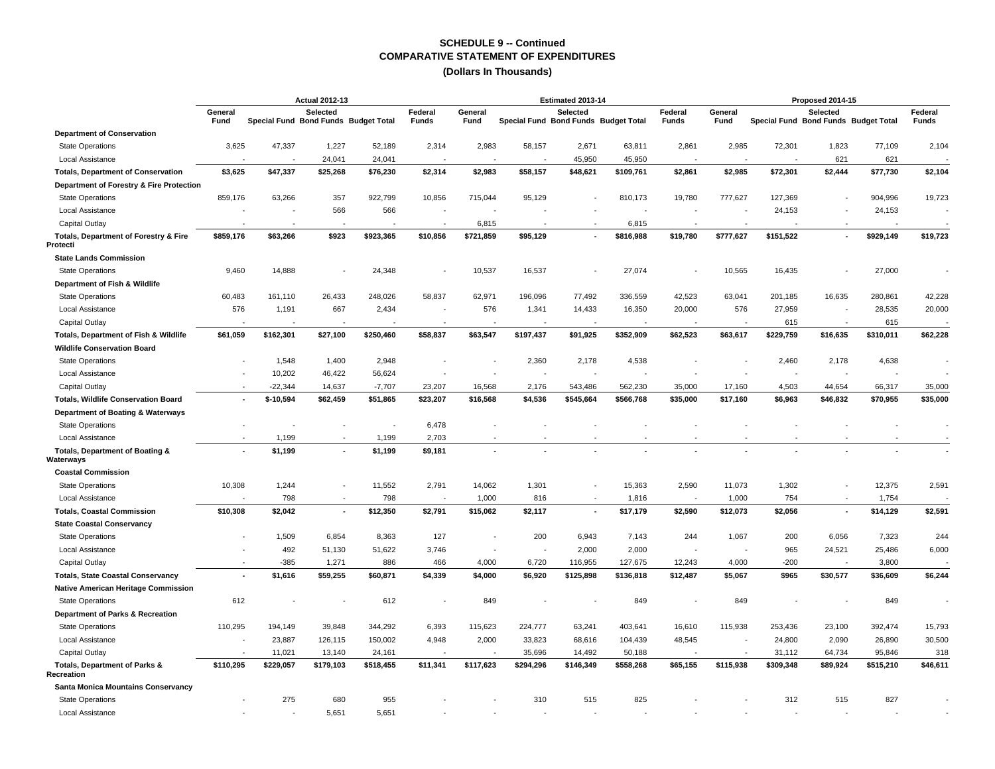|                                                  | <b>Actual 2012-13</b>    |                                      |                 |           |                         |                 |                                      | Estimated 2013-14 |           |                         |                 |           | Proposed 2014-15                                 |           |                         |
|--------------------------------------------------|--------------------------|--------------------------------------|-----------------|-----------|-------------------------|-----------------|--------------------------------------|-------------------|-----------|-------------------------|-----------------|-----------|--------------------------------------------------|-----------|-------------------------|
|                                                  | General<br>Fund          | Special Fund Bond Funds Budget Total | <b>Selected</b> |           | Federal<br><b>Funds</b> | General<br>Fund | Special Fund Bond Funds Budget Total | Selected          |           | Federal<br><b>Funds</b> | General<br>Fund |           | Selected<br>Special Fund Bond Funds Budget Total |           | Federal<br><b>Funds</b> |
| <b>Department of Conservation</b>                |                          |                                      |                 |           |                         |                 |                                      |                   |           |                         |                 |           |                                                  |           |                         |
| <b>State Operations</b>                          | 3,625                    | 47,337                               | 1,227           | 52,189    | 2,314                   | 2,983           | 58,157                               | 2,671             | 63,811    | 2,861                   | 2,985           | 72,301    | 1,823                                            | 77,109    | 2,104                   |
| <b>Local Assistance</b>                          |                          |                                      | 24,041          | 24.041    |                         |                 |                                      | 45,950            | 45,950    |                         |                 |           | 621                                              | 621       |                         |
| <b>Totals, Department of Conservation</b>        | \$3,625                  | \$47,337                             | \$25,268        | \$76,230  | \$2,314                 | \$2,983         | \$58,157                             | \$48,621          | \$109,761 | \$2,861                 | \$2,985         | \$72,301  | \$2,444                                          | \$77,730  | \$2,104                 |
| Department of Forestry & Fire Protection         |                          |                                      |                 |           |                         |                 |                                      |                   |           |                         |                 |           |                                                  |           |                         |
| <b>State Operations</b>                          | 859,176                  | 63,266                               | 357             | 922,799   | 10,856                  | 715,044         | 95,129                               |                   | 810,173   | 19,780                  | 777,627         | 127,369   |                                                  | 904,996   | 19,723                  |
| Local Assistance                                 |                          |                                      | 566             | 566       |                         |                 |                                      |                   |           |                         |                 | 24,153    |                                                  | 24,153    |                         |
| Capital Outlay                                   |                          |                                      |                 |           | ٠.                      | 6,815           |                                      | $\sim$            | 6,815     |                         |                 |           |                                                  |           |                         |
| Totals, Department of Forestry & Fire<br>rotecti | \$859,176                | \$63,266                             | \$923           | \$923,365 | \$10,856                | \$721,859       | \$95,129                             |                   | \$816,988 | \$19,780                | \$777,627       | \$151,522 |                                                  | \$929,149 | \$19,723                |
| <b>State Lands Commission</b>                    |                          |                                      |                 |           |                         |                 |                                      |                   |           |                         |                 |           |                                                  |           |                         |
| <b>State Operations</b>                          | 9,460                    | 14,888                               |                 | 24,348    |                         | 10,537          | 16,537                               |                   | 27,074    |                         | 10,565          | 16,435    |                                                  | 27,000    |                         |
| Department of Fish & Wildlife                    |                          |                                      |                 |           |                         |                 |                                      |                   |           |                         |                 |           |                                                  |           |                         |
| <b>State Operations</b>                          | 60,483                   | 161,110                              | 26,433          | 248,026   | 58,837                  | 62,971          | 196,096                              | 77,492            | 336,559   | 42,523                  | 63,041          | 201,185   | 16,635                                           | 280,861   | 42,228                  |
| Local Assistance                                 | 576                      | 1,191                                | 667             | 2,434     |                         | 576             | 1,341                                | 14,433            | 16,350    | 20,000                  | 576             | 27,959    |                                                  | 28,535    | 20,000                  |
| Capital Outlay                                   |                          |                                      |                 |           |                         |                 |                                      |                   |           |                         |                 | 615       |                                                  | 615       |                         |
| Totals, Department of Fish & Wildlife            | \$61,059                 | \$162,301                            | \$27,100        | \$250,460 | \$58,837                | \$63,547        | \$197,437                            | \$91,925          | \$352,909 | \$62,523                | \$63,617        | \$229,759 | \$16,635                                         | \$310,011 | \$62,228                |
| <b>Wildlife Conservation Board</b>               |                          |                                      |                 |           |                         |                 |                                      |                   |           |                         |                 |           |                                                  |           |                         |
| <b>State Operations</b>                          |                          | 1,548                                | 1,400           | 2,948     |                         |                 | 2,360                                | 2,178             | 4,538     |                         |                 | 2,460     | 2,178                                            | 4,638     |                         |
| Local Assistance                                 |                          | 10,202                               | 46,422          | 56,624    |                         |                 |                                      |                   |           |                         |                 |           |                                                  |           |                         |
| Capital Outlay                                   |                          | $-22,344$                            | 14,637          | $-7,707$  | 23,207                  | 16,568          | 2,176                                | 543,486           | 562,230   | 35,000                  | 17,160          | 4,503     | 44,654                                           | 66,317    | 35,000                  |
| <b>Totals, Wildlife Conservation Board</b>       | ٠                        | $$-10,594$                           | \$62,459        | \$51,865  | \$23,207                | \$16,568        | \$4,536                              | \$545,664         | \$566,768 | \$35,000                | \$17,160        | \$6,963   | \$46,832                                         | \$70,955  | \$35,000                |
| Department of Boating & Waterways                |                          |                                      |                 |           |                         |                 |                                      |                   |           |                         |                 |           |                                                  |           |                         |
| <b>State Operations</b>                          |                          |                                      |                 |           | 6,478                   |                 |                                      |                   |           |                         |                 |           |                                                  |           |                         |
| Local Assistance                                 |                          | 1,199                                |                 | 1,199     | 2,703                   |                 |                                      |                   |           |                         |                 |           |                                                  |           |                         |
| Totals, Department of Boating &                  |                          | \$1,199                              | $\blacksquare$  | \$1,199   | \$9,181                 |                 |                                      |                   |           |                         |                 |           |                                                  |           |                         |
| <b>/aterways</b>                                 |                          |                                      |                 |           |                         |                 |                                      |                   |           |                         |                 |           |                                                  |           |                         |
| <b>Coastal Commission</b>                        |                          |                                      |                 |           |                         |                 |                                      |                   |           |                         |                 |           |                                                  |           |                         |
| <b>State Operations</b>                          | 10,308                   | 1,244                                | $\overline{a}$  | 11,552    | 2,791                   | 14,062          | 1,301                                | $\blacksquare$    | 15,363    | 2,590                   | 11,073          | 1,302     | $\blacksquare$                                   | 12,375    | 2,591                   |
| Local Assistance                                 |                          | 798                                  |                 | 798       |                         | 1,000           | 816                                  |                   | 1,816     |                         | 1,000           | 754       |                                                  | 1,754     |                         |
| <b>Totals, Coastal Commission</b>                | \$10,308                 | \$2,042                              | ä,              | \$12,350  | \$2,791                 | \$15,062        | \$2,117                              |                   | \$17,179  | \$2,590                 | \$12,073        | \$2,056   |                                                  | \$14,129  | \$2,591                 |
| <b>State Coastal Conservancy</b>                 |                          |                                      |                 |           |                         |                 |                                      |                   |           |                         |                 |           |                                                  |           |                         |
| <b>State Operations</b>                          |                          | 1,509                                | 6,854           | 8,363     | 127                     |                 | 200                                  | 6,943             | 7,143     | 244                     | 1,067           | 200       | 6,056                                            | 7,323     | 244                     |
| Local Assistance                                 |                          | 492                                  | 51,130          | 51,622    | 3,746                   | ÷               |                                      | 2,000             | 2,000     |                         |                 | 965       | 24,521                                           | 25,486    | 6,000                   |
| Capital Outlay                                   | $\overline{a}$           | $-385$                               | 1,271           | 886       | 466                     | 4,000           | 6,720                                | 116,955           | 127,675   | 12,243                  | 4,000           | $-200$    |                                                  | 3,800     |                         |
| <b>Totals, State Coastal Conservancy</b>         | $\overline{\phantom{a}}$ | \$1,616                              | \$59,255        | \$60,871  | \$4,339                 | \$4,000         | \$6,920                              | \$125,898         | \$136,818 | \$12,487                | \$5,067         | \$965     | \$30,577                                         | \$36,609  | \$6,244                 |
| Native American Heritage Commission              |                          |                                      |                 |           |                         |                 |                                      |                   |           |                         |                 |           |                                                  |           |                         |
| <b>State Operations</b>                          | 612                      |                                      |                 | 612       |                         | 849             |                                      |                   | 849       |                         | 849             |           |                                                  | 849       |                         |
| Department of Parks & Recreation                 |                          |                                      |                 |           |                         |                 |                                      |                   |           |                         |                 |           |                                                  |           |                         |
| <b>State Operations</b>                          | 110,295                  | 194,149                              | 39,848          | 344,292   | 6,393                   | 115,623         | 224,777                              | 63,241            | 403,641   | 16,610                  | 115,938         | 253,436   | 23,100                                           | 392,474   | 15,793                  |
| Local Assistance                                 |                          | 23,887                               | 126,115         | 150,002   | 4,948                   | 2,000           | 33,823                               | 68,616            | 104,439   | 48,545                  |                 | 24,800    | 2,090                                            | 26,890    | 30,500                  |
| Capital Outlay                                   |                          | 11,021                               | 13,140          | 24,161    |                         |                 | 35,696                               | 14,492            | 50,188    |                         |                 | 31,112    | 64,734                                           | 95,846    | 318                     |
| Totals, Department of Parks &<br>Recreation      | \$110,295                | \$229,057                            | \$179,103       | \$518,455 | \$11,341                | \$117,623       | \$294,296                            | \$146,349         | \$558,268 | \$65,155                | \$115,938       | \$309,348 | \$89,924                                         | \$515,210 | \$46,611                |
| <b>Santa Monica Mountains Conservancy</b>        |                          |                                      |                 |           |                         |                 |                                      |                   |           |                         |                 |           |                                                  |           |                         |
| <b>State Operations</b>                          |                          | 275                                  | 680             | 955       |                         |                 | 310                                  | 515               | 825       |                         |                 | 312       | 515                                              | 827       |                         |
| Local Assistance                                 |                          |                                      | 5,651           | 5,651     |                         |                 |                                      |                   |           |                         |                 |           |                                                  |           |                         |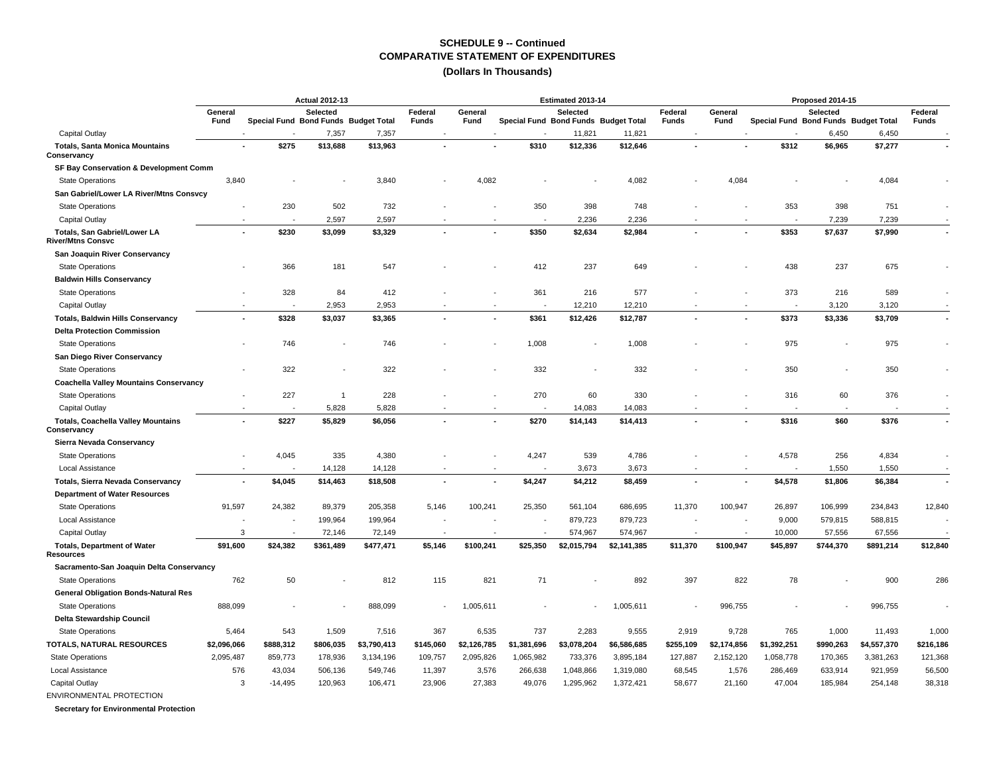### **(Dollars In Thousands)**

|                                                          | <b>Actual 2012-13</b> |                                      |              |             |                  |                 |                                      | Estimated 2013-14 |             |                  |                 |                                      | Proposed 2014-15 |             |                         |
|----------------------------------------------------------|-----------------------|--------------------------------------|--------------|-------------|------------------|-----------------|--------------------------------------|-------------------|-------------|------------------|-----------------|--------------------------------------|------------------|-------------|-------------------------|
|                                                          | General<br>Fund       | Special Fund Bond Funds Budget Total | Selected     |             | Federal<br>Funds | General<br>Fund | Special Fund Bond Funds Budget Total | Selected          |             | Federal<br>Funds | General<br>Fund | Special Fund Bond Funds Budget Total | Selected         |             | Federal<br><b>Funds</b> |
| Capital Outlay                                           |                       |                                      | 7,357        | 7,357       |                  |                 |                                      | 11,821            | 11,821      |                  |                 |                                      | 6,450            | 6,450       |                         |
| <b>Totals, Santa Monica Mountains</b><br>Conservancy     |                       | \$275<br>ä,                          | \$13,688     | \$13,963    |                  |                 | \$310                                | \$12,336          | \$12,646    |                  |                 | \$312                                | \$6,965          | \$7,277     |                         |
| SF Bay Conservation & Development Comm                   |                       |                                      |              |             |                  |                 |                                      |                   |             |                  |                 |                                      |                  |             |                         |
| <b>State Operations</b>                                  | 3,840                 |                                      |              | 3,840       |                  | 4,082           |                                      |                   | 4,082       |                  | 4,084           |                                      |                  | 4,084       |                         |
| San Gabriel/Lower LA River/Mtns Consvcy                  |                       |                                      |              |             |                  |                 |                                      |                   |             |                  |                 |                                      |                  |             |                         |
| <b>State Operations</b>                                  |                       | 230                                  | 502          | 732         |                  |                 | 350                                  | 398               | 748         |                  |                 | 353                                  | 398              | 751         |                         |
| Capital Outlay                                           |                       |                                      | 2,597        | 2,597       |                  |                 | $\overline{\phantom{a}}$             | 2,236             | 2,236       |                  |                 |                                      | 7,239            | 7,239       |                         |
| Totals, San Gabriel/Lower LA<br><b>River/Mtns Consvc</b> |                       | \$230                                | \$3,099      | \$3,329     |                  |                 | \$350                                | \$2,634           | \$2,984     |                  |                 | \$353                                | \$7,637          | \$7,990     |                         |
| San Joaquin River Conservancy                            |                       |                                      |              |             |                  |                 |                                      |                   |             |                  |                 |                                      |                  |             |                         |
| <b>State Operations</b>                                  |                       | 366                                  | 181          | 547         |                  |                 | 412                                  | 237               | 649         |                  |                 | 438                                  | 237              | 675         |                         |
| <b>Baldwin Hills Conservancy</b>                         |                       |                                      |              |             |                  |                 |                                      |                   |             |                  |                 |                                      |                  |             |                         |
| <b>State Operations</b>                                  |                       | 328                                  | 84           | 412         |                  |                 | 361                                  | 216               | 577         |                  |                 | 373                                  | 216              | 589         |                         |
| Capital Outlay                                           |                       |                                      | 2.953        | 2,953       |                  |                 | ۰.                                   | 12,210            | 12,210      |                  |                 | $\sim$                               | 3,120            | 3,120       |                         |
| <b>Totals, Baldwin Hills Conservancy</b>                 |                       | \$328<br>÷,                          | \$3,037      | \$3,365     |                  |                 | \$361                                | \$12,426          | \$12,787    |                  |                 | \$373                                | \$3,336          | \$3,709     | $\sim$                  |
| <b>Delta Protection Commission</b>                       |                       |                                      |              |             |                  |                 |                                      |                   |             |                  |                 |                                      |                  |             |                         |
| <b>State Operations</b>                                  |                       | 746                                  |              | 746         |                  |                 | 1,008                                |                   | 1,008       |                  |                 | 975                                  |                  | 975         |                         |
| San Diego River Conservancy                              |                       |                                      |              |             |                  |                 |                                      |                   |             |                  |                 |                                      |                  |             |                         |
| <b>State Operations</b>                                  |                       | 322                                  |              | 322         |                  |                 | 332                                  |                   | 332         |                  |                 | 350                                  |                  | 350         |                         |
| <b>Coachella Valley Mountains Conservancy</b>            |                       |                                      |              |             |                  |                 |                                      |                   |             |                  |                 |                                      |                  |             |                         |
| <b>State Operations</b>                                  |                       | 227<br>$\overline{\phantom{a}}$      | $\mathbf{1}$ | 228         |                  |                 | 270                                  | 60                | 330         |                  |                 | 316                                  | 60               | 376         |                         |
| Capital Outlay                                           |                       |                                      | 5,828        | 5,828       |                  |                 |                                      | 14,083            | 14,083      |                  |                 |                                      |                  |             |                         |
| <b>Totals, Coachella Valley Mountains</b><br>Conservancy |                       | \$227<br>ä,                          | \$5,829      | \$6,056     |                  |                 | \$270                                | \$14,143          | \$14,413    |                  |                 | \$316                                | \$60             | \$376       |                         |
| Sierra Nevada Conservancy                                |                       |                                      |              |             |                  |                 |                                      |                   |             |                  |                 |                                      |                  |             |                         |
| <b>State Operations</b>                                  |                       | 4,045                                | 335          | 4,380       |                  |                 | 4,247                                | 539               | 4,786       |                  |                 | 4,578                                | 256              | 4,834       |                         |
| Local Assistance                                         |                       |                                      | 14,128       | 14,128      |                  |                 |                                      | 3,673             | 3,673       |                  |                 |                                      | 1,550            | 1,550       |                         |
| <b>Totals, Sierra Nevada Conservancy</b>                 |                       | \$4,045<br>٠                         | \$14,463     | \$18,508    |                  |                 | \$4,247                              | \$4,212           | \$8,459     |                  |                 | \$4,578                              | \$1,806          | \$6,384     |                         |
| <b>Department of Water Resources</b>                     |                       |                                      |              |             |                  |                 |                                      |                   |             |                  |                 |                                      |                  |             |                         |
| <b>State Operations</b>                                  | 91,597                | 24,382                               | 89,379       | 205,358     | 5,146            | 100,241         | 25,350                               | 561,104           | 686,695     | 11,370           | 100,947         | 26,897                               | 106,999          | 234,843     | 12,840                  |
| Local Assistance                                         |                       |                                      | 199,964      | 199,964     |                  |                 |                                      | 879,723           | 879,723     |                  |                 | 9,000                                | 579,815          | 588,815     |                         |
| Capital Outlay                                           | 3                     |                                      | 72,146       | 72,149      |                  |                 |                                      | 574,967           | 574,967     |                  |                 | 10,000                               | 57,556           | 67,556      |                         |
| <b>Totals, Department of Water</b><br>Resources          | \$91,600              | \$24,382                             | \$361,489    | \$477,471   | \$5,146          | \$100,241       | \$25,350                             | \$2,015,794       | \$2,141,385 | \$11,370         | \$100,947       | \$45,897                             | \$744,370        | \$891,214   | \$12,840                |
| Sacramento-San Joaquin Delta Conservancy                 |                       |                                      |              |             |                  |                 |                                      |                   |             |                  |                 |                                      |                  |             |                         |
| <b>State Operations</b>                                  | 762                   | 50                                   |              | 812         | 115              | 821             | 71                                   |                   | 892         | 397              | 822             | 78                                   |                  | 900         | 286                     |
| <b>General Obligation Bonds-Natural Res</b>              |                       |                                      |              |             |                  |                 |                                      |                   |             |                  |                 |                                      |                  |             |                         |
| <b>State Operations</b>                                  | 888,099               |                                      |              | 888,099     |                  | 1,005,611       |                                      |                   | 1,005,611   |                  | 996,755         |                                      |                  | 996,755     |                         |
| Delta Stewardship Council                                |                       |                                      |              |             |                  |                 |                                      |                   |             |                  |                 |                                      |                  |             |                         |
| <b>State Operations</b>                                  | 5,464                 | 543                                  | 1,509        | 7,516       | 367              | 6,535           | 737                                  | 2,283             | 9,555       | 2,919            | 9,728           | 765                                  | 1,000            | 11,493      | 1,000                   |
| TOTALS, NATURAL RESOURCES                                | \$2,096,066           | \$888,312                            | \$806,035    | \$3,790,413 | \$145,060        | \$2,126,785     | \$1,381,696                          | \$3,078,204       | \$6,586,685 | \$255,109        | \$2,174,856     | \$1,392,251                          | \$990,263        | \$4,557,370 | \$216,186               |
| <b>State Operations</b>                                  | 2,095,487             | 859,773                              | 178,936      | 3,134,196   | 109,757          | 2,095,826       | 1,065,982                            | 733,376           | 3,895,184   | 127,887          | 2,152,120       | 1,058,778                            | 170,365          | 3,381,263   | 121,368                 |
| Local Assistance                                         | 576                   | 43,034                               | 506,136      | 549,746     | 11,397           | 3,576           | 266,638                              | 1,048,866         | 1,319,080   | 68,545           | 1,576           | 286,469                              | 633,914          | 921,959     | 56,500                  |
| Capital Outlay                                           | 3                     | $-14,495$                            | 120,963      | 106,471     | 23,906           | 27,383          | 49,076                               | 1,295,962         | 1,372,421   | 58,677           | 21,160          | 47,004                               | 185,984          | 254,148     | 38,318                  |
| ENVIRONMENTAL PROTECTION                                 |                       |                                      |              |             |                  |                 |                                      |                   |             |                  |                 |                                      |                  |             |                         |

 **Secretary for Environmental Protection**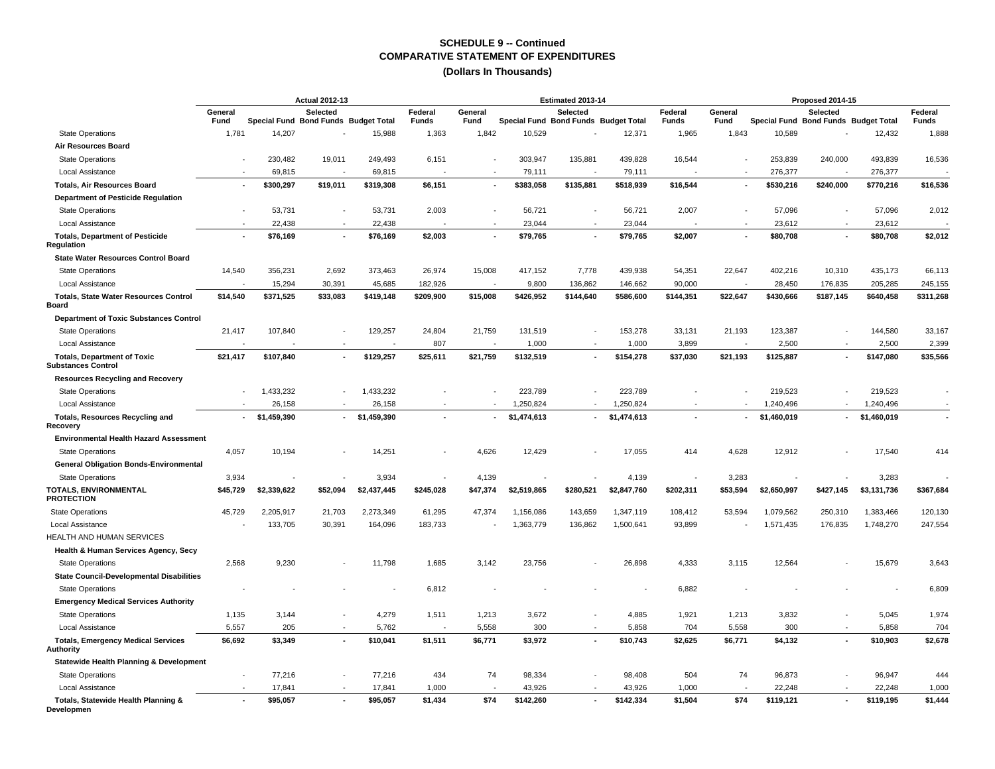|                                                                 | <b>Actual 2012-13</b> |                                      |                          |             |                         |                 |             | Estimated 2013-14                                |             |                         |                 |             | Proposed 2014-15                                 |             |                         |
|-----------------------------------------------------------------|-----------------------|--------------------------------------|--------------------------|-------------|-------------------------|-----------------|-------------|--------------------------------------------------|-------------|-------------------------|-----------------|-------------|--------------------------------------------------|-------------|-------------------------|
|                                                                 | General<br>Fund       | Special Fund Bond Funds Budget Total | Selected                 |             | Federal<br><b>Funds</b> | General<br>Fund |             | Selected<br>Special Fund Bond Funds Budget Total |             | Federal<br><b>Funds</b> | General<br>Fund |             | Selected<br>Special Fund Bond Funds Budget Total |             | Federal<br><b>Funds</b> |
| <b>State Operations</b>                                         | 1,781                 | 14,207                               |                          | 15,988      | 1,363                   | 1,842           | 10,529      |                                                  | 12,371      | 1,965                   | 1,843           | 10,589      |                                                  | 12,432      | 1,888                   |
| <b>Air Resources Board</b>                                      |                       |                                      |                          |             |                         |                 |             |                                                  |             |                         |                 |             |                                                  |             |                         |
| <b>State Operations</b>                                         |                       | 230,482                              | 19,011                   | 249,493     | 6,151                   |                 | 303,947     | 135,881                                          | 439,828     | 16,544                  |                 | 253,839     | 240,000                                          | 493,839     | 16,536                  |
| Local Assistance                                                |                       | 69,815                               |                          | 69,815      |                         |                 | 79,111      |                                                  | 79,111      |                         |                 | 276,377     |                                                  | 276,377     |                         |
| <b>Totals. Air Resources Board</b>                              |                       | \$300,297                            | \$19.011                 | \$319,308   | \$6,151                 |                 | \$383,058   | \$135,881                                        | \$518,939   | \$16,544                |                 | \$530,216   | \$240,000                                        | \$770,216   | \$16,536                |
| <b>Department of Pesticide Regulation</b>                       |                       |                                      |                          |             |                         |                 |             |                                                  |             |                         |                 |             |                                                  |             |                         |
| <b>State Operations</b>                                         |                       | 53,731                               |                          | 53,731      | 2,003                   |                 | 56,721      |                                                  | 56,721      | 2,007                   |                 | 57,096      |                                                  | 57,096      | 2,012                   |
| Local Assistance                                                |                       | 22,438                               | $\overline{\phantom{a}}$ | 22,438      |                         |                 | 23,044      |                                                  | 23,044      |                         |                 | 23,612      | $\overline{\phantom{a}}$                         | 23,612      |                         |
| <b>Totals, Department of Pesticide</b><br>Regulation            |                       | \$76,169                             | $\overline{\phantom{a}}$ | \$76,169    | \$2,003                 |                 | \$79,765    |                                                  | \$79,765    | \$2,007                 |                 | \$80,708    | $\overline{a}$                                   | \$80,708    | \$2,012                 |
| <b>State Water Resources Control Board</b>                      |                       |                                      |                          |             |                         |                 |             |                                                  |             |                         |                 |             |                                                  |             |                         |
| <b>State Operations</b>                                         | 14,540                | 356,231                              | 2,692                    | 373,463     | 26,974                  | 15,008          | 417,152     | 7,778                                            | 439,938     | 54,351                  | 22,647          | 402,216     | 10,310                                           | 435,173     | 66,113                  |
| Local Assistance                                                |                       | 15,294                               | 30,391                   | 45,685      | 182,926                 |                 | 9,800       | 136,862                                          | 146,662     | 90,000                  |                 | 28,450      | 176,835                                          | 205,285     | 245,155                 |
| <b>Totals, State Water Resources Control</b><br>Board           | \$14,540              | \$371,525                            | \$33,083                 | \$419,148   | \$209,900               | \$15,008        | \$426,952   | \$144,640                                        | \$586,600   | \$144,351               | \$22,647        | \$430,666   | \$187,145                                        | \$640,458   | \$311,268               |
| <b>Department of Toxic Substances Control</b>                   |                       |                                      |                          |             |                         |                 |             |                                                  |             |                         |                 |             |                                                  |             |                         |
| <b>State Operations</b>                                         | 21,417                | 107,840                              |                          | 129,257     | 24,804                  | 21,759          | 131,519     |                                                  | 153,278     | 33,131                  | 21,193          | 123,387     |                                                  | 144,580     | 33,167                  |
| Local Assistance                                                |                       |                                      |                          |             | 807                     |                 | 1,000       |                                                  | 1,000       | 3,899                   |                 | 2,500       |                                                  | 2,500       | 2,399                   |
| <b>Totals, Department of Toxic</b><br><b>Substances Control</b> | \$21,417              | \$107,840                            |                          | \$129,257   | \$25,611                | \$21,759        | \$132,519   |                                                  | \$154,278   | \$37,030                | \$21,193        | \$125,887   |                                                  | \$147,080   | \$35,566                |
| <b>Resources Recycling and Recovery</b>                         |                       |                                      |                          |             |                         |                 |             |                                                  |             |                         |                 |             |                                                  |             |                         |
| <b>State Operations</b>                                         |                       | 1,433,232                            |                          | 1,433,232   |                         |                 | 223,789     |                                                  | 223,789     |                         |                 | 219,523     |                                                  | 219,523     |                         |
| Local Assistance                                                |                       | 26,158                               |                          | 26,158      |                         |                 | 1,250,824   |                                                  | 1,250,824   |                         |                 | 1,240,496   |                                                  | 1,240,496   |                         |
| <b>Totals, Resources Recycling and</b><br>Recovery              |                       | \$1,459,390                          |                          | \$1,459,390 |                         |                 | \$1,474,613 |                                                  | \$1,474,613 |                         |                 | \$1,460,019 | ٠                                                | \$1,460,019 |                         |
| <b>Environmental Health Hazard Assessment</b>                   |                       |                                      |                          |             |                         |                 |             |                                                  |             |                         |                 |             |                                                  |             |                         |
| <b>State Operations</b>                                         | 4,057                 | 10,194                               |                          | 14,251      |                         | 4,626           | 12,429      |                                                  | 17,055      | 414                     | 4,628           | 12,912      |                                                  | 17,540      | 414                     |
| <b>General Obligation Bonds-Environmental</b>                   |                       |                                      |                          |             |                         |                 |             |                                                  |             |                         |                 |             |                                                  |             |                         |
| <b>State Operations</b>                                         | 3,934                 |                                      |                          | 3,934       |                         | 4,139           |             |                                                  | 4,139       |                         | 3,283           |             |                                                  | 3,283       |                         |
| <b>TOTALS, ENVIRONMENTAL</b><br><b>PROTECTION</b>               | \$45,729              | \$2,339,622                          | \$52,094                 | \$2,437,445 | \$245,028               | \$47,374        | \$2,519,865 | \$280,521                                        | \$2,847,760 | \$202,311               | \$53,594        | \$2,650,997 | \$427,145                                        | \$3,131,736 | \$367,684               |
| <b>State Operations</b>                                         | 45,729                | 2,205,917                            | 21,703                   | 2,273,349   | 61,295                  | 47,374          | 1,156,086   | 143,659                                          | 1,347,119   | 108,412                 | 53,594          | 1,079,562   | 250,310                                          | 1,383,466   | 120,130                 |
| <b>Local Assistance</b>                                         |                       | 133,705                              | 30,391                   | 164,096     | 183,733                 |                 | 1,363,779   | 136,862                                          | 1,500,641   | 93,899                  |                 | 1,571,435   | 176,835                                          | 1,748,270   | 247,554                 |
| HEALTH AND HUMAN SERVICES                                       |                       |                                      |                          |             |                         |                 |             |                                                  |             |                         |                 |             |                                                  |             |                         |
| Health & Human Services Agency, Secy                            |                       |                                      |                          |             |                         |                 |             |                                                  |             |                         |                 |             |                                                  |             |                         |
| <b>State Operations</b>                                         | 2,568                 | 9,230                                |                          | 11,798      | 1,685                   | 3,142           | 23,756      |                                                  | 26,898      | 4,333                   | 3,115           | 12,564      |                                                  | 15,679      | 3,643                   |
| <b>State Council-Developmental Disabilities</b>                 |                       |                                      |                          |             |                         |                 |             |                                                  |             |                         |                 |             |                                                  |             |                         |
| <b>State Operations</b>                                         |                       |                                      |                          |             | 6,812                   |                 |             |                                                  |             | 6,882                   |                 |             |                                                  |             | 6,809                   |
| <b>Emergency Medical Services Authority</b>                     |                       |                                      |                          |             |                         |                 |             |                                                  |             |                         |                 |             |                                                  |             |                         |
| <b>State Operations</b>                                         | 1,135                 | 3,144                                |                          | 4,279       | 1,511                   | 1,213           | 3,672       |                                                  | 4,885       | 1,921                   | 1,213           | 3,832       | ٠                                                | 5,045       | 1,974                   |
| Local Assistance                                                | 5,557                 | 205                                  |                          | 5,762       |                         | 5,558           | 300         |                                                  | 5,858       | 704                     | 5,558           | 300         | $\overline{\phantom{a}}$                         | 5,858       | 704                     |
| <b>Totals, Emergency Medical Services</b><br>Authority          | \$6,692               | \$3,349                              |                          | \$10,041    | \$1,511                 | \$6,771         | \$3,972     |                                                  | \$10,743    | \$2,625                 | \$6,771         | \$4,132     |                                                  | \$10,903    | \$2,678                 |
| <b>Statewide Health Planning &amp; Development</b>              |                       |                                      |                          |             |                         |                 |             |                                                  |             |                         |                 |             |                                                  |             |                         |
| <b>State Operations</b>                                         |                       | 77,216                               |                          | 77,216      | 434                     | 74              | 98,334      |                                                  | 98,408      | 504                     | 74              | 96,873      |                                                  | 96,947      | 444                     |
| Local Assistance                                                |                       | 17,841                               |                          | 17,841      | 1,000                   |                 | 43,926      |                                                  | 43,926      | 1,000                   |                 | 22,248      |                                                  | 22,248      | 1,000                   |
| Totals, Statewide Health Planning &<br>Developmen               |                       | \$95,057                             |                          | \$95,057    | \$1,434                 | \$74            | \$142,260   |                                                  | \$142,334   | \$1,504                 | \$74            | \$119,121   |                                                  | \$119,195   | \$1,444                 |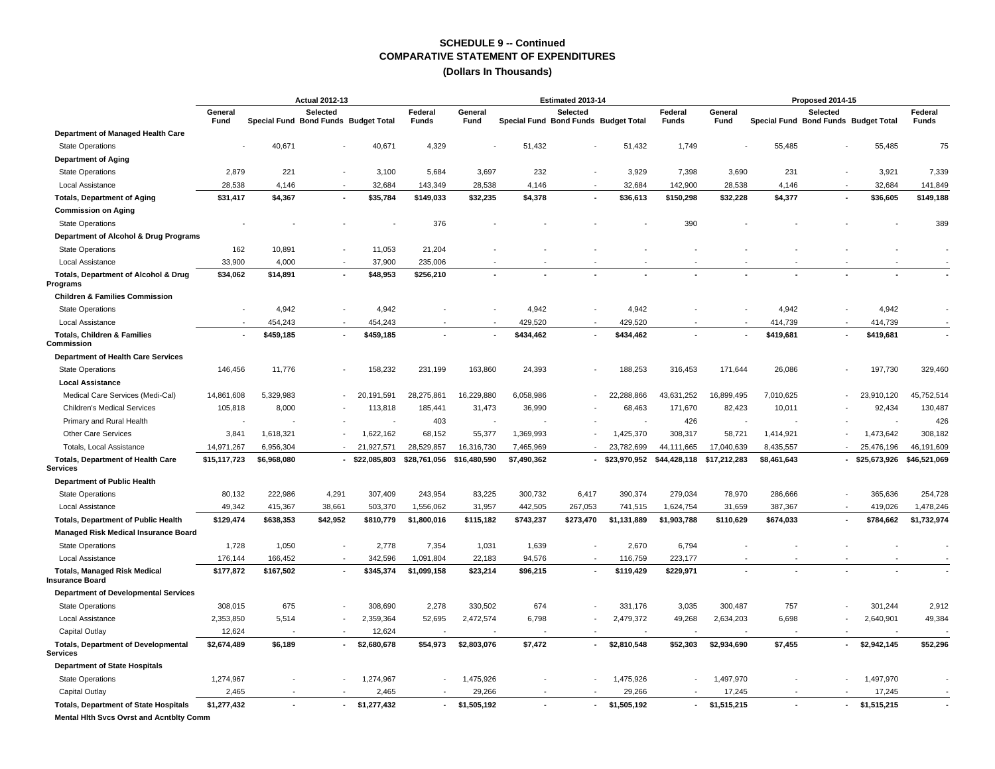|                                                               |                 | <b>Actual 2012-13</b>                |          |              |                         |                 |                                      | Estimated 2013-14 |                  |                           |                 |             | Proposed 2014-15                                 |                             |                  |
|---------------------------------------------------------------|-----------------|--------------------------------------|----------|--------------|-------------------------|-----------------|--------------------------------------|-------------------|------------------|---------------------------|-----------------|-------------|--------------------------------------------------|-----------------------------|------------------|
|                                                               | General<br>Fund | Special Fund Bond Funds Budget Total | Selected |              | Federal<br><b>Funds</b> | General<br>Fund | Special Fund Bond Funds Budget Total | Selected          |                  | Federal<br>Funds          | General<br>Fund |             | Selected<br>Special Fund Bond Funds Budget Total |                             | Federal<br>Funds |
| Department of Managed Health Care                             |                 |                                      |          |              |                         |                 |                                      |                   |                  |                           |                 |             |                                                  |                             |                  |
| <b>State Operations</b>                                       |                 | 40,671                               |          | 40,671       | 4,329                   |                 | 51,432                               |                   | 51,432           | 1,749                     |                 | 55,485      |                                                  | 55,485                      | 75               |
| <b>Department of Aging</b>                                    |                 |                                      |          |              |                         |                 |                                      |                   |                  |                           |                 |             |                                                  |                             |                  |
| <b>State Operations</b>                                       | 2,879           | 221                                  |          | 3,100        | 5,684                   | 3,697           | 232                                  |                   | 3,929            | 7,398                     | 3,690           | 231         |                                                  | 3,921                       | 7,339            |
| Local Assistance                                              | 28,538          | 4,146                                |          | 32,684       | 143,349                 | 28,538          | 4,146                                |                   | 32,684           | 142,900                   | 28,538          | 4,146       | $\sim$                                           | 32,684                      | 141,849          |
| <b>Totals, Department of Aging</b>                            | \$31,417        | \$4,367                              |          | \$35,784     | \$149,033               | \$32,235        | \$4,378                              |                   | \$36,613         | \$150,298                 | \$32,228        | \$4,377     | $\sim$                                           | \$36,605                    | \$149,188        |
| <b>Commission on Aging</b>                                    |                 |                                      |          |              |                         |                 |                                      |                   |                  |                           |                 |             |                                                  |                             |                  |
| <b>State Operations</b>                                       |                 |                                      |          |              | 376                     |                 |                                      |                   |                  | 390                       |                 |             |                                                  |                             | 389              |
| Department of Alcohol & Drug Programs                         |                 |                                      |          |              |                         |                 |                                      |                   |                  |                           |                 |             |                                                  |                             |                  |
| <b>State Operations</b>                                       | 162             | 10,891                               |          | 11,053       | 21,204                  |                 |                                      |                   |                  |                           |                 |             |                                                  |                             |                  |
| <b>Local Assistance</b>                                       | 33,900          | 4,000                                |          | 37,900       | 235.006                 |                 |                                      |                   |                  |                           |                 |             |                                                  |                             |                  |
| Totals, Department of Alcohol & Drug<br>Programs              | \$34,062        | \$14,891                             |          | \$48,953     | \$256,210               |                 |                                      |                   |                  |                           |                 |             |                                                  |                             |                  |
| <b>Children &amp; Families Commission</b>                     |                 |                                      |          |              |                         |                 |                                      |                   |                  |                           |                 |             |                                                  |                             |                  |
| <b>State Operations</b>                                       |                 | 4,942                                |          | 4,942        |                         |                 | 4,942                                |                   | 4,942            |                           |                 | 4,942       |                                                  | 4,942                       |                  |
| Local Assistance                                              |                 | 454,243                              |          | 454,243      |                         |                 | 429,520                              |                   | 429,520          |                           |                 | 414,739     | $\overline{\phantom{a}}$                         | 414,739                     |                  |
| <b>Totals, Children &amp; Families</b><br>Commission          |                 | \$459,185                            |          | \$459,185    |                         |                 | \$434,462                            |                   | \$434,462        |                           |                 | \$419,681   | $\blacksquare$                                   | \$419,681                   |                  |
| <b>Department of Health Care Services</b>                     |                 |                                      |          |              |                         |                 |                                      |                   |                  |                           |                 |             |                                                  |                             |                  |
| <b>State Operations</b>                                       | 146,456         | 11,776                               |          | 158,232      | 231,199                 | 163,860         | 24,393                               |                   | 188,253          | 316,453                   | 171,644         | 26,086      |                                                  | 197,730                     | 329,460          |
| <b>Local Assistance</b>                                       |                 |                                      |          |              |                         |                 |                                      |                   |                  |                           |                 |             |                                                  |                             |                  |
| Medical Care Services (Medi-Cal)                              | 14,861,608      | 5,329,983                            |          | 20,191,591   | 28,275,861              | 16,229,880      | 6,058,986                            |                   | 22,288,866       | 43,631,252                | 16,899,495      | 7,010,625   |                                                  | 23,910,120                  | 45,752,514       |
| <b>Children's Medical Services</b>                            | 105,818         | 8,000                                |          | 113,818      | 185,441                 | 31,473          | 36,990                               |                   | 68,463           | 171,670                   | 82,423          | 10,011      |                                                  | 92,434                      | 130,487          |
| Primary and Rural Health                                      |                 |                                      |          |              | 403                     |                 |                                      |                   |                  | 426                       |                 |             |                                                  |                             | 426              |
| <b>Other Care Services</b>                                    | 3,841           | 1,618,321                            |          | 1,622,162    | 68,152                  | 55,377          | 1,369,993                            |                   | 1,425,370        | 308,317                   | 58,721          | 1,414,921   |                                                  | 1,473,642                   | 308,182          |
| <b>Totals, Local Assistance</b>                               | 14,971,267      | 6,956,304                            |          | 21,927,571   | 28,529,857              | 16,316,730      | 7,465,969                            |                   | 23,782,699       | 44,111,665                | 17,040,639      | 8,435,557   |                                                  | 25,476,196                  | 46,191,609       |
| <b>Totals, Department of Health Care</b><br><b>Services</b>   | \$15,117,723    | \$6,968,080                          |          | \$22,085,803 | \$28,761,056            | \$16,480,590    | \$7,490,362                          |                   | $-$ \$23,970,952 | \$44,428,118 \$17,212,283 |                 | \$8,461,643 |                                                  | - \$25,673,926 \$46,521,069 |                  |
| <b>Department of Public Health</b>                            |                 |                                      |          |              |                         |                 |                                      |                   |                  |                           |                 |             |                                                  |                             |                  |
| <b>State Operations</b>                                       | 80,132          | 222,986                              | 4,291    | 307,409      | 243,954                 | 83,225          | 300,732                              | 6,417             | 390,374          | 279,034                   | 78,970          | 286,666     |                                                  | 365,636                     | 254,728          |
| <b>Local Assistance</b>                                       | 49,342          | 415,367                              | 38,661   | 503,370      | 1,556,062               | 31,957          | 442,505                              | 267,053           | 741,515          | 1,624,754                 | 31,659          | 387,367     |                                                  | 419,026                     | 1,478,246        |
| <b>Totals, Department of Public Health</b>                    | \$129,474       | \$638,353                            | \$42,952 | \$810,779    | \$1,800,016             | \$115,182       | \$743,237                            | \$273,470         | \$1,131,889      | \$1,903,788               | \$110,629       | \$674,033   | $\blacksquare$                                   | \$784,662                   | \$1,732,974      |
| Managed Risk Medical Insurance Board                          |                 |                                      |          |              |                         |                 |                                      |                   |                  |                           |                 |             |                                                  |                             |                  |
| <b>State Operations</b>                                       | 1,728           | 1,050                                |          | 2,778        | 7,354                   | 1,031           | 1,639                                |                   | 2,670            | 6,794                     |                 |             |                                                  |                             |                  |
| Local Assistance                                              | 176,144         | 166,452                              |          | 342,596      | 1,091,804               | 22,183          | 94,576                               |                   | 116,759          | 223,177                   |                 |             |                                                  |                             |                  |
| <b>Totals, Managed Risk Medical</b><br><b>Insurance Board</b> | \$177,872       | \$167,502                            |          | \$345,374    | \$1,099,158             | \$23,214        | \$96,215                             |                   | \$119,429        | \$229,971                 |                 |             |                                                  |                             |                  |
| <b>Department of Developmental Services</b>                   |                 |                                      |          |              |                         |                 |                                      |                   |                  |                           |                 |             |                                                  |                             |                  |
| <b>State Operations</b>                                       | 308,015         | 675                                  |          | 308,690      | 2,278                   | 330,502         | 674                                  |                   | 331,176          | 3,035                     | 300,487         | 757         |                                                  | 301,244                     | 2,912            |
| Local Assistance                                              | 2,353,850       | 5,514                                |          | 2,359,364    | 52,695                  | 2,472,574       | 6,798                                |                   | 2,479,372        | 49,268                    | 2,634,203       | 6,698       |                                                  | 2,640,901                   | 49,384           |
| Capital Outlay                                                | 12,624          |                                      |          | 12,624       |                         |                 |                                      |                   |                  |                           |                 |             |                                                  |                             |                  |
| <b>Totals, Department of Developmental</b><br><b>Services</b> | \$2,674,489     | \$6,189                              |          | \$2,680,678  | \$54,973                | \$2,803,076     | \$7,472                              |                   | \$2,810,548      | \$52,303                  | \$2,934,690     | \$7,455     | $\sim$                                           | \$2,942,145                 | \$52,296         |
| <b>Department of State Hospitals</b>                          |                 |                                      |          |              |                         |                 |                                      |                   |                  |                           |                 |             |                                                  |                             |                  |
| <b>State Operations</b>                                       | 1,274,967       |                                      |          | 1,274,967    |                         | 1,475,926       |                                      |                   | 1,475,926        |                           | 1,497,970       |             |                                                  | 1,497,970                   |                  |
| Capital Outlay                                                | 2,465           |                                      |          | 2,465        |                         | 29,266          |                                      |                   | 29,266           |                           | 17,245          |             |                                                  | 17,245                      |                  |
| <b>Totals, Department of State Hospitals</b>                  | \$1,277,432     |                                      |          | \$1,277,432  |                         | \$1,505,192     |                                      |                   | \$1,505,192      | $\sim$                    | \$1,515,215     |             |                                                  | \$1,515,215                 |                  |
| Mental Hith Svcs Ovrst and Acntbity Comm                      |                 |                                      |          |              |                         |                 |                                      |                   |                  |                           |                 |             |                                                  |                             |                  |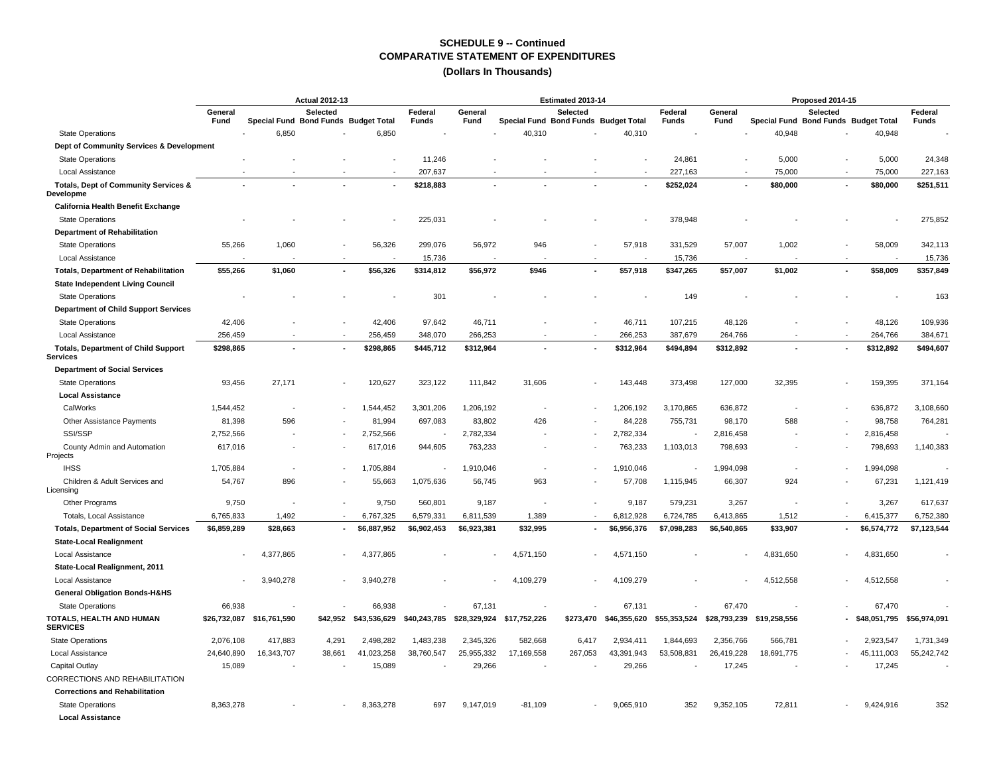|                                                   |                 | <b>Actual 2012-13</b>    |                                                  |              |                  |                 |                                      | Estimated 2013-14 |              |                         |                 |                                      | Proposed 2014-15 |                           |                         |
|---------------------------------------------------|-----------------|--------------------------|--------------------------------------------------|--------------|------------------|-----------------|--------------------------------------|-------------------|--------------|-------------------------|-----------------|--------------------------------------|------------------|---------------------------|-------------------------|
|                                                   | General<br>Fund |                          | Selected<br>Special Fund Bond Funds Budget Total |              | Federal<br>Funds | General<br>Fund | Special Fund Bond Funds Budget Total | Selected          |              | Federal<br><b>Funds</b> | General<br>Fund | Special Fund Bond Funds Budget Total | Selected         |                           | Federal<br><b>Funds</b> |
| <b>State Operations</b>                           |                 | 6,850                    |                                                  | 6,850        |                  |                 | 40,310                               |                   | 40,310       |                         |                 | 40,948                               |                  | 40,948                    |                         |
| Dept of Community Services & Development          |                 |                          |                                                  |              |                  |                 |                                      |                   |              |                         |                 |                                      |                  |                           |                         |
| <b>State Operations</b>                           |                 |                          |                                                  |              | 11,246           |                 |                                      |                   |              | 24,861                  |                 | 5,000                                |                  | 5,000                     | 24,348                  |
| Local Assistance                                  |                 |                          |                                                  |              | 207,637          |                 |                                      |                   |              | 227,163                 |                 | 75,000                               |                  | 75,000                    | 227,163                 |
| Totals, Dept of Community Services &<br>Developme |                 |                          |                                                  |              | \$218,883        |                 |                                      |                   |              | \$252,024               |                 | \$80,000                             |                  | \$80,000                  | \$251,511               |
| California Health Benefit Exchange                |                 |                          |                                                  |              |                  |                 |                                      |                   |              |                         |                 |                                      |                  |                           |                         |
| <b>State Operations</b>                           |                 |                          |                                                  |              | 225,031          |                 |                                      |                   |              | 378,948                 |                 |                                      |                  |                           | 275,852                 |
| <b>Department of Rehabilitation</b>               |                 |                          |                                                  |              |                  |                 |                                      |                   |              |                         |                 |                                      |                  |                           |                         |
| <b>State Operations</b>                           | 55,266          | 1,060                    |                                                  | 56,326       | 299,076          | 56,972          | 946                                  |                   | 57,918       | 331,529                 | 57,007          | 1,002                                |                  | 58,009                    | 342,113                 |
| Local Assistance                                  |                 |                          |                                                  |              | 15,736           |                 |                                      |                   |              | 15,736                  |                 |                                      |                  |                           | 15,736                  |
| <b>Totals, Department of Rehabilitation</b>       | \$55,266        | \$1,060                  |                                                  | \$56,326     | \$314,812        | \$56,972        | \$946                                |                   | \$57,918     | \$347,265               | \$57,007        | \$1,002                              |                  | \$58,009                  | \$357,849               |
| <b>State Independent Living Council</b>           |                 |                          |                                                  |              |                  |                 |                                      |                   |              |                         |                 |                                      |                  |                           |                         |
| <b>State Operations</b>                           |                 |                          |                                                  |              | 301              |                 |                                      |                   |              | 149                     |                 |                                      |                  |                           | 163                     |
| Department of Child Support Services              |                 |                          |                                                  |              |                  |                 |                                      |                   |              |                         |                 |                                      |                  |                           |                         |
| <b>State Operations</b>                           | 42,406          |                          |                                                  | 42,406       | 97,642           | 46,711          |                                      |                   | 46,711       | 107,215                 | 48,126          |                                      |                  | 48,126                    | 109,936                 |
| Local Assistance                                  | 256,459         |                          |                                                  | 256,459      | 348,070          | 266,253         |                                      |                   | 266,253      | 387,679                 | 264,766         |                                      |                  | 264,766                   | 384,671                 |
| <b>Totals, Department of Child Support</b>        | \$298,865       | $\overline{\phantom{a}}$ | ٠                                                | \$298,865    | \$445,712        | \$312,964       |                                      |                   | \$312,964    | \$494,894               | \$312,892       |                                      |                  | \$312,892                 | \$494,607               |
| <b>Services</b>                                   |                 |                          |                                                  |              |                  |                 |                                      |                   |              |                         |                 |                                      |                  |                           |                         |
| <b>Department of Social Services</b>              |                 |                          |                                                  |              |                  |                 |                                      |                   |              |                         |                 |                                      |                  |                           |                         |
| <b>State Operations</b>                           | 93,456          | 27,171                   |                                                  | 120,627      | 323,122          | 111,842         | 31,606                               |                   | 143,448      | 373,498                 | 127,000         | 32,395                               |                  | 159,395                   | 371,164                 |
| <b>Local Assistance</b>                           |                 |                          |                                                  |              |                  |                 |                                      |                   |              |                         |                 |                                      |                  |                           |                         |
| CalWorks                                          | 1,544,452       | $\overline{\phantom{a}}$ |                                                  | 1,544,452    | 3,301,206        | 1,206,192       | ÷,                                   |                   | 1,206,192    | 3,170,865               | 636,872         |                                      |                  | 636,872                   | 3,108,660               |
| Other Assistance Payments                         | 81,398          | 596                      |                                                  | 81,994       | 697,083          | 83,802          | 426                                  |                   | 84,228       | 755,731                 | 98,170          | 588                                  |                  | 98,758                    | 764,281                 |
| SSI/SSP                                           | 2,752,566       |                          |                                                  | 2,752,566    |                  | 2,782,334       |                                      |                   | 2,782,334    |                         | 2,816,458       |                                      |                  | 2,816,458                 |                         |
| County Admin and Automation<br>Projects           | 617,016         |                          |                                                  | 617,016      | 944,605          | 763,233         |                                      |                   | 763,233      | 1,103,013               | 798,693         |                                      |                  | 798,693                   | 1,140,383               |
| <b>IHSS</b>                                       | 1,705,884       | $\overline{a}$           |                                                  | 1,705,884    |                  | 1,910,046       |                                      |                   | 1,910,046    |                         | 1,994,098       |                                      |                  | 1,994,098                 |                         |
| Children & Adult Services and<br>Licensing        | 54,767          | 896                      |                                                  | 55,663       | 1,075,636        | 56,745          | 963                                  |                   | 57,708       | 1,115,945               | 66,307          | 924                                  |                  | 67,231                    | 1,121,419               |
| Other Programs                                    | 9,750           | ٠.                       |                                                  | 9,750        | 560,801          | 9,187           |                                      |                   | 9,187        | 579,231                 | 3,267           |                                      |                  | 3,267                     | 617,637                 |
| Totals, Local Assistance                          | 6,765,833       | 1,492                    | $\overline{a}$                                   | 6,767,325    | 6,579,331        | 6,811,539       | 1,389                                |                   | 6,812,928    | 6,724,785               | 6,413,865       | 1,512                                |                  | 6,415,377                 | 6,752,380               |
| <b>Totals, Department of Social Services</b>      | \$6,859,289     | \$28,663                 |                                                  | \$6,887,952  | \$6,902,453      | \$6,923,381     | \$32,995                             |                   | \$6,956,376  | \$7,098,283             | \$6,540,865     | \$33,907                             |                  | \$6,574,772               | \$7,123,544             |
| <b>State-Local Realignment</b>                    |                 |                          |                                                  |              |                  |                 |                                      |                   |              |                         |                 |                                      |                  |                           |                         |
| Local Assistance                                  |                 | 4,377,865                |                                                  | 4.377.865    |                  |                 | 4,571,150                            |                   | 4,571,150    |                         |                 | 4,831,650                            |                  | 4,831,650                 |                         |
| State-Local Realignment, 2011                     |                 |                          |                                                  |              |                  |                 |                                      |                   |              |                         |                 |                                      |                  |                           |                         |
| Local Assistance                                  |                 | 3,940,278                |                                                  | 3,940,278    |                  |                 | 4,109,279                            |                   | 4,109,279    |                         |                 | 4,512,558                            |                  | 4,512,558                 |                         |
| General Obligation Bonds-H&HS                     |                 |                          |                                                  |              |                  |                 |                                      |                   |              |                         |                 |                                      |                  |                           |                         |
| <b>State Operations</b>                           | 66,938          |                          |                                                  | 66,938       |                  | 67,131          |                                      |                   | 67,131       |                         | 67,470          |                                      |                  | 67,470                    |                         |
| TOTALS, HEALTH AND HUMAN<br><b>SERVICES</b>       | \$26,732,087    | \$16,761,590             | \$42,952                                         | \$43,536,629 | \$40,243,785     |                 | \$28,329,924 \$17,752,226            | \$273,470         | \$46,355,620 | \$55,353,524            | \$28,793,239    | \$19,258,556                         |                  | \$48,051,795 \$56,974,091 |                         |
| <b>State Operations</b>                           | 2,076,108       | 417,883                  | 4,291                                            | 2,498,282    | 1,483,238        | 2,345,326       | 582,668                              | 6,417             | 2,934,411    | 1,844,693               | 2,356,766       | 566,781                              |                  | 2,923,547                 | 1,731,349               |
| Local Assistance                                  | 24,640,890      | 16,343,707               | 38,661                                           | 41,023,258   | 38,760,547       | 25,955,332      | 17,169,558                           | 267,053           | 43,391,943   | 53,508,831              | 26,419,228      | 18,691,775                           |                  | 45,111,003                | 55,242,742              |
| <b>Capital Outlay</b>                             | 15,089          |                          |                                                  | 15,089       |                  | 29,266          |                                      |                   | 29,266       |                         | 17,245          |                                      |                  | 17,245                    |                         |
| CORRECTIONS AND REHABILITATION                    |                 |                          |                                                  |              |                  |                 |                                      |                   |              |                         |                 |                                      |                  |                           |                         |
| <b>Corrections and Rehabilitation</b>             |                 |                          |                                                  |              |                  |                 |                                      |                   |              |                         |                 |                                      |                  |                           |                         |
| <b>State Operations</b>                           | 8,363,278       |                          |                                                  | 8,363,278    | 697              | 9,147,019       | $-81,109$                            |                   | 9,065,910    | 352                     | 9,352,105       | 72,811                               |                  | 9,424,916                 | 352                     |
| <b>Local Assistance</b>                           |                 |                          |                                                  |              |                  |                 |                                      |                   |              |                         |                 |                                      |                  |                           |                         |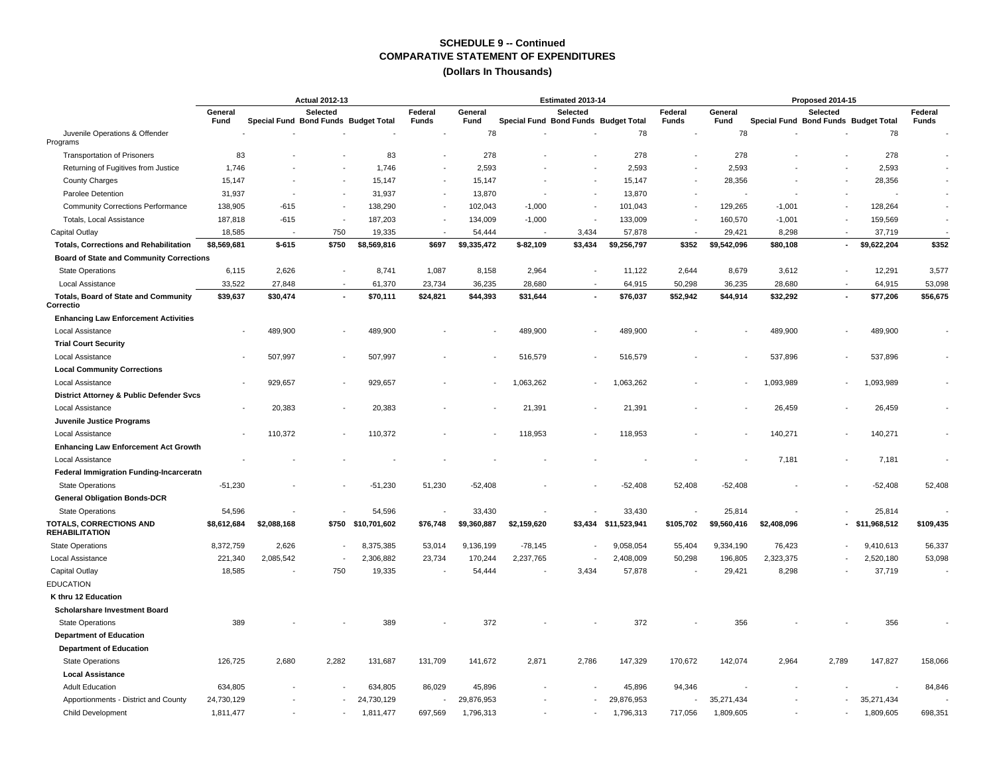| General<br>Selected<br>Federal<br>General<br>Selected<br>Federal<br>General<br>Selected<br>Federal<br>Special Fund Bond Funds Budget Total<br>Special Fund Bond Funds Budget Total<br><b>Funds</b><br>Special Fund Bond Funds Budget Total<br>Fund<br>Funds<br>Fund<br>Fund<br><b>Funds</b><br>78<br>78<br>78<br>78<br>Juvenile Operations & Offender<br>Programs<br>83<br>278<br>278<br>278<br><b>Transportation of Prisoners</b><br>83<br>278<br>1,746<br>2,593<br>2,593<br>2,593<br>2,593<br>Returning of Fugitives from Justice<br>1,746<br>28,356<br><b>County Charges</b><br>15,147<br>15,147<br>15,147<br>15,147<br>28,356<br>$\blacksquare$<br>Parolee Detention<br>31,937<br>31,937<br>13,870<br>13,870<br>$\overline{\phantom{a}}$<br><b>Community Corrections Performance</b><br>138,905<br>$-615$<br>138,290<br>102,043<br>$-1,000$<br>101,043<br>129,265<br>$-1,001$<br>128,264<br>$\overline{\phantom{a}}$<br>$\overline{\phantom{a}}$<br>$\overline{\phantom{a}}$<br>$\overline{\phantom{a}}$<br>$\overline{\phantom{a}}$<br>$\overline{\phantom{a}}$<br>187,818<br>$-615$<br>187,203<br>134,009<br>$-1,000$<br>133,009<br>$-1,001$<br>159,569<br>Totals, Local Assistance<br>160,570<br>$\sim$<br>$\overline{\phantom{a}}$<br>$\blacksquare$<br>750<br>Capital Outlay<br>18,585<br>19,335<br>54,444<br>3,434<br>57,878<br>29,421<br>8,298<br>37,719<br>$\sim$<br>$\sim$<br>$\overline{\phantom{a}}$<br>\$352<br>\$9,622,204<br>\$352<br>\$8,569,681<br>$$-615$<br>\$750<br>\$8,569,816<br>\$697<br>\$9,335,472<br>$$-82,109$<br>\$3,434<br>\$9,256,797<br>\$9,542,096<br><b>Totals, Corrections and Rehabilitation</b><br>\$80,108<br>٠<br><b>Board of State and Community Corrections</b><br><b>State Operations</b><br>6,115<br>2,626<br>8,741<br>1,087<br>8,158<br>2,964<br>11,122<br>2,644<br>8,679<br>3,612<br>12,291<br>3,577<br>Local Assistance<br>33,522<br>27,848<br>61,370<br>23,734<br>36,235<br>28,680<br>64,915<br>50,298<br>36,235<br>28,680<br>64,915<br>53,098<br>$\sim$<br>\$56,675<br><b>Totals, Board of State and Community</b><br>\$39,637<br>\$30,474<br>\$70,111<br>\$24,821<br>\$44,393<br>\$31,644<br>\$76,037<br>\$52,942<br>\$44,914<br>\$32,292<br>\$77,206<br>$\blacksquare$<br>$\overline{\phantom{a}}$<br>٠<br>Correctio<br><b>Enhancing Law Enforcement Activities</b><br>Local Assistance<br>489,900<br>489,900<br>489,900<br>489,900<br>489,900<br>489,900<br><b>Trial Court Security</b><br>Local Assistance<br>507,997<br>507,997<br>516,579<br>516,579<br>537,896<br>537,896<br>$\overline{\phantom{a}}$<br><b>Local Community Corrections</b><br>929,657<br>929,657<br>1,063,262<br>1,063,262<br>1,093,989<br>1,093,989<br>Local Assistance<br>٠<br>$\sim$<br>$\overline{\phantom{a}}$<br><b>District Attorney &amp; Public Defender Svcs</b><br>Local Assistance<br>20,383<br>20,383<br>21,391<br>21,391<br>26,459<br>26,459<br>$\overline{\phantom{a}}$<br>Juvenile Justice Programs<br><b>Local Assistance</b><br>110,372<br>110.372<br>118,953<br>118,953<br>140,271<br>140,271<br>$\blacksquare$<br><b>Enhancing Law Enforcement Act Growth</b><br>7,181<br>7,181<br>Local Assistance<br>Federal Immigration Funding-Incarceratn<br>$-51,230$<br>$-51,230$<br>51,230<br>$-52,408$<br>$-52,408$<br>52,408<br>$-52,408$<br>$-52,408$<br>52,408<br><b>State Operations</b><br><b>General Obligation Bonds-DCR</b><br><b>State Operations</b><br>54,596<br>54,596<br>33.430<br>33,430<br>25,814<br>25,814<br><b>TOTALS, CORRECTIONS AND</b><br>$-$ \$11,968,512<br>\$109,435<br>\$8,612,684<br>\$2,088,168<br>\$750 \$10,701,602<br>\$76,748<br>\$9,360,887<br>\$2,159,620<br>\$3,434<br>\$11,523,941<br>\$105,702<br>\$9,560,416<br>\$2,408,096<br><b>REHABILITATION</b><br>56,337<br><b>State Operations</b><br>8,372,759<br>2,626<br>8,375,385<br>53,014<br>9,136,199<br>$-78,145$<br>9,058,054<br>55,404<br>9,334,190<br>76,423<br>9,410,613<br>$\overline{\phantom{a}}$<br>53,098<br>221,340<br>2,085,542<br>2,306,882<br>23,734<br>170,244<br>2,237,765<br>2,408,009<br>50,298<br>196,805<br>2,323,375<br>2,520,180<br>Local Assistance<br>$\overline{\phantom{a}}$<br>18,585<br>750<br>19,335<br>3,434<br>57,878<br>8,298<br>37,719<br>Capital Outlay<br>54,444<br>29,421<br><b>EDUCATION</b><br>K thru 12 Education<br>Scholarshare Investment Board<br>389<br>389<br>372<br>372<br>356<br>356<br><b>State Operations</b><br><b>Department of Education</b><br><b>Department of Education</b><br><b>State Operations</b><br>126,725<br>2,680<br>2,282<br>131,687<br>131,709<br>141,672<br>2,871<br>2,786<br>147,329<br>170,672<br>142,074<br>2,964<br>2,789<br>147,827<br>158,066<br><b>Local Assistance</b><br>84,846<br><b>Adult Education</b><br>634,805<br>634,805<br>86,029<br>45,896<br>45,896<br>94,346<br>Apportionments - District and County<br>24,730,129<br>24,730,129<br>29,876,953<br>29,876,953<br>35,271,434<br>35,271,434<br>$\overline{\phantom{a}}$<br>697,569<br>717,056<br>1,811,477<br>1,811,477<br>1,796,313<br>1,796,313<br>1,809,605<br>1,809,605<br>698,351<br>Child Development | <b>Actual 2012-13</b> |  |  |  |  |  | Estimated 2013-14 |  |  | Proposed 2014-15 |  |
|----------------------------------------------------------------------------------------------------------------------------------------------------------------------------------------------------------------------------------------------------------------------------------------------------------------------------------------------------------------------------------------------------------------------------------------------------------------------------------------------------------------------------------------------------------------------------------------------------------------------------------------------------------------------------------------------------------------------------------------------------------------------------------------------------------------------------------------------------------------------------------------------------------------------------------------------------------------------------------------------------------------------------------------------------------------------------------------------------------------------------------------------------------------------------------------------------------------------------------------------------------------------------------------------------------------------------------------------------------------------------------------------------------------------------------------------------------------------------------------------------------------------------------------------------------------------------------------------------------------------------------------------------------------------------------------------------------------------------------------------------------------------------------------------------------------------------------------------------------------------------------------------------------------------------------------------------------------------------------------------------------------------------------------------------------------------------------------------------------------------------------------------------------------------------------------------------------------------------------------------------------------------------------------------------------------------------------------------------------------------------------------------------------------------------------------------------------------------------------------------------------------------------------------------------------------------------------------------------------------------------------------------------------------------------------------------------------------------------------------------------------------------------------------------------------------------------------------------------------------------------------------------------------------------------------------------------------------------------------------------------------------------------------------------------------------------------------------------------------------------------------------------------------------------------------------------------------------------------------------------------------------------------------------------------------------------------------------------------------------------------------------------------------------------------------------------------------------------------------------------------------------------------------------------------------------------------------------------------------------------------------------------------------------------------------------------------------------------------------------------------------------------------------------------------------------------------------------------------------------------------------------------------------------------------------------------------------------------------------------------------------------------------------------------------------------------------------------------------------------------------------------------------------------------------------------------------------------------------------------------------------------------------------------------------------------------------------------------------------------------------------------------------------------------------------------------------------------------------------------------------------------------------------------------------------------------------------------------------------------------------------------------------------------------------------------------------------------------------------------------------------------------------------------------------------------------------------------------------------------------------------------------------------------------------------------------------------------------------------------------------------------------------------------------------------------------------|-----------------------|--|--|--|--|--|-------------------|--|--|------------------|--|
|                                                                                                                                                                                                                                                                                                                                                                                                                                                                                                                                                                                                                                                                                                                                                                                                                                                                                                                                                                                                                                                                                                                                                                                                                                                                                                                                                                                                                                                                                                                                                                                                                                                                                                                                                                                                                                                                                                                                                                                                                                                                                                                                                                                                                                                                                                                                                                                                                                                                                                                                                                                                                                                                                                                                                                                                                                                                                                                                                                                                                                                                                                                                                                                                                                                                                                                                                                                                                                                                                                                                                                                                                                                                                                                                                                                                                                                                                                                                                                                                                                                                                                                                                                                                                                                                                                                                                                                                                                                                                                                                                                                                                                                                                                                                                                                                                                                                                                                                                                                                                                                                            |                       |  |  |  |  |  |                   |  |  |                  |  |
|                                                                                                                                                                                                                                                                                                                                                                                                                                                                                                                                                                                                                                                                                                                                                                                                                                                                                                                                                                                                                                                                                                                                                                                                                                                                                                                                                                                                                                                                                                                                                                                                                                                                                                                                                                                                                                                                                                                                                                                                                                                                                                                                                                                                                                                                                                                                                                                                                                                                                                                                                                                                                                                                                                                                                                                                                                                                                                                                                                                                                                                                                                                                                                                                                                                                                                                                                                                                                                                                                                                                                                                                                                                                                                                                                                                                                                                                                                                                                                                                                                                                                                                                                                                                                                                                                                                                                                                                                                                                                                                                                                                                                                                                                                                                                                                                                                                                                                                                                                                                                                                                            |                       |  |  |  |  |  |                   |  |  |                  |  |
|                                                                                                                                                                                                                                                                                                                                                                                                                                                                                                                                                                                                                                                                                                                                                                                                                                                                                                                                                                                                                                                                                                                                                                                                                                                                                                                                                                                                                                                                                                                                                                                                                                                                                                                                                                                                                                                                                                                                                                                                                                                                                                                                                                                                                                                                                                                                                                                                                                                                                                                                                                                                                                                                                                                                                                                                                                                                                                                                                                                                                                                                                                                                                                                                                                                                                                                                                                                                                                                                                                                                                                                                                                                                                                                                                                                                                                                                                                                                                                                                                                                                                                                                                                                                                                                                                                                                                                                                                                                                                                                                                                                                                                                                                                                                                                                                                                                                                                                                                                                                                                                                            |                       |  |  |  |  |  |                   |  |  |                  |  |
|                                                                                                                                                                                                                                                                                                                                                                                                                                                                                                                                                                                                                                                                                                                                                                                                                                                                                                                                                                                                                                                                                                                                                                                                                                                                                                                                                                                                                                                                                                                                                                                                                                                                                                                                                                                                                                                                                                                                                                                                                                                                                                                                                                                                                                                                                                                                                                                                                                                                                                                                                                                                                                                                                                                                                                                                                                                                                                                                                                                                                                                                                                                                                                                                                                                                                                                                                                                                                                                                                                                                                                                                                                                                                                                                                                                                                                                                                                                                                                                                                                                                                                                                                                                                                                                                                                                                                                                                                                                                                                                                                                                                                                                                                                                                                                                                                                                                                                                                                                                                                                                                            |                       |  |  |  |  |  |                   |  |  |                  |  |
|                                                                                                                                                                                                                                                                                                                                                                                                                                                                                                                                                                                                                                                                                                                                                                                                                                                                                                                                                                                                                                                                                                                                                                                                                                                                                                                                                                                                                                                                                                                                                                                                                                                                                                                                                                                                                                                                                                                                                                                                                                                                                                                                                                                                                                                                                                                                                                                                                                                                                                                                                                                                                                                                                                                                                                                                                                                                                                                                                                                                                                                                                                                                                                                                                                                                                                                                                                                                                                                                                                                                                                                                                                                                                                                                                                                                                                                                                                                                                                                                                                                                                                                                                                                                                                                                                                                                                                                                                                                                                                                                                                                                                                                                                                                                                                                                                                                                                                                                                                                                                                                                            |                       |  |  |  |  |  |                   |  |  |                  |  |
|                                                                                                                                                                                                                                                                                                                                                                                                                                                                                                                                                                                                                                                                                                                                                                                                                                                                                                                                                                                                                                                                                                                                                                                                                                                                                                                                                                                                                                                                                                                                                                                                                                                                                                                                                                                                                                                                                                                                                                                                                                                                                                                                                                                                                                                                                                                                                                                                                                                                                                                                                                                                                                                                                                                                                                                                                                                                                                                                                                                                                                                                                                                                                                                                                                                                                                                                                                                                                                                                                                                                                                                                                                                                                                                                                                                                                                                                                                                                                                                                                                                                                                                                                                                                                                                                                                                                                                                                                                                                                                                                                                                                                                                                                                                                                                                                                                                                                                                                                                                                                                                                            |                       |  |  |  |  |  |                   |  |  |                  |  |
|                                                                                                                                                                                                                                                                                                                                                                                                                                                                                                                                                                                                                                                                                                                                                                                                                                                                                                                                                                                                                                                                                                                                                                                                                                                                                                                                                                                                                                                                                                                                                                                                                                                                                                                                                                                                                                                                                                                                                                                                                                                                                                                                                                                                                                                                                                                                                                                                                                                                                                                                                                                                                                                                                                                                                                                                                                                                                                                                                                                                                                                                                                                                                                                                                                                                                                                                                                                                                                                                                                                                                                                                                                                                                                                                                                                                                                                                                                                                                                                                                                                                                                                                                                                                                                                                                                                                                                                                                                                                                                                                                                                                                                                                                                                                                                                                                                                                                                                                                                                                                                                                            |                       |  |  |  |  |  |                   |  |  |                  |  |
|                                                                                                                                                                                                                                                                                                                                                                                                                                                                                                                                                                                                                                                                                                                                                                                                                                                                                                                                                                                                                                                                                                                                                                                                                                                                                                                                                                                                                                                                                                                                                                                                                                                                                                                                                                                                                                                                                                                                                                                                                                                                                                                                                                                                                                                                                                                                                                                                                                                                                                                                                                                                                                                                                                                                                                                                                                                                                                                                                                                                                                                                                                                                                                                                                                                                                                                                                                                                                                                                                                                                                                                                                                                                                                                                                                                                                                                                                                                                                                                                                                                                                                                                                                                                                                                                                                                                                                                                                                                                                                                                                                                                                                                                                                                                                                                                                                                                                                                                                                                                                                                                            |                       |  |  |  |  |  |                   |  |  |                  |  |
|                                                                                                                                                                                                                                                                                                                                                                                                                                                                                                                                                                                                                                                                                                                                                                                                                                                                                                                                                                                                                                                                                                                                                                                                                                                                                                                                                                                                                                                                                                                                                                                                                                                                                                                                                                                                                                                                                                                                                                                                                                                                                                                                                                                                                                                                                                                                                                                                                                                                                                                                                                                                                                                                                                                                                                                                                                                                                                                                                                                                                                                                                                                                                                                                                                                                                                                                                                                                                                                                                                                                                                                                                                                                                                                                                                                                                                                                                                                                                                                                                                                                                                                                                                                                                                                                                                                                                                                                                                                                                                                                                                                                                                                                                                                                                                                                                                                                                                                                                                                                                                                                            |                       |  |  |  |  |  |                   |  |  |                  |  |
|                                                                                                                                                                                                                                                                                                                                                                                                                                                                                                                                                                                                                                                                                                                                                                                                                                                                                                                                                                                                                                                                                                                                                                                                                                                                                                                                                                                                                                                                                                                                                                                                                                                                                                                                                                                                                                                                                                                                                                                                                                                                                                                                                                                                                                                                                                                                                                                                                                                                                                                                                                                                                                                                                                                                                                                                                                                                                                                                                                                                                                                                                                                                                                                                                                                                                                                                                                                                                                                                                                                                                                                                                                                                                                                                                                                                                                                                                                                                                                                                                                                                                                                                                                                                                                                                                                                                                                                                                                                                                                                                                                                                                                                                                                                                                                                                                                                                                                                                                                                                                                                                            |                       |  |  |  |  |  |                   |  |  |                  |  |
|                                                                                                                                                                                                                                                                                                                                                                                                                                                                                                                                                                                                                                                                                                                                                                                                                                                                                                                                                                                                                                                                                                                                                                                                                                                                                                                                                                                                                                                                                                                                                                                                                                                                                                                                                                                                                                                                                                                                                                                                                                                                                                                                                                                                                                                                                                                                                                                                                                                                                                                                                                                                                                                                                                                                                                                                                                                                                                                                                                                                                                                                                                                                                                                                                                                                                                                                                                                                                                                                                                                                                                                                                                                                                                                                                                                                                                                                                                                                                                                                                                                                                                                                                                                                                                                                                                                                                                                                                                                                                                                                                                                                                                                                                                                                                                                                                                                                                                                                                                                                                                                                            |                       |  |  |  |  |  |                   |  |  |                  |  |
|                                                                                                                                                                                                                                                                                                                                                                                                                                                                                                                                                                                                                                                                                                                                                                                                                                                                                                                                                                                                                                                                                                                                                                                                                                                                                                                                                                                                                                                                                                                                                                                                                                                                                                                                                                                                                                                                                                                                                                                                                                                                                                                                                                                                                                                                                                                                                                                                                                                                                                                                                                                                                                                                                                                                                                                                                                                                                                                                                                                                                                                                                                                                                                                                                                                                                                                                                                                                                                                                                                                                                                                                                                                                                                                                                                                                                                                                                                                                                                                                                                                                                                                                                                                                                                                                                                                                                                                                                                                                                                                                                                                                                                                                                                                                                                                                                                                                                                                                                                                                                                                                            |                       |  |  |  |  |  |                   |  |  |                  |  |
|                                                                                                                                                                                                                                                                                                                                                                                                                                                                                                                                                                                                                                                                                                                                                                                                                                                                                                                                                                                                                                                                                                                                                                                                                                                                                                                                                                                                                                                                                                                                                                                                                                                                                                                                                                                                                                                                                                                                                                                                                                                                                                                                                                                                                                                                                                                                                                                                                                                                                                                                                                                                                                                                                                                                                                                                                                                                                                                                                                                                                                                                                                                                                                                                                                                                                                                                                                                                                                                                                                                                                                                                                                                                                                                                                                                                                                                                                                                                                                                                                                                                                                                                                                                                                                                                                                                                                                                                                                                                                                                                                                                                                                                                                                                                                                                                                                                                                                                                                                                                                                                                            |                       |  |  |  |  |  |                   |  |  |                  |  |
|                                                                                                                                                                                                                                                                                                                                                                                                                                                                                                                                                                                                                                                                                                                                                                                                                                                                                                                                                                                                                                                                                                                                                                                                                                                                                                                                                                                                                                                                                                                                                                                                                                                                                                                                                                                                                                                                                                                                                                                                                                                                                                                                                                                                                                                                                                                                                                                                                                                                                                                                                                                                                                                                                                                                                                                                                                                                                                                                                                                                                                                                                                                                                                                                                                                                                                                                                                                                                                                                                                                                                                                                                                                                                                                                                                                                                                                                                                                                                                                                                                                                                                                                                                                                                                                                                                                                                                                                                                                                                                                                                                                                                                                                                                                                                                                                                                                                                                                                                                                                                                                                            |                       |  |  |  |  |  |                   |  |  |                  |  |
|                                                                                                                                                                                                                                                                                                                                                                                                                                                                                                                                                                                                                                                                                                                                                                                                                                                                                                                                                                                                                                                                                                                                                                                                                                                                                                                                                                                                                                                                                                                                                                                                                                                                                                                                                                                                                                                                                                                                                                                                                                                                                                                                                                                                                                                                                                                                                                                                                                                                                                                                                                                                                                                                                                                                                                                                                                                                                                                                                                                                                                                                                                                                                                                                                                                                                                                                                                                                                                                                                                                                                                                                                                                                                                                                                                                                                                                                                                                                                                                                                                                                                                                                                                                                                                                                                                                                                                                                                                                                                                                                                                                                                                                                                                                                                                                                                                                                                                                                                                                                                                                                            |                       |  |  |  |  |  |                   |  |  |                  |  |
|                                                                                                                                                                                                                                                                                                                                                                                                                                                                                                                                                                                                                                                                                                                                                                                                                                                                                                                                                                                                                                                                                                                                                                                                                                                                                                                                                                                                                                                                                                                                                                                                                                                                                                                                                                                                                                                                                                                                                                                                                                                                                                                                                                                                                                                                                                                                                                                                                                                                                                                                                                                                                                                                                                                                                                                                                                                                                                                                                                                                                                                                                                                                                                                                                                                                                                                                                                                                                                                                                                                                                                                                                                                                                                                                                                                                                                                                                                                                                                                                                                                                                                                                                                                                                                                                                                                                                                                                                                                                                                                                                                                                                                                                                                                                                                                                                                                                                                                                                                                                                                                                            |                       |  |  |  |  |  |                   |  |  |                  |  |
|                                                                                                                                                                                                                                                                                                                                                                                                                                                                                                                                                                                                                                                                                                                                                                                                                                                                                                                                                                                                                                                                                                                                                                                                                                                                                                                                                                                                                                                                                                                                                                                                                                                                                                                                                                                                                                                                                                                                                                                                                                                                                                                                                                                                                                                                                                                                                                                                                                                                                                                                                                                                                                                                                                                                                                                                                                                                                                                                                                                                                                                                                                                                                                                                                                                                                                                                                                                                                                                                                                                                                                                                                                                                                                                                                                                                                                                                                                                                                                                                                                                                                                                                                                                                                                                                                                                                                                                                                                                                                                                                                                                                                                                                                                                                                                                                                                                                                                                                                                                                                                                                            |                       |  |  |  |  |  |                   |  |  |                  |  |
|                                                                                                                                                                                                                                                                                                                                                                                                                                                                                                                                                                                                                                                                                                                                                                                                                                                                                                                                                                                                                                                                                                                                                                                                                                                                                                                                                                                                                                                                                                                                                                                                                                                                                                                                                                                                                                                                                                                                                                                                                                                                                                                                                                                                                                                                                                                                                                                                                                                                                                                                                                                                                                                                                                                                                                                                                                                                                                                                                                                                                                                                                                                                                                                                                                                                                                                                                                                                                                                                                                                                                                                                                                                                                                                                                                                                                                                                                                                                                                                                                                                                                                                                                                                                                                                                                                                                                                                                                                                                                                                                                                                                                                                                                                                                                                                                                                                                                                                                                                                                                                                                            |                       |  |  |  |  |  |                   |  |  |                  |  |
|                                                                                                                                                                                                                                                                                                                                                                                                                                                                                                                                                                                                                                                                                                                                                                                                                                                                                                                                                                                                                                                                                                                                                                                                                                                                                                                                                                                                                                                                                                                                                                                                                                                                                                                                                                                                                                                                                                                                                                                                                                                                                                                                                                                                                                                                                                                                                                                                                                                                                                                                                                                                                                                                                                                                                                                                                                                                                                                                                                                                                                                                                                                                                                                                                                                                                                                                                                                                                                                                                                                                                                                                                                                                                                                                                                                                                                                                                                                                                                                                                                                                                                                                                                                                                                                                                                                                                                                                                                                                                                                                                                                                                                                                                                                                                                                                                                                                                                                                                                                                                                                                            |                       |  |  |  |  |  |                   |  |  |                  |  |
|                                                                                                                                                                                                                                                                                                                                                                                                                                                                                                                                                                                                                                                                                                                                                                                                                                                                                                                                                                                                                                                                                                                                                                                                                                                                                                                                                                                                                                                                                                                                                                                                                                                                                                                                                                                                                                                                                                                                                                                                                                                                                                                                                                                                                                                                                                                                                                                                                                                                                                                                                                                                                                                                                                                                                                                                                                                                                                                                                                                                                                                                                                                                                                                                                                                                                                                                                                                                                                                                                                                                                                                                                                                                                                                                                                                                                                                                                                                                                                                                                                                                                                                                                                                                                                                                                                                                                                                                                                                                                                                                                                                                                                                                                                                                                                                                                                                                                                                                                                                                                                                                            |                       |  |  |  |  |  |                   |  |  |                  |  |
|                                                                                                                                                                                                                                                                                                                                                                                                                                                                                                                                                                                                                                                                                                                                                                                                                                                                                                                                                                                                                                                                                                                                                                                                                                                                                                                                                                                                                                                                                                                                                                                                                                                                                                                                                                                                                                                                                                                                                                                                                                                                                                                                                                                                                                                                                                                                                                                                                                                                                                                                                                                                                                                                                                                                                                                                                                                                                                                                                                                                                                                                                                                                                                                                                                                                                                                                                                                                                                                                                                                                                                                                                                                                                                                                                                                                                                                                                                                                                                                                                                                                                                                                                                                                                                                                                                                                                                                                                                                                                                                                                                                                                                                                                                                                                                                                                                                                                                                                                                                                                                                                            |                       |  |  |  |  |  |                   |  |  |                  |  |
|                                                                                                                                                                                                                                                                                                                                                                                                                                                                                                                                                                                                                                                                                                                                                                                                                                                                                                                                                                                                                                                                                                                                                                                                                                                                                                                                                                                                                                                                                                                                                                                                                                                                                                                                                                                                                                                                                                                                                                                                                                                                                                                                                                                                                                                                                                                                                                                                                                                                                                                                                                                                                                                                                                                                                                                                                                                                                                                                                                                                                                                                                                                                                                                                                                                                                                                                                                                                                                                                                                                                                                                                                                                                                                                                                                                                                                                                                                                                                                                                                                                                                                                                                                                                                                                                                                                                                                                                                                                                                                                                                                                                                                                                                                                                                                                                                                                                                                                                                                                                                                                                            |                       |  |  |  |  |  |                   |  |  |                  |  |
|                                                                                                                                                                                                                                                                                                                                                                                                                                                                                                                                                                                                                                                                                                                                                                                                                                                                                                                                                                                                                                                                                                                                                                                                                                                                                                                                                                                                                                                                                                                                                                                                                                                                                                                                                                                                                                                                                                                                                                                                                                                                                                                                                                                                                                                                                                                                                                                                                                                                                                                                                                                                                                                                                                                                                                                                                                                                                                                                                                                                                                                                                                                                                                                                                                                                                                                                                                                                                                                                                                                                                                                                                                                                                                                                                                                                                                                                                                                                                                                                                                                                                                                                                                                                                                                                                                                                                                                                                                                                                                                                                                                                                                                                                                                                                                                                                                                                                                                                                                                                                                                                            |                       |  |  |  |  |  |                   |  |  |                  |  |
|                                                                                                                                                                                                                                                                                                                                                                                                                                                                                                                                                                                                                                                                                                                                                                                                                                                                                                                                                                                                                                                                                                                                                                                                                                                                                                                                                                                                                                                                                                                                                                                                                                                                                                                                                                                                                                                                                                                                                                                                                                                                                                                                                                                                                                                                                                                                                                                                                                                                                                                                                                                                                                                                                                                                                                                                                                                                                                                                                                                                                                                                                                                                                                                                                                                                                                                                                                                                                                                                                                                                                                                                                                                                                                                                                                                                                                                                                                                                                                                                                                                                                                                                                                                                                                                                                                                                                                                                                                                                                                                                                                                                                                                                                                                                                                                                                                                                                                                                                                                                                                                                            |                       |  |  |  |  |  |                   |  |  |                  |  |
|                                                                                                                                                                                                                                                                                                                                                                                                                                                                                                                                                                                                                                                                                                                                                                                                                                                                                                                                                                                                                                                                                                                                                                                                                                                                                                                                                                                                                                                                                                                                                                                                                                                                                                                                                                                                                                                                                                                                                                                                                                                                                                                                                                                                                                                                                                                                                                                                                                                                                                                                                                                                                                                                                                                                                                                                                                                                                                                                                                                                                                                                                                                                                                                                                                                                                                                                                                                                                                                                                                                                                                                                                                                                                                                                                                                                                                                                                                                                                                                                                                                                                                                                                                                                                                                                                                                                                                                                                                                                                                                                                                                                                                                                                                                                                                                                                                                                                                                                                                                                                                                                            |                       |  |  |  |  |  |                   |  |  |                  |  |
|                                                                                                                                                                                                                                                                                                                                                                                                                                                                                                                                                                                                                                                                                                                                                                                                                                                                                                                                                                                                                                                                                                                                                                                                                                                                                                                                                                                                                                                                                                                                                                                                                                                                                                                                                                                                                                                                                                                                                                                                                                                                                                                                                                                                                                                                                                                                                                                                                                                                                                                                                                                                                                                                                                                                                                                                                                                                                                                                                                                                                                                                                                                                                                                                                                                                                                                                                                                                                                                                                                                                                                                                                                                                                                                                                                                                                                                                                                                                                                                                                                                                                                                                                                                                                                                                                                                                                                                                                                                                                                                                                                                                                                                                                                                                                                                                                                                                                                                                                                                                                                                                            |                       |  |  |  |  |  |                   |  |  |                  |  |
|                                                                                                                                                                                                                                                                                                                                                                                                                                                                                                                                                                                                                                                                                                                                                                                                                                                                                                                                                                                                                                                                                                                                                                                                                                                                                                                                                                                                                                                                                                                                                                                                                                                                                                                                                                                                                                                                                                                                                                                                                                                                                                                                                                                                                                                                                                                                                                                                                                                                                                                                                                                                                                                                                                                                                                                                                                                                                                                                                                                                                                                                                                                                                                                                                                                                                                                                                                                                                                                                                                                                                                                                                                                                                                                                                                                                                                                                                                                                                                                                                                                                                                                                                                                                                                                                                                                                                                                                                                                                                                                                                                                                                                                                                                                                                                                                                                                                                                                                                                                                                                                                            |                       |  |  |  |  |  |                   |  |  |                  |  |
|                                                                                                                                                                                                                                                                                                                                                                                                                                                                                                                                                                                                                                                                                                                                                                                                                                                                                                                                                                                                                                                                                                                                                                                                                                                                                                                                                                                                                                                                                                                                                                                                                                                                                                                                                                                                                                                                                                                                                                                                                                                                                                                                                                                                                                                                                                                                                                                                                                                                                                                                                                                                                                                                                                                                                                                                                                                                                                                                                                                                                                                                                                                                                                                                                                                                                                                                                                                                                                                                                                                                                                                                                                                                                                                                                                                                                                                                                                                                                                                                                                                                                                                                                                                                                                                                                                                                                                                                                                                                                                                                                                                                                                                                                                                                                                                                                                                                                                                                                                                                                                                                            |                       |  |  |  |  |  |                   |  |  |                  |  |
|                                                                                                                                                                                                                                                                                                                                                                                                                                                                                                                                                                                                                                                                                                                                                                                                                                                                                                                                                                                                                                                                                                                                                                                                                                                                                                                                                                                                                                                                                                                                                                                                                                                                                                                                                                                                                                                                                                                                                                                                                                                                                                                                                                                                                                                                                                                                                                                                                                                                                                                                                                                                                                                                                                                                                                                                                                                                                                                                                                                                                                                                                                                                                                                                                                                                                                                                                                                                                                                                                                                                                                                                                                                                                                                                                                                                                                                                                                                                                                                                                                                                                                                                                                                                                                                                                                                                                                                                                                                                                                                                                                                                                                                                                                                                                                                                                                                                                                                                                                                                                                                                            |                       |  |  |  |  |  |                   |  |  |                  |  |
|                                                                                                                                                                                                                                                                                                                                                                                                                                                                                                                                                                                                                                                                                                                                                                                                                                                                                                                                                                                                                                                                                                                                                                                                                                                                                                                                                                                                                                                                                                                                                                                                                                                                                                                                                                                                                                                                                                                                                                                                                                                                                                                                                                                                                                                                                                                                                                                                                                                                                                                                                                                                                                                                                                                                                                                                                                                                                                                                                                                                                                                                                                                                                                                                                                                                                                                                                                                                                                                                                                                                                                                                                                                                                                                                                                                                                                                                                                                                                                                                                                                                                                                                                                                                                                                                                                                                                                                                                                                                                                                                                                                                                                                                                                                                                                                                                                                                                                                                                                                                                                                                            |                       |  |  |  |  |  |                   |  |  |                  |  |
|                                                                                                                                                                                                                                                                                                                                                                                                                                                                                                                                                                                                                                                                                                                                                                                                                                                                                                                                                                                                                                                                                                                                                                                                                                                                                                                                                                                                                                                                                                                                                                                                                                                                                                                                                                                                                                                                                                                                                                                                                                                                                                                                                                                                                                                                                                                                                                                                                                                                                                                                                                                                                                                                                                                                                                                                                                                                                                                                                                                                                                                                                                                                                                                                                                                                                                                                                                                                                                                                                                                                                                                                                                                                                                                                                                                                                                                                                                                                                                                                                                                                                                                                                                                                                                                                                                                                                                                                                                                                                                                                                                                                                                                                                                                                                                                                                                                                                                                                                                                                                                                                            |                       |  |  |  |  |  |                   |  |  |                  |  |
|                                                                                                                                                                                                                                                                                                                                                                                                                                                                                                                                                                                                                                                                                                                                                                                                                                                                                                                                                                                                                                                                                                                                                                                                                                                                                                                                                                                                                                                                                                                                                                                                                                                                                                                                                                                                                                                                                                                                                                                                                                                                                                                                                                                                                                                                                                                                                                                                                                                                                                                                                                                                                                                                                                                                                                                                                                                                                                                                                                                                                                                                                                                                                                                                                                                                                                                                                                                                                                                                                                                                                                                                                                                                                                                                                                                                                                                                                                                                                                                                                                                                                                                                                                                                                                                                                                                                                                                                                                                                                                                                                                                                                                                                                                                                                                                                                                                                                                                                                                                                                                                                            |                       |  |  |  |  |  |                   |  |  |                  |  |
|                                                                                                                                                                                                                                                                                                                                                                                                                                                                                                                                                                                                                                                                                                                                                                                                                                                                                                                                                                                                                                                                                                                                                                                                                                                                                                                                                                                                                                                                                                                                                                                                                                                                                                                                                                                                                                                                                                                                                                                                                                                                                                                                                                                                                                                                                                                                                                                                                                                                                                                                                                                                                                                                                                                                                                                                                                                                                                                                                                                                                                                                                                                                                                                                                                                                                                                                                                                                                                                                                                                                                                                                                                                                                                                                                                                                                                                                                                                                                                                                                                                                                                                                                                                                                                                                                                                                                                                                                                                                                                                                                                                                                                                                                                                                                                                                                                                                                                                                                                                                                                                                            |                       |  |  |  |  |  |                   |  |  |                  |  |
|                                                                                                                                                                                                                                                                                                                                                                                                                                                                                                                                                                                                                                                                                                                                                                                                                                                                                                                                                                                                                                                                                                                                                                                                                                                                                                                                                                                                                                                                                                                                                                                                                                                                                                                                                                                                                                                                                                                                                                                                                                                                                                                                                                                                                                                                                                                                                                                                                                                                                                                                                                                                                                                                                                                                                                                                                                                                                                                                                                                                                                                                                                                                                                                                                                                                                                                                                                                                                                                                                                                                                                                                                                                                                                                                                                                                                                                                                                                                                                                                                                                                                                                                                                                                                                                                                                                                                                                                                                                                                                                                                                                                                                                                                                                                                                                                                                                                                                                                                                                                                                                                            |                       |  |  |  |  |  |                   |  |  |                  |  |
|                                                                                                                                                                                                                                                                                                                                                                                                                                                                                                                                                                                                                                                                                                                                                                                                                                                                                                                                                                                                                                                                                                                                                                                                                                                                                                                                                                                                                                                                                                                                                                                                                                                                                                                                                                                                                                                                                                                                                                                                                                                                                                                                                                                                                                                                                                                                                                                                                                                                                                                                                                                                                                                                                                                                                                                                                                                                                                                                                                                                                                                                                                                                                                                                                                                                                                                                                                                                                                                                                                                                                                                                                                                                                                                                                                                                                                                                                                                                                                                                                                                                                                                                                                                                                                                                                                                                                                                                                                                                                                                                                                                                                                                                                                                                                                                                                                                                                                                                                                                                                                                                            |                       |  |  |  |  |  |                   |  |  |                  |  |
|                                                                                                                                                                                                                                                                                                                                                                                                                                                                                                                                                                                                                                                                                                                                                                                                                                                                                                                                                                                                                                                                                                                                                                                                                                                                                                                                                                                                                                                                                                                                                                                                                                                                                                                                                                                                                                                                                                                                                                                                                                                                                                                                                                                                                                                                                                                                                                                                                                                                                                                                                                                                                                                                                                                                                                                                                                                                                                                                                                                                                                                                                                                                                                                                                                                                                                                                                                                                                                                                                                                                                                                                                                                                                                                                                                                                                                                                                                                                                                                                                                                                                                                                                                                                                                                                                                                                                                                                                                                                                                                                                                                                                                                                                                                                                                                                                                                                                                                                                                                                                                                                            |                       |  |  |  |  |  |                   |  |  |                  |  |
|                                                                                                                                                                                                                                                                                                                                                                                                                                                                                                                                                                                                                                                                                                                                                                                                                                                                                                                                                                                                                                                                                                                                                                                                                                                                                                                                                                                                                                                                                                                                                                                                                                                                                                                                                                                                                                                                                                                                                                                                                                                                                                                                                                                                                                                                                                                                                                                                                                                                                                                                                                                                                                                                                                                                                                                                                                                                                                                                                                                                                                                                                                                                                                                                                                                                                                                                                                                                                                                                                                                                                                                                                                                                                                                                                                                                                                                                                                                                                                                                                                                                                                                                                                                                                                                                                                                                                                                                                                                                                                                                                                                                                                                                                                                                                                                                                                                                                                                                                                                                                                                                            |                       |  |  |  |  |  |                   |  |  |                  |  |
|                                                                                                                                                                                                                                                                                                                                                                                                                                                                                                                                                                                                                                                                                                                                                                                                                                                                                                                                                                                                                                                                                                                                                                                                                                                                                                                                                                                                                                                                                                                                                                                                                                                                                                                                                                                                                                                                                                                                                                                                                                                                                                                                                                                                                                                                                                                                                                                                                                                                                                                                                                                                                                                                                                                                                                                                                                                                                                                                                                                                                                                                                                                                                                                                                                                                                                                                                                                                                                                                                                                                                                                                                                                                                                                                                                                                                                                                                                                                                                                                                                                                                                                                                                                                                                                                                                                                                                                                                                                                                                                                                                                                                                                                                                                                                                                                                                                                                                                                                                                                                                                                            |                       |  |  |  |  |  |                   |  |  |                  |  |
|                                                                                                                                                                                                                                                                                                                                                                                                                                                                                                                                                                                                                                                                                                                                                                                                                                                                                                                                                                                                                                                                                                                                                                                                                                                                                                                                                                                                                                                                                                                                                                                                                                                                                                                                                                                                                                                                                                                                                                                                                                                                                                                                                                                                                                                                                                                                                                                                                                                                                                                                                                                                                                                                                                                                                                                                                                                                                                                                                                                                                                                                                                                                                                                                                                                                                                                                                                                                                                                                                                                                                                                                                                                                                                                                                                                                                                                                                                                                                                                                                                                                                                                                                                                                                                                                                                                                                                                                                                                                                                                                                                                                                                                                                                                                                                                                                                                                                                                                                                                                                                                                            |                       |  |  |  |  |  |                   |  |  |                  |  |
|                                                                                                                                                                                                                                                                                                                                                                                                                                                                                                                                                                                                                                                                                                                                                                                                                                                                                                                                                                                                                                                                                                                                                                                                                                                                                                                                                                                                                                                                                                                                                                                                                                                                                                                                                                                                                                                                                                                                                                                                                                                                                                                                                                                                                                                                                                                                                                                                                                                                                                                                                                                                                                                                                                                                                                                                                                                                                                                                                                                                                                                                                                                                                                                                                                                                                                                                                                                                                                                                                                                                                                                                                                                                                                                                                                                                                                                                                                                                                                                                                                                                                                                                                                                                                                                                                                                                                                                                                                                                                                                                                                                                                                                                                                                                                                                                                                                                                                                                                                                                                                                                            |                       |  |  |  |  |  |                   |  |  |                  |  |
|                                                                                                                                                                                                                                                                                                                                                                                                                                                                                                                                                                                                                                                                                                                                                                                                                                                                                                                                                                                                                                                                                                                                                                                                                                                                                                                                                                                                                                                                                                                                                                                                                                                                                                                                                                                                                                                                                                                                                                                                                                                                                                                                                                                                                                                                                                                                                                                                                                                                                                                                                                                                                                                                                                                                                                                                                                                                                                                                                                                                                                                                                                                                                                                                                                                                                                                                                                                                                                                                                                                                                                                                                                                                                                                                                                                                                                                                                                                                                                                                                                                                                                                                                                                                                                                                                                                                                                                                                                                                                                                                                                                                                                                                                                                                                                                                                                                                                                                                                                                                                                                                            |                       |  |  |  |  |  |                   |  |  |                  |  |
|                                                                                                                                                                                                                                                                                                                                                                                                                                                                                                                                                                                                                                                                                                                                                                                                                                                                                                                                                                                                                                                                                                                                                                                                                                                                                                                                                                                                                                                                                                                                                                                                                                                                                                                                                                                                                                                                                                                                                                                                                                                                                                                                                                                                                                                                                                                                                                                                                                                                                                                                                                                                                                                                                                                                                                                                                                                                                                                                                                                                                                                                                                                                                                                                                                                                                                                                                                                                                                                                                                                                                                                                                                                                                                                                                                                                                                                                                                                                                                                                                                                                                                                                                                                                                                                                                                                                                                                                                                                                                                                                                                                                                                                                                                                                                                                                                                                                                                                                                                                                                                                                            |                       |  |  |  |  |  |                   |  |  |                  |  |
|                                                                                                                                                                                                                                                                                                                                                                                                                                                                                                                                                                                                                                                                                                                                                                                                                                                                                                                                                                                                                                                                                                                                                                                                                                                                                                                                                                                                                                                                                                                                                                                                                                                                                                                                                                                                                                                                                                                                                                                                                                                                                                                                                                                                                                                                                                                                                                                                                                                                                                                                                                                                                                                                                                                                                                                                                                                                                                                                                                                                                                                                                                                                                                                                                                                                                                                                                                                                                                                                                                                                                                                                                                                                                                                                                                                                                                                                                                                                                                                                                                                                                                                                                                                                                                                                                                                                                                                                                                                                                                                                                                                                                                                                                                                                                                                                                                                                                                                                                                                                                                                                            |                       |  |  |  |  |  |                   |  |  |                  |  |
|                                                                                                                                                                                                                                                                                                                                                                                                                                                                                                                                                                                                                                                                                                                                                                                                                                                                                                                                                                                                                                                                                                                                                                                                                                                                                                                                                                                                                                                                                                                                                                                                                                                                                                                                                                                                                                                                                                                                                                                                                                                                                                                                                                                                                                                                                                                                                                                                                                                                                                                                                                                                                                                                                                                                                                                                                                                                                                                                                                                                                                                                                                                                                                                                                                                                                                                                                                                                                                                                                                                                                                                                                                                                                                                                                                                                                                                                                                                                                                                                                                                                                                                                                                                                                                                                                                                                                                                                                                                                                                                                                                                                                                                                                                                                                                                                                                                                                                                                                                                                                                                                            |                       |  |  |  |  |  |                   |  |  |                  |  |
|                                                                                                                                                                                                                                                                                                                                                                                                                                                                                                                                                                                                                                                                                                                                                                                                                                                                                                                                                                                                                                                                                                                                                                                                                                                                                                                                                                                                                                                                                                                                                                                                                                                                                                                                                                                                                                                                                                                                                                                                                                                                                                                                                                                                                                                                                                                                                                                                                                                                                                                                                                                                                                                                                                                                                                                                                                                                                                                                                                                                                                                                                                                                                                                                                                                                                                                                                                                                                                                                                                                                                                                                                                                                                                                                                                                                                                                                                                                                                                                                                                                                                                                                                                                                                                                                                                                                                                                                                                                                                                                                                                                                                                                                                                                                                                                                                                                                                                                                                                                                                                                                            |                       |  |  |  |  |  |                   |  |  |                  |  |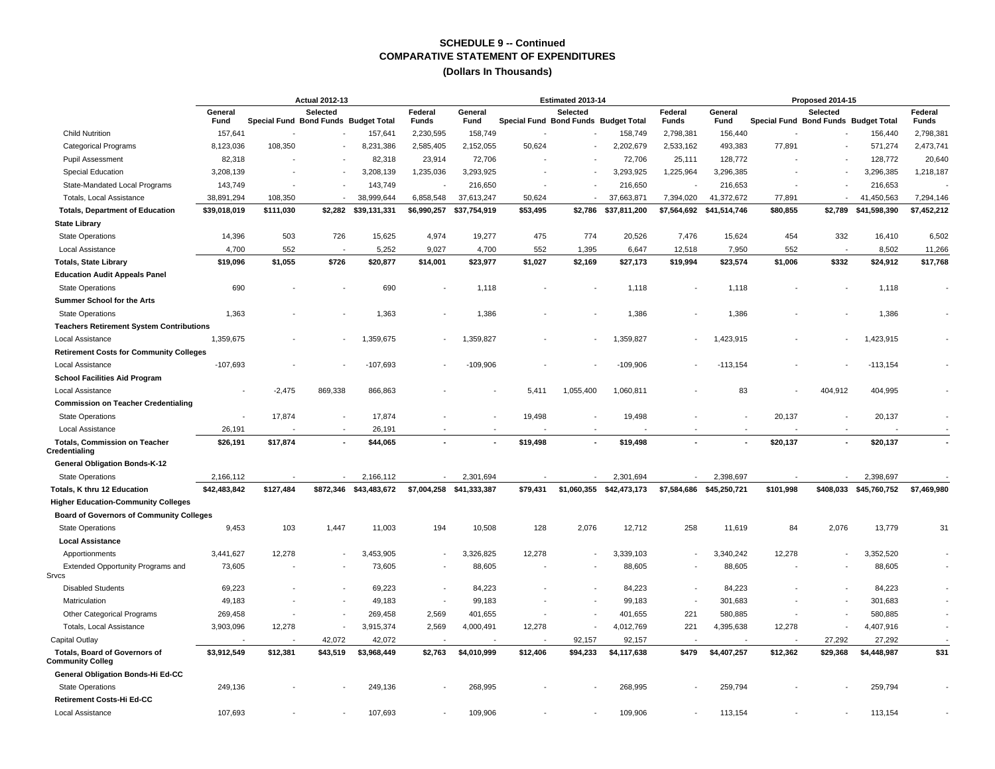|                                                          | <b>Actual 2012-13</b> |                                                  |                          |                        |                 |                                      |          | Estimated 2013-14 |                  |                          |                          |                                                  | Proposed 2014-15         |                         |                |
|----------------------------------------------------------|-----------------------|--------------------------------------------------|--------------------------|------------------------|-----------------|--------------------------------------|----------|-------------------|------------------|--------------------------|--------------------------|--------------------------------------------------|--------------------------|-------------------------|----------------|
|                                                          | General<br>Fund       | Selected<br>Special Fund Bond Funds Budget Total |                          | Federal<br>Funds       | General<br>Fund | Special Fund Bond Funds Budget Total | Selected |                   | Federal<br>Funds | General<br>Fund          |                          | Selected<br>Special Fund Bond Funds Budget Total |                          | Federal<br><b>Funds</b> |                |
| <b>Child Nutrition</b>                                   | 157,641               |                                                  |                          | 157,641                | 2,230,595       | 158,749                              |          |                   | 158,749          | 2,798,381                | 156,440                  |                                                  |                          | 156,440                 | 2,798,381      |
| <b>Categorical Programs</b>                              | 8,123,036             | 108,350                                          |                          | 8,231,386              | 2,585,405       | 2,152,055                            | 50,624   |                   | 2,202,679        | 2,533,162                | 493,383                  | 77,891                                           |                          | 571,274                 | 2,473,741      |
| <b>Pupil Assessment</b>                                  | 82,318                |                                                  |                          | 82,318                 | 23,914          | 72,706                               |          |                   | 72,706           | 25,111                   | 128.772                  |                                                  |                          | 128,772                 | 20,640         |
| <b>Special Education</b>                                 | 3,208,139             |                                                  |                          | 3,208,139              | 1,235,036       | 3,293,925                            |          |                   | 3,293,925        | 1,225,964                | 3,296,385                |                                                  |                          | 3,296,385               | 1,218,187      |
| State-Mandated Local Programs                            | 143,749               |                                                  | $\overline{\phantom{a}}$ | 143,749                |                 | 216,650                              |          |                   | 216,650          | . .                      | 216,653                  |                                                  |                          | 216,653                 |                |
| Totals, Local Assistance                                 | 38,891,294            | 108,350                                          |                          | 38,999,644             | 6,858,548       | 37,613,247                           | 50,624   |                   | 37,663,871       | 7,394,020                | 41,372,672               | 77,891                                           | $\overline{a}$           | 41,450,563              | 7,294,146      |
| <b>Totals, Department of Education</b>                   | \$39,018,019          | \$111,030                                        | \$2,282                  | \$39,131,331           | \$6,990,257     | \$37,754,919                         | \$53,495 | \$2,786           | \$37,811,200     | \$7,564,692              | \$41,514,746             | \$80,855                                         | \$2,789                  | \$41,598,390            | \$7,452,212    |
| <b>State Library</b>                                     |                       |                                                  |                          |                        |                 |                                      |          |                   |                  |                          |                          |                                                  |                          |                         |                |
| <b>State Operations</b>                                  | 14.396                | 503                                              | 726                      | 15,625                 | 4,974           | 19,277                               | 475      | 774               | 20,526           | 7,476                    | 15,624                   | 454                                              | 332                      | 16,410                  | 6,502          |
| Local Assistance                                         | 4,700                 | 552                                              |                          | 5,252                  | 9,027           | 4,700                                | 552      | 1,395             | 6,647            | 12,518                   | 7,950                    | 552                                              |                          | 8,502                   | 11,266         |
| <b>Totals, State Library</b>                             | \$19,096              | \$1,055                                          | \$726                    | \$20,877               | \$14,001        | \$23,977                             | \$1,027  | \$2,169           | \$27,173         | \$19,994                 | \$23,574                 | \$1,006                                          | \$332                    | \$24,912                | \$17,768       |
| <b>Education Audit Appeals Panel</b>                     |                       |                                                  |                          |                        |                 |                                      |          |                   |                  |                          |                          |                                                  |                          |                         |                |
| <b>State Operations</b>                                  | 690                   |                                                  |                          | 690                    |                 | 1,118                                |          |                   | 1,118            |                          | 1,118                    |                                                  |                          | 1,118                   |                |
| Summer School for the Arts                               |                       |                                                  |                          |                        |                 |                                      |          |                   |                  |                          |                          |                                                  |                          |                         |                |
| <b>State Operations</b>                                  | 1,363                 |                                                  |                          | 1,363                  |                 | 1,386                                |          |                   | 1,386            |                          | 1,386                    |                                                  |                          | 1,386                   |                |
| <b>Teachers Retirement System Contributions</b>          |                       |                                                  |                          |                        |                 |                                      |          |                   |                  |                          |                          |                                                  |                          |                         |                |
| Local Assistance                                         | 1,359,675             |                                                  |                          | 1,359,675              |                 | 1,359,827                            |          |                   | 1,359,827        |                          | 1,423,915                |                                                  |                          | 1,423,915               |                |
| <b>Retirement Costs for Community Colleges</b>           |                       |                                                  |                          |                        |                 |                                      |          |                   |                  |                          |                          |                                                  |                          |                         |                |
| Local Assistance                                         | $-107,693$            |                                                  |                          | $-107,693$             |                 | $-109,906$                           |          |                   | $-109,906$       |                          | $-113,154$               |                                                  |                          | $-113,154$              |                |
| <b>School Facilities Aid Program</b>                     |                       |                                                  |                          |                        |                 |                                      |          |                   |                  |                          |                          |                                                  |                          |                         |                |
| Local Assistance                                         |                       | $-2,475$                                         | 869,338                  | 866,863                |                 |                                      | 5,411    | 1,055,400         | 1,060,811        |                          | 83                       |                                                  | 404,912                  | 404,995                 |                |
| <b>Commission on Teacher Credentialing</b>               |                       |                                                  |                          |                        |                 |                                      |          |                   |                  |                          |                          |                                                  |                          |                         |                |
| <b>State Operations</b>                                  |                       | 17,874                                           | $\overline{\phantom{a}}$ | 17,874                 |                 |                                      | 19,498   |                   | 19,498           |                          |                          | 20,137                                           |                          | 20,137                  |                |
| Local Assistance                                         | 26,191                |                                                  | $\overline{\phantom{a}}$ | 26,191                 |                 |                                      |          |                   |                  |                          |                          |                                                  | $\overline{\phantom{a}}$ |                         |                |
| <b>Totals, Commission on Teacher</b>                     | \$26,191              | \$17,874                                         | $\blacksquare$           | \$44,065               |                 |                                      | \$19,498 | ÷.                | \$19,498         |                          |                          | \$20,137                                         | $\blacksquare$           | \$20,137                | $\blacksquare$ |
| Credentialing                                            |                       |                                                  |                          |                        |                 |                                      |          |                   |                  |                          |                          |                                                  |                          |                         |                |
| <b>General Obligation Bonds-K-12</b>                     |                       |                                                  |                          |                        |                 |                                      |          |                   |                  |                          |                          |                                                  |                          |                         |                |
| <b>State Operations</b>                                  | 2,166,112             |                                                  |                          | 2,166,112              |                 | 2,301,694                            |          |                   | 2.301.694        |                          | 2,398,697                |                                                  |                          | 2,398,697               |                |
| Totals, K thru 12 Education                              | \$42,483,842          | \$127,484                                        |                          | \$872,346 \$43,483,672 |                 | \$7,004,258 \$41,333,387             | \$79,431 | \$1,060,355       | \$42,473,173     |                          | \$7,584,686 \$45,250,721 | \$101,998                                        | \$408,033                | \$45,760,752            | \$7,469,980    |
| <b>Higher Education-Community Colleges</b>               |                       |                                                  |                          |                        |                 |                                      |          |                   |                  |                          |                          |                                                  |                          |                         |                |
| <b>Board of Governors of Community Colleges</b>          |                       |                                                  |                          |                        |                 |                                      |          |                   |                  |                          |                          |                                                  |                          |                         |                |
| <b>State Operations</b>                                  | 9,453                 | 103                                              | 1,447                    | 11,003                 | 194             | 10,508                               | 128      | 2,076             | 12,712           | 258                      | 11,619                   | 84                                               | 2,076                    | 13,779                  | 31             |
| <b>Local Assistance</b>                                  |                       |                                                  |                          |                        |                 |                                      |          |                   |                  |                          |                          |                                                  |                          |                         |                |
| Apportionments                                           | 3,441,627             | 12,278                                           | $\overline{\phantom{a}}$ | 3,453,905              |                 | 3,326,825                            | 12,278   |                   | 3,339,103        |                          | 3,340,242                | 12,278                                           |                          | 3,352,520               |                |
| Extended Opportunity Programs and<br>Srvcs               | 73,605                |                                                  | $\overline{\phantom{a}}$ | 73,605                 |                 | 88,605                               |          |                   | 88,605           |                          | 88,605                   |                                                  |                          | 88,605                  |                |
| <b>Disabled Students</b>                                 | 69,223                |                                                  |                          | 69,223                 |                 | 84,223                               |          |                   | 84,223           |                          | 84,223                   |                                                  |                          | 84,223                  |                |
| Matriculation                                            | 49,183                |                                                  | $\overline{\phantom{a}}$ | 49,183                 | $\sim$          | 99,183                               |          |                   | 99,183           | $\overline{\phantom{a}}$ | 301,683                  |                                                  |                          | 301,683                 |                |
| Other Categorical Programs                               | 269,458               |                                                  |                          | 269,458                | 2,569           | 401,655                              |          |                   | 401,655          | 221                      | 580,885                  |                                                  |                          | 580,885                 |                |
| Totals, Local Assistance                                 | 3,903,096             | 12,278                                           |                          | 3,915,374              | 2,569           | 4,000,491                            | 12,278   |                   | 4,012,769        | 221                      | 4,395,638                | 12,278                                           |                          | 4,407,916               |                |
| Capital Outlay                                           |                       |                                                  | 42,072                   | 42,072                 |                 |                                      |          | 92,157            | 92,157           |                          |                          |                                                  | 27,292                   | 27,292                  |                |
| <b>Totals, Board of Governors of</b><br>Community Colleg | \$3,912,549           | \$12,381                                         | \$43,519                 | \$3,968,449            | \$2,763         | \$4,010,999                          | \$12,406 | \$94,233          | \$4,117,638      | \$479                    | \$4,407,257              | \$12,362                                         | \$29,368                 | \$4,448,987             | \$31           |
| General Obligation Bonds-Hi Ed-CC                        |                       |                                                  |                          |                        |                 |                                      |          |                   |                  |                          |                          |                                                  |                          |                         |                |
| <b>State Operations</b>                                  | 249,136               |                                                  |                          | 249,136                |                 | 268,995                              |          |                   | 268,995          |                          | 259,794                  |                                                  |                          | 259,794                 |                |
| Retirement Costs-Hi Ed-CC                                |                       |                                                  |                          |                        |                 |                                      |          |                   |                  |                          |                          |                                                  |                          |                         |                |
| Local Assistance                                         | 107,693               |                                                  |                          | 107,693                |                 | 109,906                              |          |                   | 109,906          |                          | 113,154                  |                                                  |                          | 113,154                 |                |
|                                                          |                       |                                                  |                          |                        |                 |                                      |          |                   |                  |                          |                          |                                                  |                          |                         |                |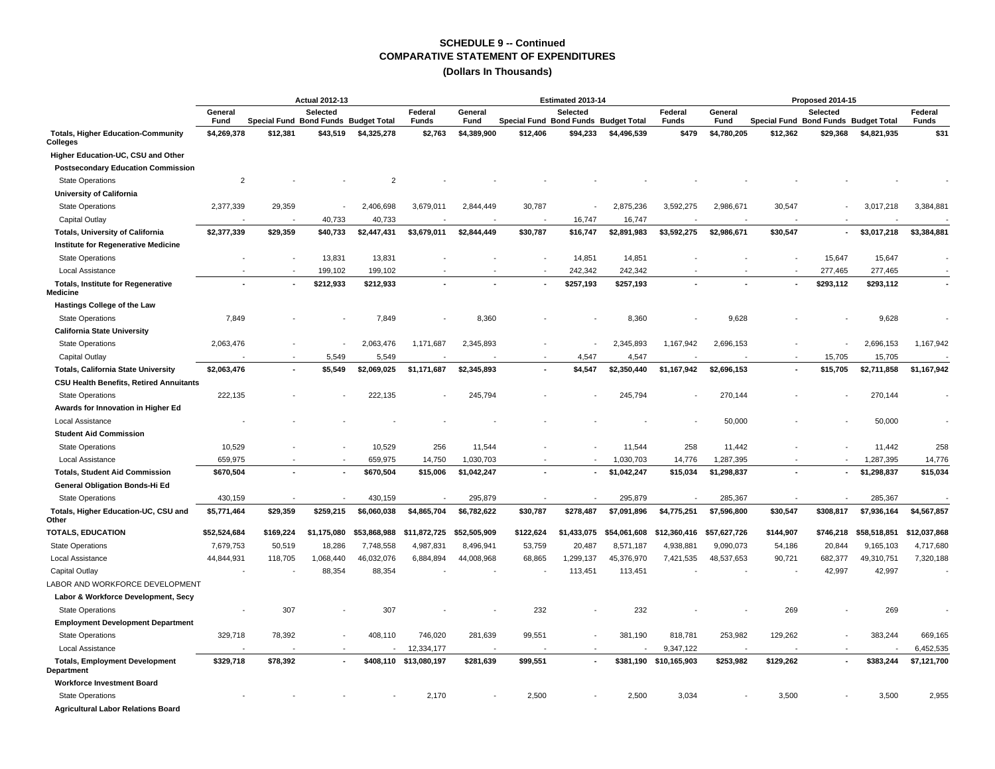|                                                       |                 |                          | <b>Actual 2012-13</b>                            |                |                         | Estimated 2013-14 |                                      |                 |              |                         |                 | Proposed 2014-15                     |           |              |                         |  |  |  |
|-------------------------------------------------------|-----------------|--------------------------|--------------------------------------------------|----------------|-------------------------|-------------------|--------------------------------------|-----------------|--------------|-------------------------|-----------------|--------------------------------------|-----------|--------------|-------------------------|--|--|--|
|                                                       | General<br>Fund |                          | Selected<br>Special Fund Bond Funds Budget Total |                | Federal<br><b>Funds</b> | General<br>Fund   | Special Fund Bond Funds Budget Total | <b>Selected</b> |              | Federal<br><b>Funds</b> | General<br>Fund | Special Fund Bond Funds Budget Total | Selected  |              | Federal<br><b>Funds</b> |  |  |  |
| <b>Totals, Higher Education-Community</b><br>Colleges | \$4,269,378     | \$12,381                 | \$43,519                                         | \$4,325,278    | \$2,763                 | \$4,389,900       | \$12,406                             | \$94,233        | \$4,496,539  | \$479                   | \$4,780,205     | \$12,362                             | \$29,368  | \$4,821,935  | \$31                    |  |  |  |
| Higher Education-UC, CSU and Other                    |                 |                          |                                                  |                |                         |                   |                                      |                 |              |                         |                 |                                      |           |              |                         |  |  |  |
| <b>Postsecondary Education Commission</b>             |                 |                          |                                                  |                |                         |                   |                                      |                 |              |                         |                 |                                      |           |              |                         |  |  |  |
| <b>State Operations</b>                               | $\overline{2}$  |                          |                                                  | $\overline{2}$ |                         |                   |                                      |                 |              |                         |                 |                                      |           |              |                         |  |  |  |
| <b>University of California</b>                       |                 |                          |                                                  |                |                         |                   |                                      |                 |              |                         |                 |                                      |           |              |                         |  |  |  |
| <b>State Operations</b>                               | 2,377,339       | 29,359                   |                                                  | 2,406,698      | 3,679,011               | 2,844,449         | 30,787                               |                 | 2,875,236    | 3,592,275               | 2,986,671       | 30,547                               |           | 3,017,218    | 3,384,881               |  |  |  |
| Capital Outlay                                        |                 |                          | 40,733                                           | 40,733         |                         |                   |                                      | 16,747          | 16,747       |                         |                 |                                      |           |              |                         |  |  |  |
| <b>Totals, University of California</b>               | \$2,377,339     | \$29,359                 | \$40,733                                         | \$2,447,431    | \$3,679,011             | \$2,844,449       | \$30,787                             | \$16,747        | \$2,891,983  | \$3,592,275             | \$2,986,671     | \$30,547                             | ٠         | \$3,017,218  | \$3,384,881             |  |  |  |
| Institute for Regenerative Medicine                   |                 |                          |                                                  |                |                         |                   |                                      |                 |              |                         |                 |                                      |           |              |                         |  |  |  |
| <b>State Operations</b>                               |                 | $\overline{\phantom{a}}$ | 13,831                                           | 13,831         |                         |                   |                                      | 14,851          | 14,851       |                         |                 |                                      | 15,647    | 15,647       |                         |  |  |  |
| Local Assistance                                      |                 |                          | 199,102                                          | 199,102        |                         |                   |                                      | 242,342         | 242,342      |                         |                 |                                      | 277,465   | 277,465      |                         |  |  |  |
| <b>Totals, Institute for Regenerative</b><br>Medicine |                 |                          | \$212,933                                        | \$212,933      |                         |                   |                                      | \$257,193       | \$257,193    |                         |                 |                                      | \$293,112 | \$293,112    |                         |  |  |  |
| Hastings College of the Law                           |                 |                          |                                                  |                |                         |                   |                                      |                 |              |                         |                 |                                      |           |              |                         |  |  |  |
| <b>State Operations</b>                               | 7,849           |                          |                                                  | 7,849          |                         | 8,360             |                                      |                 | 8,360        |                         | 9,628           |                                      |           | 9,628        |                         |  |  |  |
| California State University                           |                 |                          |                                                  |                |                         |                   |                                      |                 |              |                         |                 |                                      |           |              |                         |  |  |  |
| <b>State Operations</b>                               | 2,063,476       |                          |                                                  | 2,063,476      | 1,171,687               | 2,345,893         |                                      |                 | 2,345,893    | 1,167,942               | 2,696,153       |                                      |           | 2,696,153    | 1,167,942               |  |  |  |
| Capital Outlay                                        |                 |                          | 5.549                                            | 5,549          |                         |                   |                                      | 4.547           | 4,547        |                         |                 |                                      | 15,705    | 15,705       |                         |  |  |  |
| <b>Totals, California State University</b>            | \$2,063,476     | $\blacksquare$           | \$5,549                                          | \$2,069,025    | \$1,171,687             | \$2,345,893       |                                      | \$4,547         | \$2,350,440  | \$1,167,942             | \$2,696,153     | $\blacksquare$                       | \$15,705  | \$2,711,858  | \$1,167,942             |  |  |  |
| <b>CSU Health Benefits, Retired Annuitants</b>        |                 |                          |                                                  |                |                         |                   |                                      |                 |              |                         |                 |                                      |           |              |                         |  |  |  |
| <b>State Operations</b>                               | 222,135         |                          |                                                  | 222,135        |                         | 245,794           |                                      |                 | 245,794      |                         | 270,144         |                                      |           | 270,144      |                         |  |  |  |
| Awards for Innovation in Higher Ed                    |                 |                          |                                                  |                |                         |                   |                                      |                 |              |                         |                 |                                      |           |              |                         |  |  |  |
| <b>Local Assistance</b>                               |                 |                          |                                                  |                |                         |                   |                                      |                 |              |                         | 50,000          |                                      |           | 50,000       |                         |  |  |  |
| <b>Student Aid Commission</b>                         |                 |                          |                                                  |                |                         |                   |                                      |                 |              |                         |                 |                                      |           |              |                         |  |  |  |
| <b>State Operations</b>                               | 10,529          |                          |                                                  | 10,529         | 256                     | 11,544            |                                      |                 | 11,544       | 258                     | 11,442          |                                      |           | 11,442       | 258                     |  |  |  |
| Local Assistance                                      | 659,975         |                          |                                                  | 659,975        | 14,750                  | 1,030,703         |                                      |                 | 1,030,703    | 14,776                  | 1,287,395       |                                      |           | 1,287,395    | 14,776                  |  |  |  |
| <b>Totals, Student Aid Commission</b>                 | \$670,504       |                          |                                                  | \$670,504      | \$15,006                | \$1,042,247       |                                      | $\blacksquare$  | \$1,042,247  | \$15,034                | \$1,298,837     |                                      | ٠         | \$1,298,837  | \$15,034                |  |  |  |
| General Obligation Bonds-Hi Ed                        |                 |                          |                                                  |                |                         |                   |                                      |                 |              |                         |                 |                                      |           |              |                         |  |  |  |
| <b>State Operations</b>                               | 430,159         |                          |                                                  | 430,159        |                         | 295,879           |                                      |                 | 295,879      |                         | 285,367         |                                      |           | 285,367      |                         |  |  |  |
| Totals, Higher Education-UC, CSU and<br>Other         | \$5,771,464     | \$29,359                 | \$259,215                                        | \$6,060,038    | \$4,865,704             | \$6,782,622       | \$30,787                             | \$278,487       | \$7,091,896  | \$4,775,251             | \$7,596,800     | \$30,547                             | \$308,817 | \$7,936,164  | \$4,567,857             |  |  |  |
| <b>TOTALS, EDUCATION</b>                              | \$52,524,684    | \$169,224                | \$1,175,080                                      | \$53,868,988   | \$11,872,725            | \$52,505,909      | \$122,624                            | \$1,433,075     | \$54,061,608 | \$12,360,416            | \$57,627,726    | \$144,907                            | \$746,218 | \$58,518,851 | \$12,037,868            |  |  |  |
| <b>State Operations</b>                               | 7,679,753       | 50,519                   | 18,286                                           | 7,748,558      | 4,987,831               | 8,496,941         | 53,759                               | 20,487          | 8,571,187    | 4,938,881               | 9,090,073       | 54,186                               | 20,844    | 9,165,103    | 4,717,680               |  |  |  |
| Local Assistance                                      | 44,844,931      | 118,705                  | 1,068,440                                        | 46,032,076     | 6,884,894               | 44,008,968        | 68,865                               | 1,299,137       | 45,376,970   | 7,421,535               | 48,537,653      | 90,721                               | 682,377   | 49,310,751   | 7,320,188               |  |  |  |
| Capital Outlay                                        |                 |                          | 88,354                                           | 88,354         |                         |                   |                                      | 113,451         | 113,451      |                         |                 |                                      | 42,997    | 42,997       |                         |  |  |  |
| LABOR AND WORKFORCE DEVELOPMENT                       |                 |                          |                                                  |                |                         |                   |                                      |                 |              |                         |                 |                                      |           |              |                         |  |  |  |
| Labor & Workforce Development, Secy                   |                 |                          |                                                  |                |                         |                   |                                      |                 |              |                         |                 |                                      |           |              |                         |  |  |  |
| <b>State Operations</b>                               |                 | 307                      |                                                  | 307            |                         |                   | 232                                  |                 | 232          |                         |                 | 269                                  |           | 269          |                         |  |  |  |
| <b>Employment Development Department</b>              |                 |                          |                                                  |                |                         |                   |                                      |                 |              |                         |                 |                                      |           |              |                         |  |  |  |
| <b>State Operations</b>                               | 329,718         | 78,392                   |                                                  | 408,110        | 746,020                 | 281,639           | 99,551                               |                 | 381,190      | 818,781                 | 253,982         | 129,262                              |           | 383,244      | 669,165                 |  |  |  |
| <b>Local Assistance</b>                               |                 |                          |                                                  |                | 12,334,177              |                   |                                      |                 |              | 9,347,122               |                 |                                      |           |              | 6,452,535               |  |  |  |
| <b>Totals, Employment Development</b><br>Department   | \$329,718       | \$78,392                 | ٠                                                |                | \$408,110 \$13,080,197  | \$281,639         | \$99,551                             | $\blacksquare$  | \$381,190    | \$10,165,903            | \$253,982       | \$129,262                            |           | \$383,244    | \$7,121,700             |  |  |  |
| <b>Workforce Investment Board</b>                     |                 |                          |                                                  |                |                         |                   |                                      |                 |              |                         |                 |                                      |           |              |                         |  |  |  |
| <b>State Operations</b>                               |                 |                          |                                                  |                | 2,170                   |                   | 2,500                                |                 | 2,500        | 3,034                   |                 | 3,500                                |           | 3,500        | 2,955                   |  |  |  |
| <b>Agricultural Labor Relations Board</b>             |                 |                          |                                                  |                |                         |                   |                                      |                 |              |                         |                 |                                      |           |              |                         |  |  |  |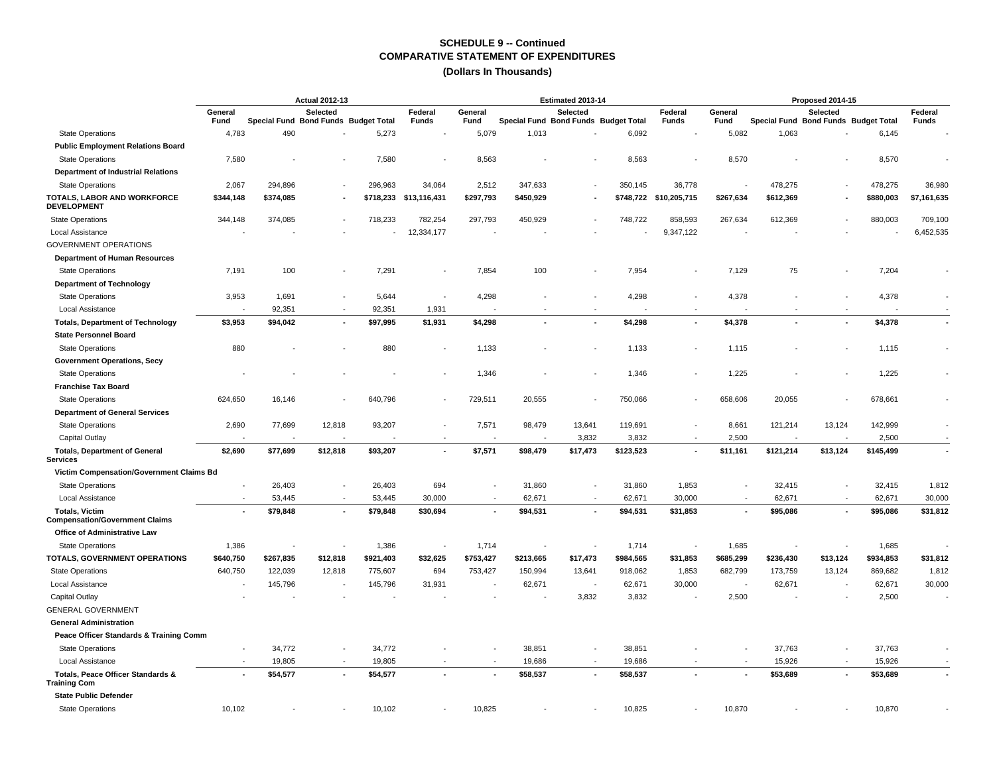|                                                                |                          |                                      | <b>Actual 2012-13</b> |           |                                                      |                          |                                      | Estimated 2013-14 |           |                        | Proposed 2014-15 |           |                                                  |           |                          |  |  |
|----------------------------------------------------------------|--------------------------|--------------------------------------|-----------------------|-----------|------------------------------------------------------|--------------------------|--------------------------------------|-------------------|-----------|------------------------|------------------|-----------|--------------------------------------------------|-----------|--------------------------|--|--|
|                                                                | General<br>Fund          | Special Fund Bond Funds Budget Total | Selected              |           | Federal<br>Funds                                     | General<br>Fund          | Special Fund Bond Funds Budget Total | Selected          |           | Federal<br>Funds       | General<br>Fund  |           | Selected<br>Special Fund Bond Funds Budget Total |           | Federal<br><b>Funds</b>  |  |  |
| <b>State Operations</b>                                        | 4,783                    | 490                                  |                       | 5,273     |                                                      | 5,079                    | 1,013                                |                   | 6,092     |                        | 5,082            | 1,063     |                                                  | 6,145     |                          |  |  |
| <b>Public Employment Relations Board</b>                       |                          |                                      |                       |           |                                                      |                          |                                      |                   |           |                        |                  |           |                                                  |           |                          |  |  |
| <b>State Operations</b>                                        | 7,580                    |                                      |                       | 7,580     |                                                      | 8,563                    |                                      |                   | 8,563     |                        | 8,570            |           |                                                  | 8,570     |                          |  |  |
| <b>Department of Industrial Relations</b>                      |                          |                                      |                       |           |                                                      |                          |                                      |                   |           |                        |                  |           |                                                  |           |                          |  |  |
| <b>State Operations</b>                                        | 2,067                    | 294,896                              |                       | 296,963   | 34,064                                               | 2,512                    | 347,633                              |                   | 350,145   | 36,778                 |                  | 478,275   |                                                  | 478,275   | 36,980                   |  |  |
| TOTALS, LABOR AND WORKFORCE<br><b>DEVELOPMENT</b>              | \$344,148                | \$374,085                            |                       | \$718,233 | \$13,116,431                                         | \$297,793                | \$450,929                            |                   |           | \$748,722 \$10,205,715 | \$267,634        | \$612,369 |                                                  | \$880,003 | \$7,161,635              |  |  |
| <b>State Operations</b>                                        | 344,148                  | 374,085                              |                       | 718,233   | 782,254                                              | 297,793                  | 450,929                              |                   | 748,722   | 858,593                | 267,634          | 612,369   |                                                  | 880,003   | 709,100                  |  |  |
| Local Assistance                                               |                          |                                      |                       |           | 12,334,177                                           |                          |                                      |                   |           | 9,347,122              |                  |           |                                                  |           | 6,452,535                |  |  |
| <b>GOVERNMENT OPERATIONS</b>                                   |                          |                                      |                       |           |                                                      |                          |                                      |                   |           |                        |                  |           |                                                  |           |                          |  |  |
| <b>Department of Human Resources</b>                           |                          |                                      |                       |           |                                                      |                          |                                      |                   |           |                        |                  |           |                                                  |           |                          |  |  |
| <b>State Operations</b>                                        | 7,191                    | 100                                  |                       | 7,291     |                                                      | 7,854                    | 100                                  |                   | 7,954     |                        | 7,129            | 75        |                                                  | 7,204     |                          |  |  |
| <b>Department of Technology</b>                                |                          |                                      |                       |           |                                                      |                          |                                      |                   |           |                        |                  |           |                                                  |           |                          |  |  |
| <b>State Operations</b>                                        | 3,953                    | 1,691                                |                       | 5,644     |                                                      | 4,298                    |                                      |                   | 4,298     |                        | 4,378            |           |                                                  | 4,378     |                          |  |  |
| Local Assistance                                               |                          | 92,351                               |                       | 92,351    | 1,931                                                |                          |                                      |                   |           |                        |                  |           |                                                  |           |                          |  |  |
| <b>Totals, Department of Technology</b>                        | \$3,953                  | \$94,042                             |                       | \$97,995  | \$1,931                                              | \$4,298                  | $\overline{a}$                       |                   | \$4,298   |                        | \$4,378          |           |                                                  | \$4,378   | $\sim$                   |  |  |
| <b>State Personnel Board</b>                                   |                          |                                      |                       |           |                                                      |                          |                                      |                   |           |                        |                  |           |                                                  |           |                          |  |  |
| <b>State Operations</b>                                        | 880                      |                                      |                       | 880       |                                                      | 1,133                    |                                      |                   | 1,133     |                        | 1,115            |           |                                                  | 1,115     |                          |  |  |
| <b>Government Operations, Secy</b>                             |                          |                                      |                       |           |                                                      |                          |                                      |                   |           |                        |                  |           |                                                  |           |                          |  |  |
| <b>State Operations</b>                                        |                          |                                      |                       |           |                                                      | 1,346                    |                                      |                   | 1,346     |                        | 1,225            |           |                                                  | 1,225     |                          |  |  |
| <b>Franchise Tax Board</b>                                     |                          |                                      |                       |           |                                                      |                          |                                      |                   |           |                        |                  |           |                                                  |           |                          |  |  |
| <b>State Operations</b>                                        | 624,650                  | 16,146                               |                       | 640,796   |                                                      | 729,511                  | 20,555                               |                   | 750,066   |                        | 658,606          | 20,055    |                                                  | 678,661   |                          |  |  |
| <b>Department of General Services</b>                          |                          |                                      |                       |           |                                                      |                          |                                      |                   |           |                        |                  |           |                                                  |           |                          |  |  |
|                                                                |                          | 77,699                               | 12,818                |           |                                                      |                          | 98,479                               |                   | 119,691   |                        | 8,661            |           | 13,124                                           |           |                          |  |  |
| <b>State Operations</b>                                        | 2,690                    |                                      |                       | 93,207    |                                                      | 7,571                    | ٠.                                   | 13,641            |           |                        |                  | 121,214   |                                                  | 142,999   |                          |  |  |
| Capital Outlay                                                 | $\overline{a}$           |                                      |                       |           | $\overline{\phantom{a}}$<br>$\overline{\phantom{a}}$ |                          |                                      | 3,832             | 3,832     |                        | 2,500            |           |                                                  | 2,500     | $\overline{\phantom{a}}$ |  |  |
| <b>Totals, Department of General</b><br><b>Services</b>        | \$2,690                  | \$77,699                             | \$12,818              | \$93,207  |                                                      | \$7,571                  | \$98,479                             | \$17,473          | \$123,523 |                        | \$11,161         | \$121,214 | \$13,124                                         | \$145,499 |                          |  |  |
| Victim Compensation/Government Claims Bd                       |                          |                                      |                       |           |                                                      |                          |                                      |                   |           |                        |                  |           |                                                  |           |                          |  |  |
| <b>State Operations</b>                                        |                          | 26,403                               |                       | 26,403    | 694                                                  |                          | 31,860                               |                   | 31,860    | 1,853                  |                  | 32,415    |                                                  | 32,415    | 1,812                    |  |  |
| Local Assistance                                               |                          | 53,445                               |                       | 53,445    | 30,000                                               | $\overline{\phantom{a}}$ | 62,671                               |                   | 62,671    | 30,000                 |                  | 62,671    |                                                  | 62,671    | 30,000                   |  |  |
| <b>Totals, Victim</b><br><b>Compensation/Government Claims</b> | $\overline{\phantom{a}}$ | \$79,848                             | $\overline{a}$        | \$79,848  | \$30,694                                             | $\overline{\phantom{a}}$ | \$94,531                             |                   | \$94,531  | \$31,853               | $\blacksquare$   | \$95,086  |                                                  | \$95,086  | \$31,812                 |  |  |
| <b>Office of Administrative Law</b>                            |                          |                                      |                       |           |                                                      |                          |                                      |                   |           |                        |                  |           |                                                  |           |                          |  |  |
| <b>State Operations</b>                                        | 1,386                    |                                      |                       | 1,386     |                                                      | 1,714                    |                                      |                   | 1,714     |                        | 1,685            |           |                                                  | 1,685     |                          |  |  |
| TOTALS, GOVERNMENT OPERATIONS                                  | \$640,750                | \$267,835                            | \$12,818              | \$921,403 | \$32,625                                             | \$753,427                | \$213,665                            | \$17,473          | \$984,565 | \$31,853               | \$685,299        | \$236,430 | \$13,124                                         | \$934,853 | \$31,812                 |  |  |
| <b>State Operations</b>                                        | 640,750                  | 122,039                              | 12,818                | 775,607   | 694                                                  | 753,427                  | 150,994                              | 13,641            | 918,062   | 1,853                  | 682,799          | 173,759   | 13,124                                           | 869,682   | 1,812                    |  |  |
| Local Assistance                                               |                          | 145,796                              |                       | 145,796   | 31,931                                               |                          | 62,671                               |                   | 62,671    | 30,000                 |                  | 62,671    |                                                  | 62,671    | 30,000                   |  |  |
| Capital Outlay                                                 |                          |                                      |                       |           |                                                      |                          |                                      | 3,832             | 3,832     |                        | 2,500            |           |                                                  | 2,500     |                          |  |  |
| <b>GENERAL GOVERNMENT</b>                                      |                          |                                      |                       |           |                                                      |                          |                                      |                   |           |                        |                  |           |                                                  |           |                          |  |  |
| <b>General Administration</b>                                  |                          |                                      |                       |           |                                                      |                          |                                      |                   |           |                        |                  |           |                                                  |           |                          |  |  |
| Peace Officer Standards & Training Comm                        |                          |                                      |                       |           |                                                      |                          |                                      |                   |           |                        |                  |           |                                                  |           |                          |  |  |
| <b>State Operations</b>                                        |                          | 34,772                               |                       | 34,772    |                                                      |                          | 38,851                               |                   | 38,851    |                        |                  | 37,763    |                                                  | 37,763    |                          |  |  |
| Local Assistance                                               |                          | 19,805                               | $\sim$                | 19,805    |                                                      |                          | 19,686                               |                   | 19,686    |                        |                  | 15,926    | $\overline{\phantom{a}}$                         | 15,926    |                          |  |  |
| Totals, Peace Officer Standards &<br><b>Training Com</b>       |                          | \$54,577                             |                       | \$54,577  |                                                      |                          | \$58,537                             |                   | \$58,537  |                        |                  | \$53,689  |                                                  | \$53,689  |                          |  |  |
| <b>State Public Defender</b>                                   |                          |                                      |                       |           |                                                      |                          |                                      |                   |           |                        |                  |           |                                                  |           |                          |  |  |
| <b>State Operations</b>                                        | 10,102                   |                                      |                       | 10,102    |                                                      | 10,825                   |                                      |                   | 10,825    |                        | 10,870           |           |                                                  | 10,870    |                          |  |  |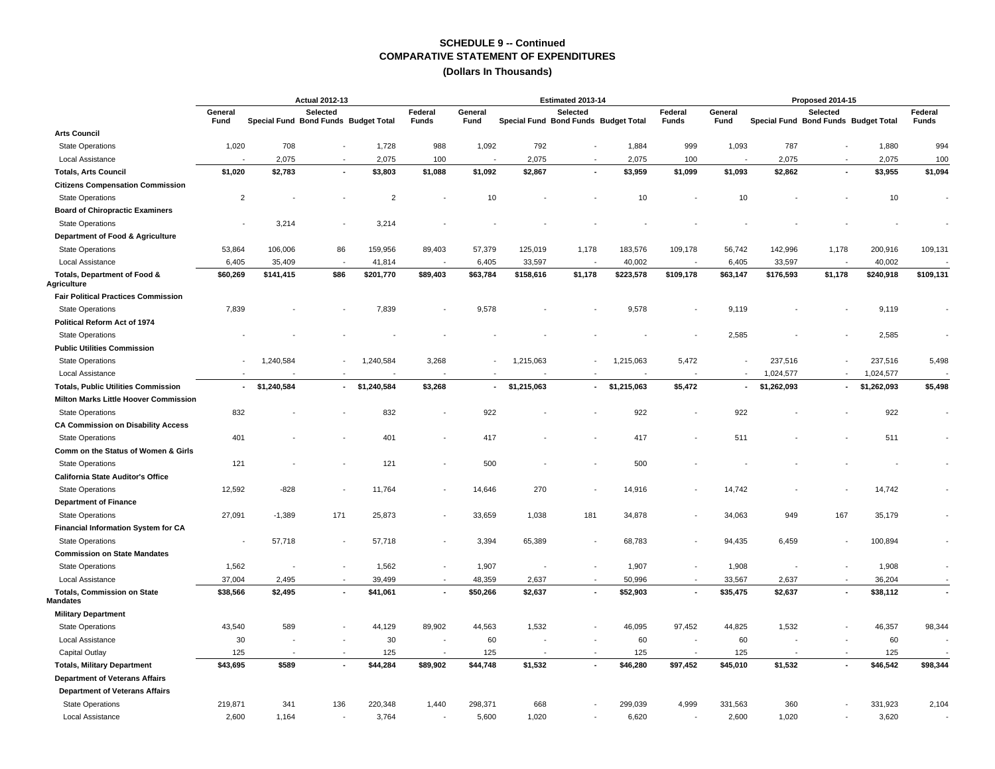|                                                       | <b>Actual 2012-13</b>    |             |                                                  |                |                          |                 |                                      | Estimated 2013-14 |             |                         | Proposed 2014-15 |                                      |                |             |                          |  |
|-------------------------------------------------------|--------------------------|-------------|--------------------------------------------------|----------------|--------------------------|-----------------|--------------------------------------|-------------------|-------------|-------------------------|------------------|--------------------------------------|----------------|-------------|--------------------------|--|
|                                                       | General<br>Fund          |             | Selected<br>Special Fund Bond Funds Budget Total |                | Federal<br>Funds         | General<br>Fund | Special Fund Bond Funds Budget Total | <b>Selected</b>   |             | Federal<br><b>Funds</b> | General<br>Fund  | Special Fund Bond Funds Budget Total | Selected       |             | Federal<br>Funds         |  |
| <b>Arts Council</b>                                   |                          |             |                                                  |                |                          |                 |                                      |                   |             |                         |                  |                                      |                |             |                          |  |
| <b>State Operations</b>                               | 1,020                    | 708         | $\overline{\phantom{a}}$                         | 1,728          | 988                      | 1,092           | 792                                  |                   | 1,884       | 999                     | 1,093            | 787                                  |                | 1,880       | 994                      |  |
| Local Assistance                                      |                          | 2,075       | $\sim$                                           | 2,075          | 100                      |                 | 2,075                                |                   | 2,075       | 100                     |                  | 2,075                                | $\sim$         | 2,075       | 100                      |  |
| <b>Totals, Arts Council</b>                           | \$1,020                  | \$2,783     | $\blacksquare$                                   | \$3,803        | \$1,088                  | \$1,092         | \$2,867                              |                   | \$3,959     | \$1,099                 | \$1,093          | \$2,862                              | $\blacksquare$ | \$3,955     | \$1,094                  |  |
| <b>Citizens Compensation Commission</b>               |                          |             |                                                  |                |                          |                 |                                      |                   |             |                         |                  |                                      |                |             |                          |  |
| <b>State Operations</b>                               | $\overline{2}$           |             |                                                  | $\overline{2}$ |                          | 10              |                                      |                   | 10          |                         | 10               |                                      |                | 10          |                          |  |
| <b>Board of Chiropractic Examiners</b>                |                          |             |                                                  |                |                          |                 |                                      |                   |             |                         |                  |                                      |                |             |                          |  |
| <b>State Operations</b>                               |                          | 3,214       |                                                  | 3,214          |                          |                 |                                      |                   |             |                         |                  |                                      |                |             |                          |  |
| Department of Food & Agriculture                      |                          |             |                                                  |                |                          |                 |                                      |                   |             |                         |                  |                                      |                |             |                          |  |
| <b>State Operations</b>                               | 53,864                   | 106,006     | 86                                               | 159,956        | 89,403                   | 57,379          | 125,019                              | 1,178             | 183,576     | 109,178                 | 56,742           | 142,996                              | 1,178          | 200,916     | 109,131                  |  |
| Local Assistance                                      | 6,405                    | 35,409      | $\overline{\phantom{a}}$                         | 41,814         | $\overline{\phantom{a}}$ | 6,405           | 33,597                               |                   | 40,002      |                         | 6,405            | 33,597                               |                | 40,002      |                          |  |
| Totals, Department of Food &<br><b>Agriculture</b>    | \$60,269                 | \$141,415   | \$86                                             | \$201,770      | \$89,403                 | \$63,784        | \$158,616                            | \$1,178           | \$223,578   | \$109,178               | \$63,147         | \$176,593                            | \$1,178        | \$240,918   | \$109,131                |  |
| <b>Fair Political Practices Commission</b>            |                          |             |                                                  |                |                          |                 |                                      |                   |             |                         |                  |                                      |                |             |                          |  |
| <b>State Operations</b>                               | 7,839                    |             |                                                  | 7,839          |                          | 9,578           |                                      |                   | 9,578       |                         | 9,119            |                                      |                | 9,119       |                          |  |
| Political Reform Act of 1974                          |                          |             |                                                  |                |                          |                 |                                      |                   |             |                         |                  |                                      |                |             |                          |  |
| <b>State Operations</b>                               |                          |             |                                                  |                |                          |                 |                                      |                   |             |                         | 2,585            |                                      |                | 2,585       |                          |  |
| <b>Public Utilities Commission</b>                    |                          |             |                                                  |                |                          |                 |                                      |                   |             |                         |                  |                                      |                |             |                          |  |
| <b>State Operations</b>                               |                          | 1,240,584   |                                                  | 1,240,584      | 3,268                    |                 | 1,215,063                            |                   | 1,215,063   | 5,472                   |                  | 237,516                              |                | 237,516     | 5,498                    |  |
| Local Assistance                                      |                          |             |                                                  |                |                          |                 |                                      |                   |             |                         |                  | 1,024,577                            | $\sim$         | 1,024,577   |                          |  |
| <b>Totals, Public Utilities Commission</b>            | $\overline{\phantom{a}}$ | \$1,240,584 | ٠                                                | \$1,240,584    | \$3,268                  | ٠               | \$1,215,063                          | $\blacksquare$    | \$1,215,063 | \$5,472                 | $\blacksquare$   | \$1,262,093                          | $\sim$         | \$1,262,093 | \$5,498                  |  |
| Milton Marks Little Hoover Commission                 |                          |             |                                                  |                |                          |                 |                                      |                   |             |                         |                  |                                      |                |             |                          |  |
| <b>State Operations</b>                               | 832                      |             |                                                  | 832            |                          | 922             |                                      |                   | 922         |                         | 922              |                                      |                | 922         |                          |  |
| <b>CA Commission on Disability Access</b>             |                          |             |                                                  |                |                          |                 |                                      |                   |             |                         |                  |                                      |                |             |                          |  |
| <b>State Operations</b>                               | 401                      |             |                                                  | 401            | $\overline{\phantom{a}}$ | 417             |                                      |                   | 417         |                         | 511              |                                      |                | 511         |                          |  |
| Comm on the Status of Women & Girls                   |                          |             |                                                  |                |                          |                 |                                      |                   |             |                         |                  |                                      |                |             |                          |  |
| <b>State Operations</b>                               | 121                      |             |                                                  | 121            |                          | 500             |                                      |                   | 500         |                         |                  |                                      |                |             |                          |  |
| California State Auditor's Office                     |                          |             |                                                  |                |                          |                 |                                      |                   |             |                         |                  |                                      |                |             |                          |  |
| <b>State Operations</b>                               | 12,592                   | $-828$      | $\overline{\phantom{a}}$                         | 11,764         | $\overline{\phantom{a}}$ | 14,646          | 270                                  |                   | 14,916      |                         | 14,742           |                                      |                | 14,742      |                          |  |
| <b>Department of Finance</b>                          |                          |             |                                                  |                |                          |                 |                                      |                   |             |                         |                  |                                      |                |             |                          |  |
| <b>State Operations</b>                               | 27,091                   | $-1,389$    | 171                                              | 25,873         |                          | 33,659          | 1,038                                | 181               | 34,878      |                         | 34,063           | 949                                  | 167            | 35,179      |                          |  |
| <b>Financial Information System for CA</b>            |                          |             |                                                  |                |                          |                 |                                      |                   |             |                         |                  |                                      |                |             |                          |  |
| <b>State Operations</b>                               |                          | 57,718      | $\overline{\phantom{a}}$                         | 57,718         |                          | 3,394           | 65,389                               |                   | 68,783      |                         | 94,435           | 6,459                                |                | 100,894     |                          |  |
| <b>Commission on State Mandates</b>                   |                          |             |                                                  |                |                          |                 |                                      |                   |             |                         |                  |                                      |                |             |                          |  |
| <b>State Operations</b>                               | 1,562                    |             | $\overline{a}$                                   | 1,562          |                          | 1,907           |                                      |                   | 1,907       |                         | 1,908            |                                      |                | 1,908       |                          |  |
| Local Assistance                                      | 37,004                   | 2,495       | $\sim$                                           | 39,499         | $\sim$                   | 48,359          | 2,637                                |                   | 50,996      | $\sim$                  | 33,567           | 2,637                                | $\overline{a}$ | 36,204      |                          |  |
| <b>Totals, Commission on State</b><br><b>Mandates</b> | \$38,566                 | \$2,495     | $\blacksquare$                                   | \$41,061       | $\blacksquare$           | \$50,266        | \$2,637                              |                   | \$52,903    |                         | \$35,475         | \$2,637                              | $\blacksquare$ | \$38,112    | $\overline{\phantom{a}}$ |  |
| <b>Military Department</b>                            |                          |             |                                                  |                |                          |                 |                                      |                   |             |                         |                  |                                      |                |             |                          |  |
| <b>State Operations</b>                               | 43,540                   | 589         | $\blacksquare$                                   | 44,129         | 89,902                   | 44,563          | 1,532                                |                   | 46,095      | 97,452                  | 44,825           | 1,532                                |                | 46,357      | 98,344                   |  |
| Local Assistance                                      | 30                       |             |                                                  | 30             | ÷,                       | 60              |                                      |                   | 60          |                         | 60               |                                      |                | 60          |                          |  |
| Capital Outlay                                        | 125                      |             | $\overline{\phantom{a}}$                         | 125            |                          | 125             |                                      |                   | 125         |                         | 125              |                                      | $\overline{a}$ | 125         |                          |  |
| <b>Totals, Military Department</b>                    | \$43,695                 | \$589       | $\tilde{\phantom{a}}$                            | \$44,284       | \$89,902                 | \$44,748        | \$1,532                              |                   | \$46,280    | \$97,452                | \$45,010         | \$1,532                              |                | \$46,542    | \$98,344                 |  |
| <b>Department of Veterans Affairs</b>                 |                          |             |                                                  |                |                          |                 |                                      |                   |             |                         |                  |                                      |                |             |                          |  |
| <b>Department of Veterans Affairs</b>                 |                          |             |                                                  |                |                          |                 |                                      |                   |             |                         |                  |                                      |                |             |                          |  |
| <b>State Operations</b>                               | 219,871                  | 341         | 136                                              | 220,348        | 1,440                    | 298,371         | 668                                  |                   | 299,039     | 4,999                   | 331,563          | 360                                  |                | 331,923     | 2,104                    |  |
| Local Assistance                                      | 2,600                    | 1,164       | $\overline{\phantom{a}}$                         | 3,764          | $\overline{\phantom{a}}$ | 5,600           | 1,020                                |                   | 6,620       |                         | 2,600            | 1,020                                |                | 3,620       |                          |  |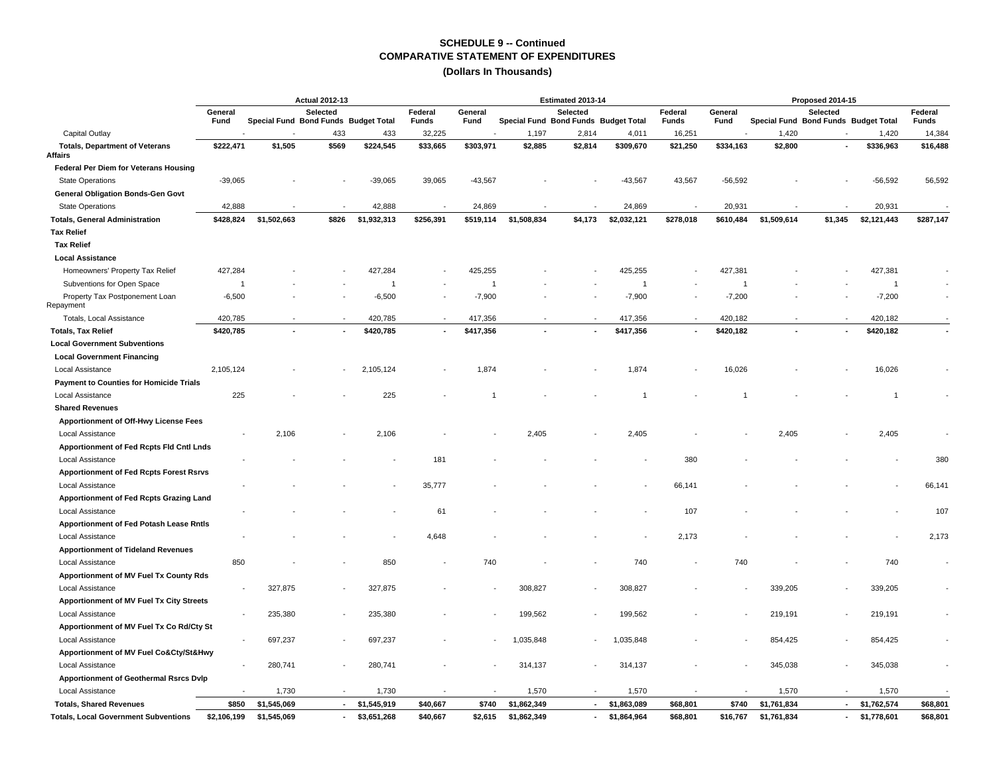|                                                         |                          |                                      | <b>Actual 2012-13</b> |                |                  |                 |                                      | Estimated 2013-14        |                | Proposed 2014-15 |                 |             |                                                  |                |                  |  |
|---------------------------------------------------------|--------------------------|--------------------------------------|-----------------------|----------------|------------------|-----------------|--------------------------------------|--------------------------|----------------|------------------|-----------------|-------------|--------------------------------------------------|----------------|------------------|--|
|                                                         | General<br>Fund          | Special Fund Bond Funds Budget Total | Selected              |                | Federal<br>Funds | General<br>Fund | Special Fund Bond Funds Budget Total | Selected                 |                | Federal<br>Funds | General<br>Fund |             | Selected<br>Special Fund Bond Funds Budget Total |                | Federal<br>Funds |  |
| Capital Outlay                                          |                          |                                      | 433                   | 433            | 32,225           |                 | 1,197                                | 2,814                    | 4,011          | 16,251           |                 | 1,420       |                                                  | 1,420          | 14,384           |  |
| <b>Totals, Department of Veterans</b><br><b>Affairs</b> | \$222,471                | \$1,505                              | \$569                 | \$224,545      | \$33,665         | \$303,971       | \$2,885                              | \$2,814                  | \$309,670      | \$21,250         | \$334,163       | \$2,800     |                                                  | \$336,963      | \$16,488         |  |
| Federal Per Diem for Veterans Housing                   |                          |                                      |                       |                |                  |                 |                                      |                          |                |                  |                 |             |                                                  |                |                  |  |
| <b>State Operations</b>                                 | $-39,065$                |                                      |                       | $-39,065$      | 39,065           | $-43,567$       |                                      |                          | $-43,567$      | 43,567           | $-56,592$       |             |                                                  | $-56,592$      | 56,592           |  |
| General Obligation Bonds-Gen Govt                       |                          |                                      |                       |                |                  |                 |                                      |                          |                |                  |                 |             |                                                  |                |                  |  |
| <b>State Operations</b>                                 | 42,888                   |                                      |                       | 42,888         |                  | 24,869          |                                      |                          | 24,869         |                  | 20,931          |             |                                                  | 20,931         |                  |  |
| <b>Totals, General Administration</b>                   | \$428,824                | \$1,502,663                          | \$826                 | \$1,932,313    | \$256,391        | \$519,114       | \$1,508,834                          | \$4,173                  | \$2,032,121    | \$278,018        | \$610,484       | \$1,509,614 | \$1,345                                          | \$2,121,443    | \$287,147        |  |
| <b>Tax Relief</b>                                       |                          |                                      |                       |                |                  |                 |                                      |                          |                |                  |                 |             |                                                  |                |                  |  |
| <b>Tax Relief</b>                                       |                          |                                      |                       |                |                  |                 |                                      |                          |                |                  |                 |             |                                                  |                |                  |  |
| <b>Local Assistance</b>                                 |                          |                                      |                       |                |                  |                 |                                      |                          |                |                  |                 |             |                                                  |                |                  |  |
| Homeowners' Property Tax Relief                         | 427,284                  |                                      |                       | 427,284        |                  | 425.255         |                                      |                          | 425,255        |                  | 427,381         |             |                                                  | 427,381        |                  |  |
| Subventions for Open Space                              | $\overline{1}$           |                                      |                       | $\overline{1}$ |                  | $\overline{1}$  |                                      |                          | $\overline{1}$ |                  | $\overline{1}$  |             |                                                  | $\overline{1}$ |                  |  |
| Property Tax Postponement Loan<br>Repayment             | $-6,500$                 |                                      |                       | $-6,500$       |                  | $-7,900$        |                                      |                          | $-7,900$       |                  | $-7,200$        |             |                                                  | $-7,200$       |                  |  |
| Totals, Local Assistance                                | 420,785                  | $\overline{a}$                       |                       | 420,785        | $\sim$           | 417,356         |                                      |                          | 417,356        |                  | 420,182         |             |                                                  | 420,182        |                  |  |
| <b>Totals, Tax Relief</b>                               | \$420,785                | $\blacksquare$                       |                       | \$420,785      | $\blacksquare$   | \$417,356       |                                      |                          | \$417,356      |                  | \$420,182       |             |                                                  | \$420,182      |                  |  |
| <b>Local Government Subventions</b>                     |                          |                                      |                       |                |                  |                 |                                      |                          |                |                  |                 |             |                                                  |                |                  |  |
| <b>Local Government Financing</b>                       |                          |                                      |                       |                |                  |                 |                                      |                          |                |                  |                 |             |                                                  |                |                  |  |
| Local Assistance                                        | 2,105,124                |                                      |                       | 2,105,124      |                  | 1,874           |                                      |                          | 1,874          |                  | 16,026          |             |                                                  | 16,026         |                  |  |
| <b>Payment to Counties for Homicide Trials</b>          |                          |                                      |                       |                |                  |                 |                                      |                          |                |                  |                 |             |                                                  |                |                  |  |
| <b>Local Assistance</b>                                 | 225                      |                                      |                       | 225            |                  |                 |                                      |                          | $\overline{1}$ |                  |                 |             |                                                  | $\overline{1}$ |                  |  |
| <b>Shared Revenues</b>                                  |                          |                                      |                       |                |                  |                 |                                      |                          |                |                  |                 |             |                                                  |                |                  |  |
| Apportionment of Off-Hwy License Fees                   |                          |                                      |                       |                |                  |                 |                                      |                          |                |                  |                 |             |                                                  |                |                  |  |
| Local Assistance                                        | $\overline{\phantom{a}}$ | 2,106                                |                       | 2,106          |                  |                 | 2,405                                |                          | 2,405          |                  |                 | 2,405       |                                                  | 2,405          |                  |  |
| Apportionment of Fed Rcpts Fld Cntl Lnds                |                          |                                      |                       |                |                  |                 |                                      |                          |                |                  |                 |             |                                                  |                |                  |  |
| Local Assistance                                        |                          |                                      |                       |                | 181              |                 |                                      |                          |                | 380              |                 |             |                                                  |                | 380              |  |
| <b>Apportionment of Fed Rcpts Forest Rsrvs</b>          |                          |                                      |                       |                |                  |                 |                                      |                          |                |                  |                 |             |                                                  |                |                  |  |
| Local Assistance                                        |                          |                                      |                       |                | 35,777           |                 |                                      |                          |                | 66,141           |                 |             |                                                  |                | 66,141           |  |
| Apportionment of Fed Rcpts Grazing Land                 |                          |                                      |                       |                |                  |                 |                                      |                          |                |                  |                 |             |                                                  |                |                  |  |
| <b>Local Assistance</b>                                 |                          |                                      |                       |                | 61               |                 |                                      |                          |                | 107              |                 |             |                                                  |                | 107              |  |
| Apportionment of Fed Potash Lease Rntls                 |                          |                                      |                       |                |                  |                 |                                      |                          |                |                  |                 |             |                                                  |                |                  |  |
| Local Assistance                                        |                          |                                      |                       |                | 4,648            |                 |                                      |                          |                | 2,173            |                 |             |                                                  |                | 2,173            |  |
| <b>Apportionment of Tideland Revenues</b>               |                          |                                      |                       |                |                  |                 |                                      |                          |                |                  |                 |             |                                                  |                |                  |  |
| Local Assistance                                        | 850                      |                                      |                       | 850            |                  | 740             |                                      |                          | 740            |                  | 740             |             |                                                  | 740            |                  |  |
| Apportionment of MV Fuel Tx County Rds                  |                          |                                      |                       |                |                  |                 |                                      |                          |                |                  |                 |             |                                                  |                |                  |  |
| Local Assistance                                        |                          | 327,875                              |                       | 327,875        |                  |                 | 308,827                              |                          | 308,827        |                  |                 | 339,205     |                                                  | 339,205        |                  |  |
| Apportionment of MV Fuel Tx City Streets                |                          |                                      |                       |                |                  |                 |                                      |                          |                |                  |                 |             |                                                  |                |                  |  |
| Local Assistance                                        |                          | 235,380                              |                       | 235,380        |                  |                 | 199,562                              |                          | 199,562        |                  |                 | 219,191     |                                                  | 219,191        |                  |  |
| Apportionment of MV Fuel Tx Co Rd/Cty St                |                          |                                      |                       |                |                  |                 |                                      |                          |                |                  |                 |             |                                                  |                |                  |  |
| Local Assistance                                        | $\overline{\phantom{a}}$ | 697,237                              |                       | 697,237        |                  |                 | 1,035,848                            |                          | 1,035,848      |                  |                 | 854,425     |                                                  | 854,425        |                  |  |
| Apportionment of MV Fuel Co&Cty/St&Hwy                  |                          |                                      |                       |                |                  |                 |                                      |                          |                |                  |                 |             |                                                  |                |                  |  |
| Local Assistance                                        |                          | 280,741                              |                       | 280,741        |                  |                 | 314,137                              |                          | 314,137        |                  |                 | 345,038     |                                                  | 345,038        |                  |  |
| <b>Apportionment of Geothermal Rsrcs Dvlp</b>           |                          |                                      |                       |                |                  |                 |                                      |                          |                |                  |                 |             |                                                  |                |                  |  |
| Local Assistance                                        |                          | 1,730                                |                       | 1,730          |                  |                 | 1,570                                |                          | 1,570          |                  |                 | 1,570       |                                                  | 1,570          |                  |  |
| <b>Totals, Shared Revenues</b>                          | \$850                    | \$1,545,069                          | $\sim$                | \$1,545,919    | \$40,667         | \$740           | \$1,862,349                          | $\blacksquare$           | \$1,863,089    | \$68,801         | \$740           | \$1,761,834 | $\sim$                                           | \$1,762,574    | \$68,801         |  |
| <b>Totals, Local Government Subventions</b>             | \$2,106,199              | \$1,545,069                          | $\sim$                | \$3,651,268    | \$40,667         | \$2,615         | \$1,862,349                          | $\overline{\phantom{a}}$ | \$1,864,964    | \$68,801         | \$16,767        | \$1,761,834 | $\sim$                                           | \$1,778,601    | \$68,801         |  |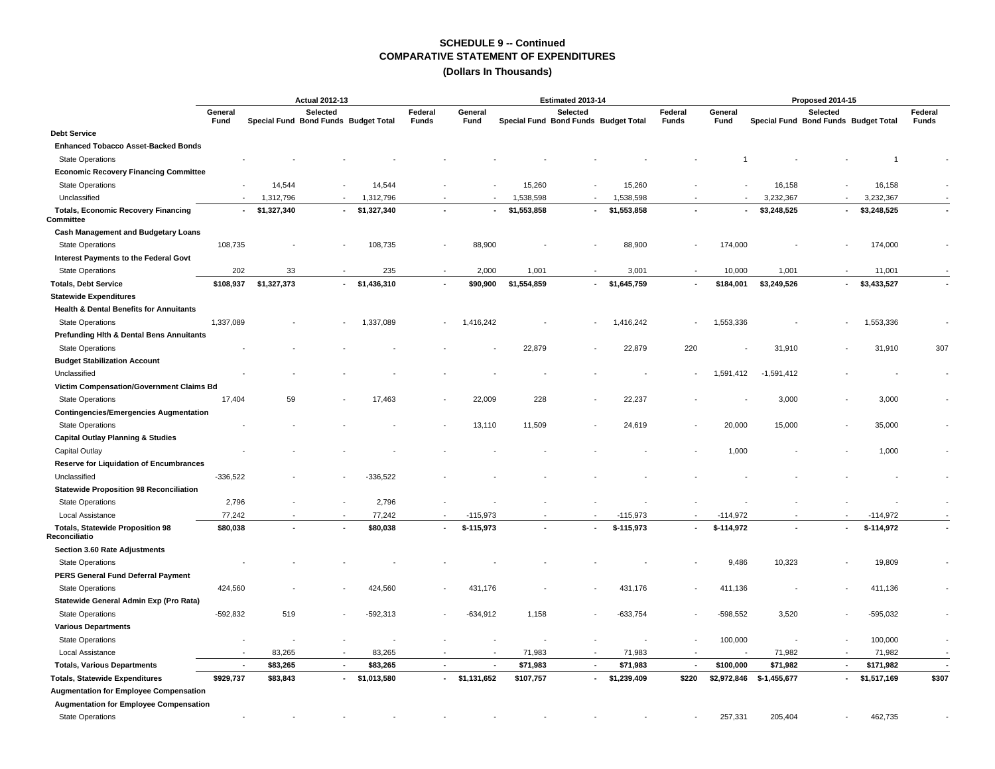|                                                          |                          |                | <b>Actual 2012-13</b> |                                      |                         | Estimated 2013-14 |                                      |                          |             |                         |                 | Proposed 2014-15 |                                                  |             |                         |  |  |  |
|----------------------------------------------------------|--------------------------|----------------|-----------------------|--------------------------------------|-------------------------|-------------------|--------------------------------------|--------------------------|-------------|-------------------------|-----------------|------------------|--------------------------------------------------|-------------|-------------------------|--|--|--|
|                                                          | General<br>Fund          |                | Selected              | Special Fund Bond Funds Budget Total | Federal<br><b>Funds</b> | General<br>Fund   | Special Fund Bond Funds Budget Total | Selected                 |             | Federal<br><b>Funds</b> | General<br>Fund |                  | Selected<br>Special Fund Bond Funds Budget Total |             | Federal<br><b>Funds</b> |  |  |  |
| <b>Debt Service</b>                                      |                          |                |                       |                                      |                         |                   |                                      |                          |             |                         |                 |                  |                                                  |             |                         |  |  |  |
| <b>Enhanced Tobacco Asset-Backed Bonds</b>               |                          |                |                       |                                      |                         |                   |                                      |                          |             |                         |                 |                  |                                                  |             |                         |  |  |  |
| <b>State Operations</b>                                  |                          |                |                       |                                      |                         |                   |                                      |                          |             |                         |                 |                  |                                                  |             |                         |  |  |  |
| <b>Economic Recovery Financing Committee</b>             |                          |                |                       |                                      |                         |                   |                                      |                          |             |                         |                 |                  |                                                  |             |                         |  |  |  |
| <b>State Operations</b>                                  |                          | 14,544         |                       | 14,544                               |                         |                   | 15,260                               |                          | 15,260      |                         |                 | 16,158           |                                                  | 16,158      |                         |  |  |  |
| Unclassified                                             |                          | 1,312,796      |                       | 1,312,796                            |                         |                   | 1,538,598                            |                          | 1,538,598   |                         |                 | 3,232,367        |                                                  | 3,232,367   |                         |  |  |  |
| <b>Totals, Economic Recovery Financing</b><br>Committee  | $\sim$                   | \$1,327,340    | $\sim$                | \$1,327,340                          |                         |                   | \$1,553,858                          | $\blacksquare$           | \$1,553,858 |                         | $\blacksquare$  | \$3,248,525      |                                                  | \$3,248,525 |                         |  |  |  |
| <b>Cash Management and Budgetary Loans</b>               |                          |                |                       |                                      |                         |                   |                                      |                          |             |                         |                 |                  |                                                  |             |                         |  |  |  |
| <b>State Operations</b>                                  | 108,735                  |                |                       | 108,735                              |                         | 88,900            |                                      |                          | 88,900      |                         | 174,000         |                  |                                                  | 174,000     |                         |  |  |  |
| Interest Payments to the Federal Govt                    |                          |                |                       |                                      |                         |                   |                                      |                          |             |                         |                 |                  |                                                  |             |                         |  |  |  |
| <b>State Operations</b>                                  | 202                      | 33             |                       | 235                                  |                         | 2,000             | 1,001                                |                          | 3,001       |                         | 10,000          | 1,001            |                                                  | 11,001      |                         |  |  |  |
| <b>Totals, Debt Service</b>                              | \$108,937                | \$1,327,373    |                       | $-$ \$1,436,310                      |                         | \$90,900          | \$1,554,859                          | $\overline{\phantom{a}}$ | \$1,645,759 |                         | \$184,001       | \$3,249,526      | $\sim$                                           | \$3,433,527 |                         |  |  |  |
| <b>Statewide Expenditures</b>                            |                          |                |                       |                                      |                         |                   |                                      |                          |             |                         |                 |                  |                                                  |             |                         |  |  |  |
| <b>Health &amp; Dental Benefits for Annuitants</b>       |                          |                |                       |                                      |                         |                   |                                      |                          |             |                         |                 |                  |                                                  |             |                         |  |  |  |
| <b>State Operations</b>                                  | 1,337,089                |                |                       | 1,337,089                            |                         | 1,416,242         |                                      |                          | 1,416,242   |                         | 1,553,336       |                  |                                                  | 1,553,336   |                         |  |  |  |
| <b>Prefunding Hith &amp; Dental Bens Annuitants</b>      |                          |                |                       |                                      |                         |                   |                                      |                          |             |                         |                 |                  |                                                  |             |                         |  |  |  |
| <b>State Operations</b>                                  |                          |                |                       |                                      |                         |                   | 22,879                               |                          | 22,879      | 220                     |                 | 31,910           |                                                  | 31,910      | 307                     |  |  |  |
| <b>Budget Stabilization Account</b>                      |                          |                |                       |                                      |                         |                   |                                      |                          |             |                         |                 |                  |                                                  |             |                         |  |  |  |
| Unclassified                                             |                          |                |                       |                                      |                         |                   |                                      |                          |             |                         | 1,591,412       | $-1,591,412$     |                                                  |             |                         |  |  |  |
| Victim Compensation/Government Claims Bd                 |                          |                |                       |                                      |                         |                   |                                      |                          |             |                         |                 |                  |                                                  |             |                         |  |  |  |
| <b>State Operations</b>                                  | 17,404                   | 59             |                       | 17,463                               |                         | 22,009            | 228                                  |                          | 22,237      |                         |                 | 3,000            |                                                  | 3,000       |                         |  |  |  |
| <b>Contingencies/Emergencies Augmentation</b>            |                          |                |                       |                                      |                         |                   |                                      |                          |             |                         |                 |                  |                                                  |             |                         |  |  |  |
| <b>State Operations</b>                                  |                          |                |                       |                                      |                         | 13,110            | 11,509                               |                          | 24,619      |                         | 20,000          | 15,000           |                                                  | 35,000      |                         |  |  |  |
| <b>Capital Outlay Planning &amp; Studies</b>             |                          |                |                       |                                      |                         |                   |                                      |                          |             |                         |                 |                  |                                                  |             |                         |  |  |  |
| Capital Outlay                                           |                          |                |                       |                                      |                         |                   |                                      |                          |             |                         | 1,000           |                  |                                                  | 1,000       |                         |  |  |  |
| <b>Reserve for Liquidation of Encumbrances</b>           |                          |                |                       |                                      |                         |                   |                                      |                          |             |                         |                 |                  |                                                  |             |                         |  |  |  |
| Unclassified                                             | $-336,522$               |                |                       | $-336,522$                           |                         |                   |                                      |                          |             |                         |                 |                  |                                                  |             |                         |  |  |  |
| <b>Statewide Proposition 98 Reconciliation</b>           |                          |                |                       |                                      |                         |                   |                                      |                          |             |                         |                 |                  |                                                  |             |                         |  |  |  |
| <b>State Operations</b>                                  | 2,796                    |                |                       | 2,796                                |                         |                   |                                      |                          |             |                         |                 |                  |                                                  |             |                         |  |  |  |
| Local Assistance                                         | 77,242                   |                |                       | 77,242                               |                         | $-115,973$        |                                      |                          | $-115,973$  |                         | $-114,972$      |                  |                                                  | $-114,972$  |                         |  |  |  |
| <b>Totals, Statewide Proposition 98</b><br>Reconciliatio | \$80,038                 | $\overline{a}$ |                       | \$80,038                             |                         | \$-115,973        |                                      |                          | \$-115,973  |                         | \$-114,972      |                  |                                                  | \$-114,972  |                         |  |  |  |
| Section 3.60 Rate Adjustments                            |                          |                |                       |                                      |                         |                   |                                      |                          |             |                         |                 |                  |                                                  |             |                         |  |  |  |
| <b>State Operations</b>                                  |                          |                |                       |                                      |                         |                   |                                      |                          |             |                         | 9,486           | 10,323           |                                                  | 19,809      |                         |  |  |  |
| PERS General Fund Deferral Payment                       |                          |                |                       |                                      |                         |                   |                                      |                          |             |                         |                 |                  |                                                  |             |                         |  |  |  |
| <b>State Operations</b>                                  | 424,560                  |                |                       | 424,560                              |                         | 431,176           |                                      |                          | 431,176     |                         | 411,136         |                  |                                                  | 411,136     |                         |  |  |  |
| Statewide General Admin Exp (Pro Rata)                   |                          |                |                       |                                      |                         |                   |                                      |                          |             |                         |                 |                  |                                                  |             |                         |  |  |  |
| <b>State Operations</b>                                  | $-592,832$               | 519            |                       | $-592,313$                           |                         | $-634,912$        | 1,158                                |                          | $-633,754$  |                         | $-598,552$      | 3,520            |                                                  | -595,032    |                         |  |  |  |
| <b>Various Departments</b>                               |                          |                |                       |                                      |                         |                   |                                      |                          |             |                         |                 |                  |                                                  |             |                         |  |  |  |
| <b>State Operations</b>                                  | $\overline{\phantom{a}}$ |                |                       |                                      |                         |                   |                                      |                          |             |                         | 100,000         |                  |                                                  | 100,000     |                         |  |  |  |
| Local Assistance                                         | $\overline{\phantom{a}}$ | 83,265         |                       | 83,265                               |                         |                   | 71,983                               |                          | 71,983      |                         |                 | 71,982           |                                                  | 71,982      |                         |  |  |  |
| <b>Totals, Various Departments</b>                       | $\sim$                   | \$83,265       | $\sim$                | \$83,265                             |                         | ٠                 | \$71,983                             | $\overline{\phantom{a}}$ | \$71,983    |                         | \$100,000       | \$71,982         | $\sim$                                           | \$171,982   | ٠.                      |  |  |  |
| <b>Totals, Statewide Expenditures</b>                    | \$929,737                | \$83,843       |                       | $-$ \$1,013,580                      |                         | $-$ \$1,131,652   | \$107,757                            | $\overline{\phantom{a}}$ | \$1,239,409 | \$220                   | \$2,972,846     | $$-1,455,677$    |                                                  | \$1,517,169 | \$307                   |  |  |  |
| <b>Augmentation for Employee Compensation</b>            |                          |                |                       |                                      |                         |                   |                                      |                          |             |                         |                 |                  |                                                  |             |                         |  |  |  |
| <b>Augmentation for Employee Compensation</b>            |                          |                |                       |                                      |                         |                   |                                      |                          |             |                         |                 |                  |                                                  |             |                         |  |  |  |
| <b>State Operations</b>                                  |                          |                |                       |                                      |                         |                   |                                      |                          |             |                         | 257,331         | 205,404          |                                                  | 462,735     |                         |  |  |  |
|                                                          |                          |                |                       |                                      |                         |                   |                                      |                          |             |                         |                 |                  |                                                  |             |                         |  |  |  |